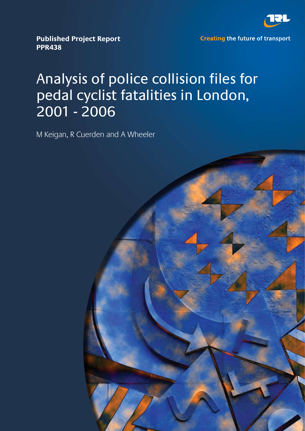

**Published Project Report PPR438** 

**Creating the future of transport** 

# Analysis of police collision files for pedal cyclist fatalities in London, 2001 - 2006

M Keigan, R Cuerden and A Wheeler

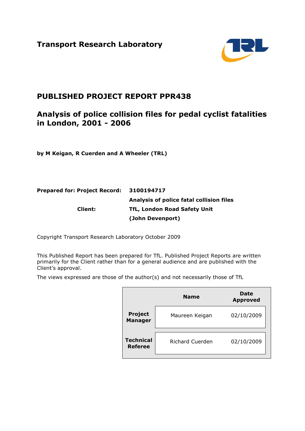**Transport Research Laboratory** 



# **PUBLISHED PROJECT REPORT PPR438**

# **Analysis of police collision files for pedal cyclist fatalities in London, 2001 - 2006**

**by M Keigan, R Cuerden and A Wheeler (TRL)** 

# **Prepared for: Project Record: 3100194717 Analysis of police fatal collision files Client: TfL, London Road Safety Unit (John Devenport)**

Copyright Transport Research Laboratory October 2009

This Published Report has been prepared for TfL. Published Project Reports are written primarily for the Client rather than for a general audience and are published with the Client's approval.

The views expressed are those of the author(s) and not necessarily those of TfL

|                                    | <b>Name</b>            | <b>Date</b><br><b>Approved</b> |
|------------------------------------|------------------------|--------------------------------|
| <b>Project</b><br><b>Manager</b>   | Maureen Keigan         | 02/10/2009                     |
| <b>Technical</b><br><b>Referee</b> | <b>Richard Cuerden</b> | 02/10/2009                     |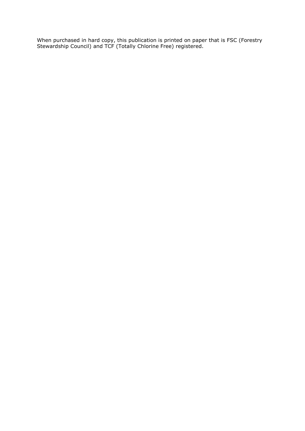When purchased in hard copy, this publication is printed on paper that is FSC (Forestry Stewardship Council) and TCF (Totally Chlorine Free) registered.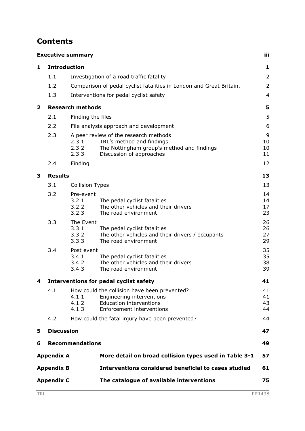# **Contents**

|                         |                     | <b>Executive summary</b>              |                                                                                                                                              | iii                  |
|-------------------------|---------------------|---------------------------------------|----------------------------------------------------------------------------------------------------------------------------------------------|----------------------|
| 1                       | <b>Introduction</b> |                                       |                                                                                                                                              | 1                    |
|                         | 1.1                 |                                       | Investigation of a road traffic fatality                                                                                                     | $\overline{2}$       |
|                         | 1.2                 |                                       | Comparison of pedal cyclist fatalities in London and Great Britain.                                                                          | $\overline{2}$       |
|                         | 1.3                 |                                       | Interventions for pedal cyclist safety                                                                                                       | $\overline{4}$       |
| $\overline{\mathbf{2}}$ |                     | <b>Research methods</b>               |                                                                                                                                              | 5                    |
|                         | 2.1                 | Finding the files                     |                                                                                                                                              | 5                    |
|                         | 2.2                 |                                       | File analysis approach and development                                                                                                       | 6                    |
|                         | 2.3                 | 2.3.1<br>2.3.2<br>2.3.3               | A peer review of the research methods<br>TRL's method and findings<br>The Nottingham group's method and findings<br>Discussion of approaches | 9<br>10<br>10<br>11  |
|                         | 2.4                 | Finding                               |                                                                                                                                              | 12                   |
| 3                       | <b>Results</b>      |                                       |                                                                                                                                              | 13                   |
|                         | 3.1                 | <b>Collision Types</b>                |                                                                                                                                              | 13                   |
|                         | 3.2                 | Pre-event<br>3.2.1<br>3.2.2<br>3.2.3  | The pedal cyclist fatalities<br>The other vehicles and their drivers<br>The road environment                                                 | 14<br>14<br>17<br>23 |
|                         | 3.3                 | The Event<br>3.3.1<br>3.3.2<br>3.3.3  | The pedal cyclist fatalities<br>The other vehicles and their drivers / occupants<br>The road environment                                     | 26<br>26<br>27<br>29 |
|                         | 3.4                 | Post event<br>3.4.1<br>3.4.2<br>3.4.3 | The pedal cyclist fatalities<br>The other vehicles and their drivers<br>The road environment                                                 | 35<br>35<br>38<br>39 |
| 4                       |                     |                                       | <b>Interventions for pedal cyclist safety</b>                                                                                                | 41                   |
|                         | 4.1                 | 4.1.1<br>4.1.2<br>4.1.3               | How could the collision have been prevented?<br>Engineering interventions<br><b>Education interventions</b><br>Enforcement interventions     | 41<br>41<br>43<br>44 |
|                         | 4.2                 |                                       | How could the fatal injury have been prevented?                                                                                              | 44                   |
| 5                       | <b>Discussion</b>   |                                       |                                                                                                                                              | 47                   |
| 6                       |                     | <b>Recommendations</b>                |                                                                                                                                              | 49                   |
|                         | <b>Appendix A</b>   |                                       | More detail on broad collision types used in Table 3-1                                                                                       | 57                   |
|                         | <b>Appendix B</b>   |                                       | Interventions considered beneficial to cases studied                                                                                         | 61                   |
|                         | <b>Appendix C</b>   |                                       | The catalogue of available interventions                                                                                                     | 75                   |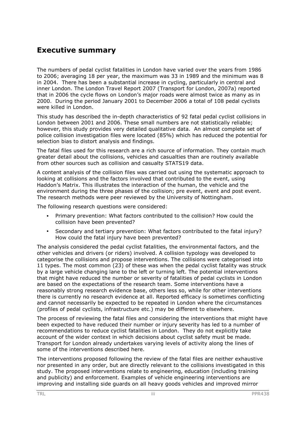# **Executive summary**

The numbers of pedal cyclist fatalities in London have varied over the years from 1986 to 2006; averaging 18 per year, the maximum was 33 in 1989 and the minimum was 8 in 2004. There has been a substantial increase in cycling, particularly in central and inner London. The London Travel Report 2007 (Transport for London, 2007a) reported that in 2006 the cycle flows on London's major roads were almost twice as many as in 2000. During the period January 2001 to December 2006 a total of 108 pedal cyclists were killed in London.

This study has described the in-depth characteristics of 92 fatal pedal cyclist collisions in London between 2001 and 2006. These small numbers are not statistically reliable; however, this study provides very detailed qualitative data. An almost complete set of police collision investigation files were located (85%) which has reduced the potential for selection bias to distort analysis and findings.

The fatal files used for this research are a rich source of information. They contain much greater detail about the collisions, vehicles and casualties than are routinely available from other sources such as collision and casualty STATS19 data.

A content analysis of the collision files was carried out using the systematic approach to looking at collisions and the factors involved that contributed to the event, using Haddon's Matrix. This illustrates the interaction of the human, the vehicle and the environment during the three phases of the collision; pre event, event and post event. The research methods were peer reviewed by the University of Nottingham.

The following research questions were considered:

- Primary prevention: What factors contributed to the collision? How could the collision have been prevented?
- Secondary and tertiary prevention: What factors contributed to the fatal injury? How could the fatal injury have been prevented?

The analysis considered the pedal cyclist fatalities, the environmental factors, and the other vehicles and drivers (or riders) involved. A collision typology was developed to categorise the collisions and propose interventions. The collisions were categorised into 11 types. The most common (23) of these was when the pedal cyclist fatality was struck by a large vehicle changing lane to the left or turning left. The potential interventions that might have reduced the number or severity of fatalities of pedal cyclists in London are based on the expectations of the research team. Some interventions have a reasonably strong research evidence base, others less so, while for other interventions there is currently no research evidence at all. Reported efficacy is sometimes conflicting and cannot necessarily be expected to be repeated in London where the circumstances (profiles of pedal cyclists, infrastructure etc.) may be different to elsewhere.

The process of reviewing the fatal files and considering the interventions that might have been expected to have reduced their number or injury severity has led to a number of recommendations to reduce cyclist fatalities in London. They do not explicitly take account of the wider context in which decisions about cyclist safety must be made. Transport for London already undertakes varying levels of activity along the lines of some of the interventions described here.

The interventions proposed following the review of the fatal files are neither exhaustive nor presented in any order, but are directly relevant to the collisions investigated in this study. The proposed interventions relate to engineering, education (including training and publicity) and enforcement. Examples of vehicle engineering interventions are improving and installing side guards on all heavy goods vehicles and improved mirror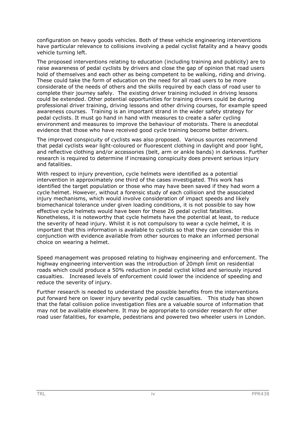configuration on heavy goods vehicles. Both of these vehicle engineering interventions have particular relevance to collisions involving a pedal cyclist fatality and a heavy goods vehicle turning left.

The proposed interventions relating to education (including training and publicity) are to raise awareness of pedal cyclists by drivers and close the gap of opinion that road users hold of themselves and each other as being competent to be walking, riding and driving. These could take the form of education on the need for all road users to be more considerate of the needs of others and the skills required by each class of road user to complete their journey safely. The existing driver training included in driving lessons could be extended. Other potential opportunities for training drivers could be during professional driver training, driving lessons and other driving courses, for example speed awareness courses. Training is an important strand in the wider safety strategy for pedal cyclists. It must go hand in hand with measures to create a safer cycling environment and measures to improve the behaviour of motorists. There is anecdotal evidence that those who have received good cycle training become better drivers.

The improved conspicuity of cyclists was also proposed. Various sources recommend that pedal cyclists wear light-coloured or fluorescent clothing in daylight and poor light, and reflective clothing and/or accessories (belt, arm or ankle bands) in darkness. Further research is required to determine if increasing conspicuity does prevent serious injury and fatalities.

With respect to injury prevention, cycle helmets were identified as a potential intervention in approximately one third of the cases investigated. This work has identified the target population or those who may have been saved if they had worn a cycle helmet. However, without a forensic study of each collision and the associated injury mechanisms, which would involve consideration of impact speeds and likely biomechanical tolerance under given loading conditions, it is not possible to say how effective cycle helmets would have been for these 26 pedal cyclist fatalities. Nonetheless, it is noteworthy that cycle helmets have the potential at least, to reduce the severity of head injury. Whilst it is not compulsory to wear a cycle helmet, it is important that this information is available to cyclists so that they can consider this in conjunction with evidence available from other sources to make an informed personal choice on wearing a helmet.

Speed management was proposed relating to highway engineering and enforcement. The highway engineering intervention was the introduction of 20mph limit on residential roads which could produce a 50% reduction in pedal cyclist killed and seriously injured casualties. Increased levels of enforcement could lower the incidence of speeding and reduce the severity of injury.

Further research is needed to understand the possible benefits from the interventions put forward here on lower injury severity pedal cycle casualties. This study has shown that the fatal collision police investigation files are a valuable source of information that may not be available elsewhere. It may be appropriate to consider research for other road user fatalities, for example, pedestrians and powered two wheeler users in London.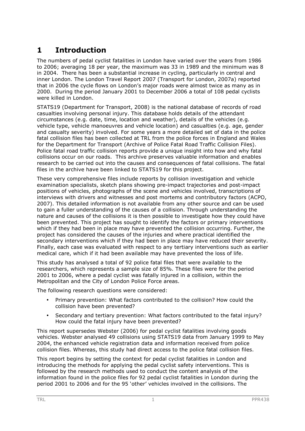# **1 Introduction**

The numbers of pedal cyclist fatalities in London have varied over the years from 1986 to 2006; averaging 18 per year, the maximum was 33 in 1989 and the minimum was 8 in 2004. There has been a substantial increase in cycling, particularly in central and inner London. The London Travel Report 2007 (Transport for London, 2007a) reported that in 2006 the cycle flows on London's major roads were almost twice as many as in 2000. During the period January 2001 to December 2006 a total of 108 pedal cyclists were killed in London.

STATS19 (Department for Transport, 2008) is the national database of records of road casualties involving personal injury. This database holds details of the attendant circumstances (e.g. date, time, location and weather), details of the vehicles (e.g. vehicle type, vehicle manoeuvres and vehicle location) and casualties (e.g. age, gender and casualty severity) involved. For some years a more detailed set of data in the police fatal collision files has been collected at TRL from the police forces in England and Wales for the Department for Transport (Archive of Police Fatal Road Traffic Collision Files). Police fatal road traffic collision reports provide a unique insight into how and why fatal collisions occur on our roads. This archive preserves valuable information and enables research to be carried out into the causes and consequences of fatal collisions. The fatal files in the archive have been linked to STATS19 for this project.

These very comprehensive files include reports by collision investigation and vehicle examination specialists, sketch plans showing pre-impact trajectories and post-impact positions of vehicles, photographs of the scene and vehicles involved, transcriptions of interviews with drivers and witnesses and post mortems and contributory factors (ACPO, 2007). This detailed information is not available from any other source and can be used to gain a fuller understanding of the causes of a collision. Through understanding the nature and causes of the collisions it is then possible to investigate how they could have been prevented. This project has sought to identify the factors or primary interventions which if they had been in place may have prevented the collision occurring. Further, the project has considered the causes of the injuries and where practical identified the secondary interventions which if they had been in place may have reduced their severity. Finally, each case was evaluated with respect to any tertiary interventions such as earlier medical care, which if it had been available may have prevented the loss of life.

This study has analysed a total of 92 police fatal files that were available to the researchers, which represents a sample size of 85%. These files were for the period 2001 to 2006, where a pedal cyclist was fatally injured in a collision, within the Metropolitan and the City of London Police Force areas.

The following research questions were considered:

- Primary prevention: What factors contributed to the collision? How could the collision have been prevented?
- Secondary and tertiary prevention: What factors contributed to the fatal injury? How could the fatal injury have been prevented?

This report supersedes Webster (2006) for pedal cyclist fatalities involving goods vehicles. Webster analysed 49 collisions using STATS19 data from January 1999 to May 2004, the enhanced vehicle registration data and information received from police collision files. Whereas, this study had direct access to the police fatal collision files.

This report begins by setting the context for pedal cyclist fatalities in London and introducing the methods for applying the pedal cyclist safety interventions. This is followed by the research methods used to conduct the content analysis of the information found in the police files for 92 pedal cyclist fatalities in London during the period 2001 to 2006 and for the 95 'other' vehicles involved in the collisions. The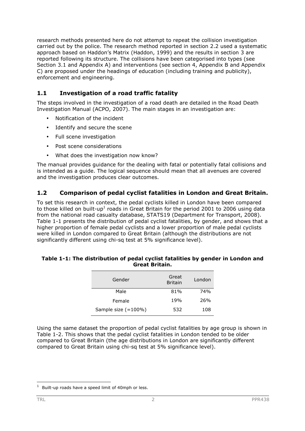research methods presented here do not attempt to repeat the collision investigation carried out by the police. The research method reported in section 2.2 used a systematic approach based on Haddon's Matrix (Haddon, 1999) and the results in section 3 are reported following its structure. The collisions have been categorised into types (see Section 3.1 and Appendix A) and interventions (see section 4, Appendix B and Appendix C) are proposed under the headings of education (including training and publicity), enforcement and engineering.

## **1.1 Investigation of a road traffic fatality**

The steps involved in the investigation of a road death are detailed in the Road Death Investigation Manual (ACPO, 2007). The main stages in an investigation are:

- Notification of the incident
- Identify and secure the scene
- Full scene investigation
- Post scene considerations
- What does the investigation now know?

The manual provides guidance for the dealing with fatal or potentially fatal collisions and is intended as a guide. The logical sequence should mean that all avenues are covered and the investigation produces clear outcomes.

#### **1.2 Comparison of pedal cyclist fatalities in London and Great Britain.**

To set this research in context, the pedal cyclists killed in London have been compared to those killed on built-up<sup>1</sup> roads in Great Britain for the period 2001 to 2006 using data from the national road casualty database, STATS19 (Department for Transport, 2008). Table 1-1 presents the distribution of pedal cyclist fatalities, by gender, and shows that a higher proportion of female pedal cyclists and a lower proportion of male pedal cyclists were killed in London compared to Great Britain (although the distributions are not significantly different using chi-sq test at 5% significance level).

#### **Table 1-1: The distribution of pedal cyclist fatalities by gender in London and Great Britain.**

| Gender                 | Great<br><b>Britain</b> | London |
|------------------------|-------------------------|--------|
| Male                   | 81%                     | 74%    |
| Female                 | 19%                     | 26%    |
| Sample size $(=100\%)$ | 532                     | 108    |

Using the same dataset the proportion of pedal cyclist fatalities by age group is shown in Table 1-2. This shows that the pedal cyclist fatalities in London tended to be older compared to Great Britain (the age distributions in London are significantly different compared to Great Britain using chi-sq test at 5% significance level).

 $1$  Built-up roads have a speed limit of 40mph or less.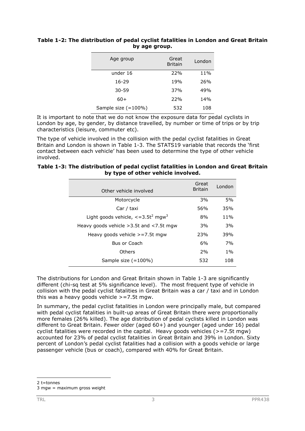#### **Table 1-2: The distribution of pedal cyclist fatalities in London and Great Britain by age group.**

| Age group           | Great<br><b>Britain</b> | London |
|---------------------|-------------------------|--------|
| under 16            | 22%                     | 11%    |
| $16 - 29$           | 19%                     | 26%    |
| $30 - 59$           | 37%                     | 49%    |
| 60+                 | 22%                     | 14%    |
| Sample size (=100%) | 532                     | 108    |

It is important to note that we do not know the exposure data for pedal cyclists in London by age, by gender, by distance travelled, by number or time of trips or by trip characteristics (leisure, commuter etc).

The type of vehicle involved in the collision with the pedal cyclist fatalities in Great Britain and London is shown in Table 1-3. The STATS19 variable that records the 'first contact between each vehicle' has been used to determine the type of other vehicle involved.

#### **Table 1-3: The distribution of pedal cyclist fatalities in London and Great Britain by type of other vehicle involved.**

| Other vehicle involved                                              | Great<br><b>Britain</b> | London |
|---------------------------------------------------------------------|-------------------------|--------|
| Motorcycle                                                          | 3%                      | 5%     |
| Car / taxi                                                          | 56%                     | 35%    |
| Light goods vehicle, $\epsilon$ =3.5t <sup>2</sup> mgw <sup>3</sup> | 8%                      | $11\%$ |
| Heavy goods vehicle $>3.5t$ and $<$ 7.5t mgw                        | 3%                      | 3%     |
| Heavy goods vehicle $>=7.5t$ mgw                                    | 23%                     | 39%    |
| Bus or Coach                                                        | 6%                      | 7%     |
| Others                                                              | 2%                      | $1\%$  |
| Sample size $(=100\%)$                                              | 532                     | 108    |

The distributions for London and Great Britain shown in Table 1-3 are significantly different (chi-sq test at 5% significance level). The most frequent type of vehicle in collision with the pedal cyclist fatalities in Great Britain was a car / taxi and in London this was a heavy goods vehicle  $\ge$  =7.5t mgw.

In summary, the pedal cyclist fatalities in London were principally male, but compared with pedal cyclist fatalities in built-up areas of Great Britain there were proportionally more females (26% killed). The age distribution of pedal cyclists killed in London was different to Great Britain. Fewer older (aged 60+) and younger (aged under 16) pedal cyclist fatalities were recorded in the capital. Heavy goods vehicles (>=7.5t mgw) accounted for 23% of pedal cyclist fatalities in Great Britain and 39% in London. Sixty percent of London's pedal cyclist fatalities had a collision with a goods vehicle or large passenger vehicle (bus or coach), compared with 40% for Great Britain.

 $2$  t=tonnes

<sup>3</sup> mgw = maximum gross weight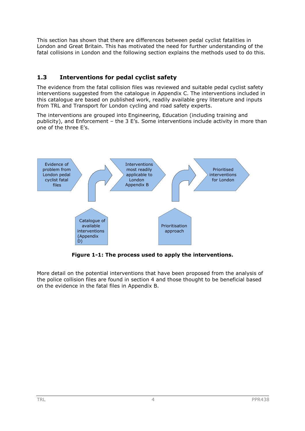This section has shown that there are differences between pedal cyclist fatalities in London and Great Britain. This has motivated the need for further understanding of the fatal collisions in London and the following section explains the methods used to do this.

# **1.3 Interventions for pedal cyclist safety**

The evidence from the fatal collision files was reviewed and suitable pedal cyclist safety interventions suggested from the catalogue in Appendix C. The interventions included in this catalogue are based on published work, readily available grey literature and inputs from TRL and Transport for London cycling and road safety experts.

The interventions are grouped into Engineering, Education (including training and publicity), and Enforcement – the 3 E's. Some interventions include activity in more than one of the three E's.



**Figure 1-1: The process used to apply the interventions.** 

More detail on the potential interventions that have been proposed from the analysis of the police collision files are found in section 4 and those thought to be beneficial based on the evidence in the fatal files in Appendix B.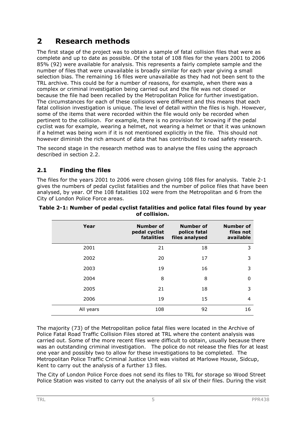# **2 Research methods**

The first stage of the project was to obtain a sample of fatal collision files that were as complete and up to date as possible. Of the total of 108 files for the years 2001 to 2006 85% (92) were available for analysis. This represents a fairly complete sample and the number of files that were unavailable is broadly similar for each year giving a small selection bias. The remaining 16 files were unavailable as they had not been sent to the TRL archive. This could be for a number of reasons, for example, when there was a complex or criminal investigation being carried out and the file was not closed or because the file had been recalled by the Metropolitan Police for further investigation. The circumstances for each of these collisions were different and this means that each fatal collision investigation is unique. The level of detail within the files is high. However, some of the items that were recorded within the file would only be recorded when pertinent to the collision. For example, there is no provision for knowing if the pedal cyclist was for example, wearing a helmet, not wearing a helmet or that it was unknown if a helmet was being worn if it is not mentioned explicitly in the file. This should not however diminish the rich amount of data that has contributed to road safety research.

The second stage in the research method was to analyse the files using the approach described in section 2.2.

# **2.1 Finding the files**

The files for the years 2001 to 2006 were chosen giving 108 files for analysis. Table 2-1 gives the numbers of pedal cyclist fatalities and the number of police files that have been analysed, by year. Of the 108 fatalities 102 were from the Metropolitan and 6 from the City of London Police Force areas.

| Year      | <b>Number of</b><br>pedal cyclist<br>fatalities | Number of<br>police fatal<br>files analysed | <b>Number of</b><br>files not<br>available |
|-----------|-------------------------------------------------|---------------------------------------------|--------------------------------------------|
| 2001      | 21                                              | 18                                          | 3                                          |
| 2002      | 20                                              | 17                                          | 3                                          |
| 2003      | 19                                              | 16                                          | 3                                          |
| 2004      | 8                                               | 8                                           | 0                                          |
| 2005      | 21                                              | 18                                          | 3                                          |
| 2006      | 19                                              | 15                                          | 4                                          |
| All years | 108                                             | 92                                          | 16                                         |

**Table 2-1: Number of pedal cyclist fatalities and police fatal files found by year of collision.** 

The majority (73) of the Metropolitan police fatal files were located in the Archive of Police Fatal Road Traffic Collision Files stored at TRL where the content analysis was carried out. Some of the more recent files were difficult to obtain, usually because there was an outstanding criminal investigation. The police do not release the files for at least one year and possibly two to allow for these investigations to be completed. The Metropolitan Police Traffic Criminal Justice Unit was visited at Marlowe House, Sidcup, Kent to carry out the analysis of a further 13 files.

The City of London Police Force does not send its files to TRL for storage so Wood Street Police Station was visited to carry out the analysis of all six of their files. During the visit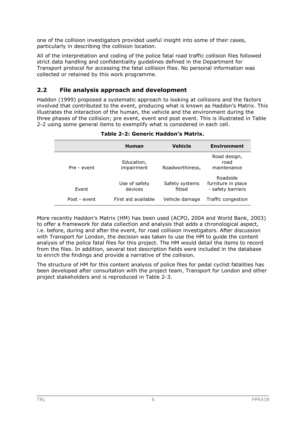one of the collision investigators provided useful insight into some of their cases, particularly in describing the collision location.

All of the interpretation and coding of the police fatal road traffic collision files followed strict data handling and confidentiality guidelines defined in the Department for Transport protocol for accessing the fatal collision files. No personal information was collected or retained by this work programme.

#### **2.2 File analysis approach and development**

Haddon (1999) proposed a systematic approach to looking at collisions and the factors involved that contributed to the event, producing what is known as Haddon's Matrix. This illustrates the interaction of the human, the vehicle and the environment during the three phases of the collision; pre event, event and post event. This is illustrated in Table 2-2 using some general items to exemplify what is considered in each cell.

|              | <b>Human</b>             | Vehicle                  | <b>Environment</b>                                  |
|--------------|--------------------------|--------------------------|-----------------------------------------------------|
| Pre - event  | Education,<br>impairment | Roadworthiness,          | Road design,<br>road<br>maintenance                 |
| Event        | Use of safety<br>devices | Safety systems<br>fitted | Roadside<br>furniture in place<br>- safety barriers |
| Post - event | First aid available      | Vehicle damage           | Traffic congestion                                  |

#### **Table 2-2: Generic Haddon's Matrix.**

More recently Haddon's Matrix (HM) has been used (ACPO, 2004 and World Bank, 2003) to offer a framework for data collection and analysis that adds a chronological aspect, i.e. before, during and after the event, for road collision investigators. After discussion with Transport for London, the decision was taken to use the HM to guide the content analysis of the police fatal files for this project. The HM would detail the items to record from the files. In addition, several text description fields were included in the database to enrich the findings and provide a narrative of the collision.

The structure of HM for this content analysis of police files for pedal cyclist fatalities has been developed after consultation with the project team, Transport for London and other project stakeholders and is reproduced in Table 2-3.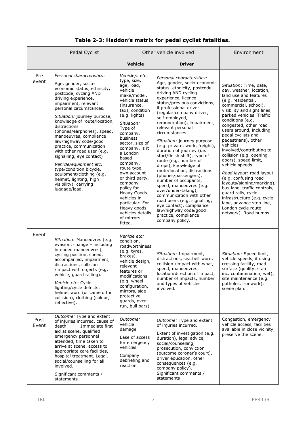## **Table 2-3: Haddon's matrix for pedal cyclist fatalities.**

|               | Pedal Cyclist                                                                                                                                                                                                                                                                                                                                                                                                                                                                                                                                                                                | Other vehicle involved                                                                                                                                                                                                                                                                                                                                                                                                                                          |                                                                                                                                                                                                                                                                                                                                                                                                                                                                                                                                                                                                                                                                                                                                                                                                 | Environment                                                                                                                                                                                                                                                                                                                                                                                                                                                                                                                                                                                                                                                           |
|---------------|----------------------------------------------------------------------------------------------------------------------------------------------------------------------------------------------------------------------------------------------------------------------------------------------------------------------------------------------------------------------------------------------------------------------------------------------------------------------------------------------------------------------------------------------------------------------------------------------|-----------------------------------------------------------------------------------------------------------------------------------------------------------------------------------------------------------------------------------------------------------------------------------------------------------------------------------------------------------------------------------------------------------------------------------------------------------------|-------------------------------------------------------------------------------------------------------------------------------------------------------------------------------------------------------------------------------------------------------------------------------------------------------------------------------------------------------------------------------------------------------------------------------------------------------------------------------------------------------------------------------------------------------------------------------------------------------------------------------------------------------------------------------------------------------------------------------------------------------------------------------------------------|-----------------------------------------------------------------------------------------------------------------------------------------------------------------------------------------------------------------------------------------------------------------------------------------------------------------------------------------------------------------------------------------------------------------------------------------------------------------------------------------------------------------------------------------------------------------------------------------------------------------------------------------------------------------------|
|               |                                                                                                                                                                                                                                                                                                                                                                                                                                                                                                                                                                                              | <b>Vehicle</b>                                                                                                                                                                                                                                                                                                                                                                                                                                                  | <b>Driver</b>                                                                                                                                                                                                                                                                                                                                                                                                                                                                                                                                                                                                                                                                                                                                                                                   |                                                                                                                                                                                                                                                                                                                                                                                                                                                                                                                                                                                                                                                                       |
| Pre<br>event  | Personal characteristics:<br>Age, gender, socio-<br>economic status, ethnicity,<br>postcode, cycling AND<br>driving experience,<br>impairment, relevant<br>personal circumstances.<br>Situation: journey purpose,<br>knowledge of route/location,<br>distractions<br>(phones/earphones), speed,<br>manoeuvres, compliance<br>law/highway code/good<br>practice, communication<br>with other road user (e.g.<br>signalling, eye contact)<br>Vehicle/equipment etc:<br>type/condition bicycle,<br>equipment/clothing (e.g.<br>helmet, lighting, high<br>visibility), carrying<br>luggage/load. | Vehicle/s etc:<br>type, size,<br>age, load,<br>vehicle<br>make/model,<br>vehicle status<br>(insurance,<br>tax), condition<br>(e.g. lights)<br>Situation:<br>Type of<br>company,<br>business<br>sector, size of<br>company, is it<br>a London<br>based<br>company,<br>route type,<br>own account<br>or third party,<br>company<br>policy for<br><b>Heavy Goods</b><br>vehicles in<br>particular. For<br>Heavy goods<br>vehicles details<br>of mirrors<br>fitted. | Personal characteristics:<br>Age, gender, socio-economic<br>status, ethnicity, postcode,<br>driving AND cycling<br>experience, licence<br>status/previous convictions,<br>if professional driver<br>(regular company driver,<br>self-employed,<br>remuneration), impairment,<br>relevant personal<br>circumstances.<br>Situation: journey purpose<br>(e.g. private, work, freight),<br>duration of journey (i.e.<br>start/finish shift), type of<br>route (e.g. number of<br>drops), knowledge of<br>route/location, distractions<br>(phones/passengers),<br>number of occupants,<br>speed, manoeuvres (e.g.<br>over/under-taking),<br>communication with other<br>road users (e.g. signalling,<br>eye contact), compliance<br>law/highway code/good<br>practice, compliance<br>company policy. | Situation: Time, date,<br>day, weather, location,<br>land use and features<br>(e.g. residential,<br>commercial, school),<br>visibility and sight lines,<br>parked vehicles. Traffic<br>conditions (e.g.<br>congested, other road<br>users around, including<br>pedal cyclists and<br>pedestrians), other<br>vehicles<br>involved/contributing to<br>collision (e.g. opening<br>doors), speed limit,<br>vehicle speeds.<br>Road layout: road layout<br>(e.g. confusing road<br>layouts/signing/marking),<br>bus lane, traffic controls,<br>guard rails, cycle<br>infrastructure (e.g. cycle<br>lane, advance stop line,<br>London cycle route<br>network). Road humps. |
| Event         | Situation: Manoeuvres (e.g.<br>evasion, change - including<br>intended manoeuvres),<br>cycling position, speed,<br>accompanied, impairment,<br>distractions, collision<br>/impact with objects (e.g.<br>vehicle, guard railing).<br>Vehicle etc: Cycle<br>lighting/cycle defects,<br>helmet worn (or came off in<br>collision), clothing (colour,<br>reflective).                                                                                                                                                                                                                            | Vehicle etc:<br>condition,<br>roadworthiness<br>(e.g. tyres,<br>brakes),<br>vehicle design,<br>relevant<br>features or<br>modifications<br>(e.g. wheel<br>configuration,<br>mirrors, side<br>protective<br>guards, over-<br>run, bull bars)                                                                                                                                                                                                                     | Situation: Impairment,<br>distractions, seatbelt worn,<br>collision /impact with what,<br>speed, manoeuvres,<br>location/direction of impact,<br>number of impacts, number<br>and types of vehicles<br>involved.                                                                                                                                                                                                                                                                                                                                                                                                                                                                                                                                                                                | Situation: Speed limit,<br>vehicle speeds, if using<br>crossing facility, road<br>surface (quality, state<br>inc. contamination, wet),<br>site maintenance (e.g.<br>potholes, ironwork),<br>scene plan.                                                                                                                                                                                                                                                                                                                                                                                                                                                               |
| Post<br>Event | Outcome: Type and extent<br>of injuries incurred, cause of<br>.Immediate first<br>death.<br>aid at scene, qualified<br>emergency personnel<br>attended, time taken to<br>arrive at scene, access to<br>appropriate care facilities,<br>hospital treatment. Legal,<br>social/counselling for all<br>involved.<br>Significant comments /<br>statements                                                                                                                                                                                                                                         | Outcome:<br>vehicle<br>damage<br>Ease of access<br>for emergency<br>vehicles.<br>Company<br>debriefing and<br>reaction                                                                                                                                                                                                                                                                                                                                          | Outcome: Type and extent<br>of injuries incurred.<br>Extent of investigation (e.g.<br>duration), legal advice,<br>social/counselling,<br>prosecution, conviction<br>(outcome coroner's court),<br>driver education, other<br>consequences (e.g.<br>company policy).<br>Significant comments /<br>statements                                                                                                                                                                                                                                                                                                                                                                                                                                                                                     | Congestion, emergency<br>vehicle access, facilities<br>available in close vicinity,<br>preserve the scene.                                                                                                                                                                                                                                                                                                                                                                                                                                                                                                                                                            |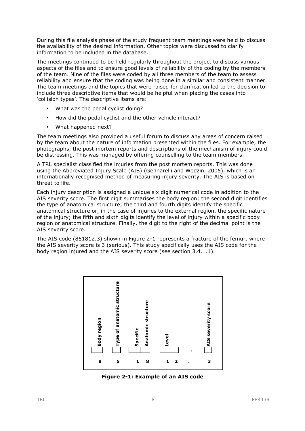During this file analysis phase of the study frequent team meetings were held to discuss the availability of the desired information. Other topics were discussed to clarify information to be included in the database.

The meetings continued to be held regularly throughout the project to discuss various aspects of the files and to ensure good levels of reliability of the coding by the members of the team. Nine of the files were coded by all three members of the team to assess reliability and ensure that the coding was being done in a similar and consistent manner. The team meetings and the topics that were raised for clarification led to the decision to include three descriptive items that would be helpful when placing the cases into 'collision types'. The descriptive items are:

- What was the pedal cyclist doing?
- How did the pedal cyclist and the other vehicle interact?
- What happened next?

The team meetings also provided a useful forum to discuss any areas of concern raised by the team about the nature of information presented within the files. For example, the photographs, the post mortem reports and descriptions of the mechanism of injury could be distressing. This was managed by offering counselling to the team members.

A TRL specialist classified the injuries from the post mortem reports. This was done using the Abbreviated Injury Scale (AIS) (Gennarelli and Wodzin, 2005), which is an internationally recognised method of measuring injury severity. The AIS is based on threat to life.

Each injury description is assigned a unique six digit numerical code in addition to the AIS severity score. The first digit summarises the body region; the second digit identifies the type of anatomical structure; the third and fourth digits identify the specific anatomical structure or, in the case of injuries to the external region, the specific nature of the injury; the fifth and sixth digits identify the level of injury within a specific body region or anatomical structure. Finally, the digit to the right of the decimal point is the AIS severity score.

The AIS code (851812.3) shown in Figure 2-1 represents a fracture of the femur, where the AIS severity score is 3 (serious). This study specifically uses the AIS code for the body region injured and the AIS severity score (see section 3.4.1.1).



**Figure 2-1: Example of an AIS code**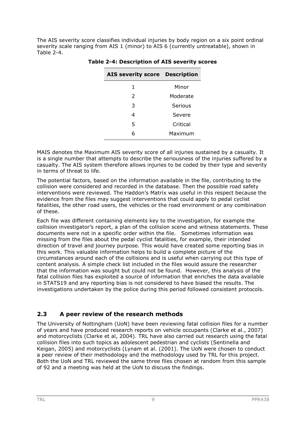The AIS severity score classifies individual injuries by body region on a six point ordinal severity scale ranging from AIS 1 (minor) to AIS 6 (currently untreatable), shown in Table 2-4.

| <b>AIS severity score Description</b> |          |
|---------------------------------------|----------|
| 1                                     | Minor    |
| $\mathcal{P}$                         | Moderate |
| 3                                     | Serious  |
| 4                                     | Severe   |
| 5                                     | Critical |
| 6                                     | Maximum  |
|                                       |          |

**Table 2-4: Description of AIS severity scores** 

MAIS denotes the Maximum AIS severity score of all injuries sustained by a casualty. It is a single number that attempts to describe the seriousness of the injuries suffered by a casualty. The AIS system therefore allows injuries to be coded by their type and severity in terms of threat to life.

The potential factors, based on the information available in the file, contributing to the collision were considered and recorded in the database. Then the possible road safety interventions were reviewed. The Haddon's Matrix was useful in this respect because the evidence from the files may suggest interventions that could apply to pedal cyclist fatalities, the other road users, the vehicles or the road environment or any combination of these.

Each file was different containing elements key to the investigation, for example the collision investigator's report, a plan of the collision scene and witness statements. These documents were not in a specific order within the file. Sometimes information was missing from the files about the pedal cyclist fatalities, for example, their intended direction of travel and journey purpose. This would have created some reporting bias in this work. This valuable information helps to build a complete picture of the circumstances around each of the collisions and is useful when carrying out this type of content analysis. A simple check list included in the files would assure the researcher that the information was sought but could not be found. However, this analysis of the fatal collision files has exploited a source of information that enriches the data available in STATS19 and any reporting bias is not considered to have biased the results. The investigations undertaken by the police during this period followed consistent protocols.

## **2.3 A peer review of the research methods**

The University of Nottingham (UoN) have been reviewing fatal collision files for a number of years and have produced research reports on vehicle occupants (Clarke et al., 2007) and motorcyclists (Clarke et al, 2004). TRL have also carried out research using the fatal collision files into such topics as adolescent pedestrian and cyclists (Sentinella and Keigan, 2005) and motorcyclists (Lynam et al. (2001). The UoN were chosen to conduct a peer review of their methodology and the methodology used by TRL for this project. Both the UoN and TRL reviewed the same three files chosen at random from this sample of 92 and a meeting was held at the UoN to discuss the findings.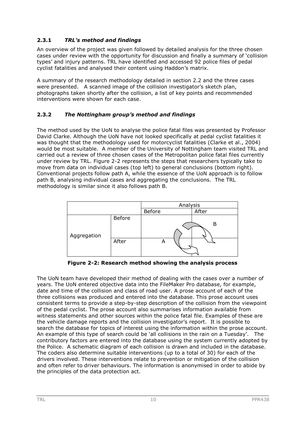## **2.3.1** *TRL's method and findings*

An overview of the project was given followed by detailed analysis for the three chosen cases under review with the opportunity for discussion and finally a summary of 'collision types' and injury patterns. TRL have identified and accessed 92 police files of pedal cyclist fatalities and analysed their content using Haddon's matrix.

A summary of the research methodology detailed in section 2.2 and the three cases were presented. A scanned image of the collision investigator's sketch plan, photographs taken shortly after the collision, a list of key points and recommended interventions were shown for each case.

#### **2.3.2** *The Nottingham group's method and findings*

The method used by the UoN to analyse the police fatal files was presented by Professor David Clarke. Although the UoN have not looked specifically at pedal cyclist fatalities it was thought that the methodology used for motorcyclist fatalities (Clarke et al., 2004) would be most suitable. A member of the University of Nottingham team visited TRL and carried out a review of three chosen cases of the Metropolitan police fatal files currently under review by TRL. Figure 2-2 represents the steps that researchers typically take to move from data on individual cases (top left) to general conclusions (bottom right). Conventional projects follow path A, while the essence of the UoN approach is to follow path B, analysing individual cases and aggregating the conclusions. The TRL methodology is similar since it also follows path B.



**Figure 2-2: Research method showing the analysis process** 

The UoN team have developed their method of dealing with the cases over a number of years. The UoN entered objective data into the FileMaker Pro database, for example, date and time of the collision and class of road user. A prose account of each of the three collisions was produced and entered into the database. This prose account uses consistent terms to provide a step-by-step description of the collision from the viewpoint of the pedal cyclist. The prose account also summarises information available from witness statements and other sources within the police fatal file. Examples of these are the vehicle damage reports and the collision investigator's report. It is possible to search the database for topics of interest using the information within the prose account. An example of this type of search could be 'all collisions in the rain on a Tuesday'. The contributory factors are entered into the database using the system currently adopted by the Police. A schematic diagram of each collision is drawn and included in the database. The coders also determine suitable interventions (up to a total of 30) for each of the drivers involved. These interventions relate to prevention or mitigation of the collision and often refer to driver behaviours. The information is anonymised in order to abide by the principles of the data protection act.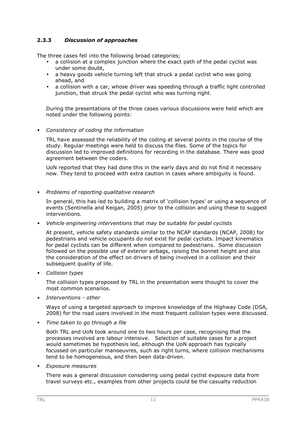#### **2.3.3** *Discussion of approaches*

The three cases fell into the following broad categories;

- a collision at a complex junction where the exact path of the pedal cyclist was under some doubt,
- a heavy goods vehicle turning left that struck a pedal cyclist who was going ahead, and
- a collision with a car, whose driver was speeding through a traffic light controlled junction, that struck the pedal cyclist who was turning right.

During the presentations of the three cases various discussions were held which are noted under the following points:

#### • *Consistency of coding the information*

TRL have assessed the reliability of the coding at several points in the course of the study. Regular meetings were held to discuss the files. Some of the topics for discussion led to improved definitions for recording in the database. There was good agreement between the coders.

UoN reported that they had done this in the early days and do not find it necessary now. They tend to proceed with extra caution in cases where ambiguity is found.

#### • *Problems of reporting qualitative research*

In general, this has led to building a matrix of 'collision types' or using a sequence of events (Sentinella and Keigan, 2005) prior to the collision and using these to suggest interventions.

#### • *Vehicle engineering interventions that may be suitable for pedal cyclists*

At present, vehicle safety standards similar to the NCAP standards (NCAP, 2008) for pedestrians and vehicle occupants do not exist for pedal cyclists. Impact kinematics for pedal cyclists can be different when compared to pedestrians. Some discussion followed on the possible use of exterior airbags, raising the bonnet height and also the consideration of the effect on drivers of being involved in a collision and their subsequent quality of life.

• *Collision types* 

The collision types proposed by TRL in the presentation were thought to cover the most common scenarios.

• *Interventions - other* 

Ways of using a targeted approach to improve knowledge of the Highway Code (DSA, 2008) for the road users involved in the most frequent collision types were discussed.

• *Time taken to go through a file* 

Both TRL and UoN took around one to two hours per case, recognising that the processes involved are labour intensive. Selection of suitable cases for a project would sometimes be hypothesis led, although the UoN approach has typically focussed on particular manoeuvres, such as right turns, where collision mechanisms tend to be homogeneous, and then been data-driven.

• *Exposure measures* 

There was a general discussion considering using pedal cyclist exposure data from travel surveys etc., examples from other projects could be the casualty reduction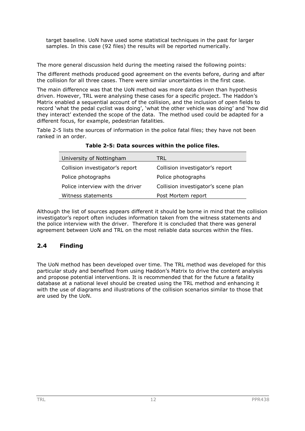target baseline. UoN have used some statistical techniques in the past for larger samples. In this case (92 files) the results will be reported numerically.

The more general discussion held during the meeting raised the following points:

The different methods produced good agreement on the events before, during and after the collision for all three cases. There were similar uncertainties in the first case.

The main difference was that the UoN method was more data driven than hypothesis driven. However, TRL were analysing these cases for a specific project. The Haddon's Matrix enabled a sequential account of the collision, and the inclusion of open fields to record 'what the pedal cyclist was doing', 'what the other vehicle was doing' and 'how did they interact' extended the scope of the data. The method used could be adapted for a different focus, for example, pedestrian fatalities.

Table 2-5 lists the sources of information in the police fatal files; they have not been ranked in an order.

| University of Nottingham         | TRL                                 |
|----------------------------------|-------------------------------------|
| Collision investigator's report  | Collision investigator's report     |
| Police photographs               | Police photographs                  |
| Police interview with the driver | Collision investigator's scene plan |
| Witness statements               | Post Mortem report                  |

**Table 2-5: Data sources within the police files.** 

Although the list of sources appears different it should be borne in mind that the collision investigator's report often includes information taken from the witness statements and the police interview with the driver. Therefore it is concluded that there was general agreement between UoN and TRL on the most reliable data sources within the files.

# **2.4 Finding**

The UoN method has been developed over time. The TRL method was developed for this particular study and benefited from using Haddon's Matrix to drive the content analysis and propose potential interventions. It is recommended that for the future a fatality database at a national level should be created using the TRL method and enhancing it with the use of diagrams and illustrations of the collision scenarios similar to those that are used by the UoN.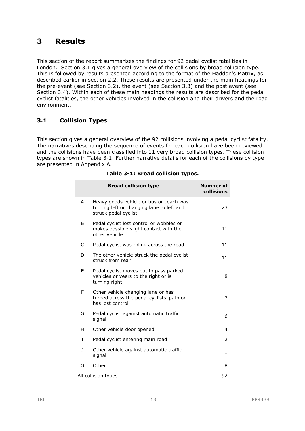# **3 Results**

This section of the report summarises the findings for 92 pedal cyclist fatalities in London. Section 3.1 gives a general overview of the collisions by broad collision type. This is followed by results presented according to the format of the Haddon's Matrix, as described earlier in section 2.2. These results are presented under the main headings for the pre-event (see Section 3.2), the event (see Section 3.3) and the post event (see Section 3.4). Within each of these main headings the results are described for the pedal cyclist fatalities, the other vehicles involved in the collision and their drivers and the road environment.

## **3.1 Collision Types**

This section gives a general overview of the 92 collisions involving a pedal cyclist fatality. The narratives describing the sequence of events for each collision have been reviewed and the collisions have been classified into 11 very broad collision types. These collision types are shown in Table 3-1. Further narrative details for each of the collisions by type are presented in Appendix A.

|              | <b>Broad collision type</b>                                                                                  | <b>Number of</b><br>collisions |
|--------------|--------------------------------------------------------------------------------------------------------------|--------------------------------|
| A            | Heavy goods vehicle or bus or coach was<br>turning left or changing lane to left and<br>struck pedal cyclist | 23                             |
| B            | Pedal cyclist lost control or wobbles or<br>makes possible slight contact with the<br>other vehicle          | 11                             |
| C            | Pedal cyclist was riding across the road                                                                     | 11                             |
| D            | The other vehicle struck the pedal cyclist<br>struck from rear                                               | 11                             |
| F            | Pedal cyclist moves out to pass parked<br>vehicles or veers to the right or is<br>turning right              | 8                              |
| F            | Other vehicle changing lane or has<br>turned across the pedal cyclists' path or<br>has lost control          | 7                              |
| G            | Pedal cyclist against automatic traffic<br>signal                                                            | 6                              |
| н            | Other vehicle door opened                                                                                    | 4                              |
| T            | Pedal cyclist entering main road                                                                             | 2                              |
| $\mathbf{1}$ | Other vehicle against automatic traffic<br>signal                                                            | $\mathbf{1}$                   |
| O            | Other                                                                                                        | 8                              |
|              | All collision types                                                                                          | 92                             |

#### **Table 3-1: Broad collision types.**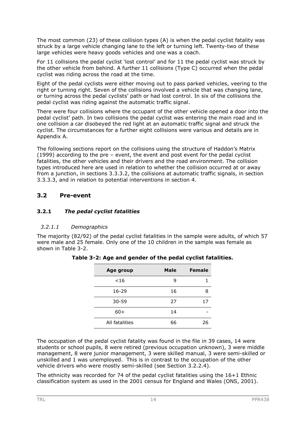The most common (23) of these collision types (A) is when the pedal cyclist fatality was struck by a large vehicle changing lane to the left or turning left. Twenty-two of these large vehicles were heavy goods vehicles and one was a coach.

For 11 collisions the pedal cyclist 'lost control' and for 11 the pedal cyclist was struck by the other vehicle from behind. A further 11 collisions (Type C) occurred when the pedal cyclist was riding across the road at the time.

Eight of the pedal cyclists were either moving out to pass parked vehicles, veering to the right or turning right. Seven of the collisions involved a vehicle that was changing lane, or turning across the pedal cyclists' path or had lost control. In six of the collisions the pedal cyclist was riding against the automatic traffic signal.

There were four collisions where the occupant of the other vehicle opened a door into the pedal cyclist' path. In two collisions the pedal cyclist was entering the main road and in one collision a car disobeyed the red light at an automatic traffic signal and struck the cyclist. The circumstances for a further eight collisions were various and details are in Appendix A.

The following sections report on the collisions using the structure of Haddon's Matrix (1999) according to the pre – event, the event and post event for the pedal cyclist fatalities, the other vehicles and their drivers and the road environment. The collision types introduced here are used in relation to whether the collision occurred at or away from a junction, in sections 3.3.3.2, the collisions at automatic traffic signals, in section 3.3.3.3, and in relation to potential interventions in section 4.

#### **3.2 Pre-event**

#### **3.2.1** *The pedal cyclist fatalities*

#### *3.2.1.1 Demographics*

The majority (82/92) of the pedal cyclist fatalities in the sample were adults, of which 57 were male and 25 female. Only one of the 10 children in the sample was female as shown in Table 3-2.

| Age group      | <b>Male</b> | <b>Female</b> |
|----------------|-------------|---------------|
| $<$ 16         | q           |               |
| $16 - 29$      | 16          |               |
| $30 - 59$      | 27          | 17            |
| $60+$          | 14          |               |
| All fatalities | 66          | 26            |

**Table 3-2: Age and gender of the pedal cyclist fatalities.** 

The occupation of the pedal cyclist fatality was found in the file in 39 cases, 14 were students or school pupils, 8 were retired (previous occupation unknown), 3 were middle management, 8 were junior management, 3 were skilled manual, 3 were semi-skilled or unskilled and 1 was unemployed. This is in contrast to the occupation of the other vehicle drivers who were mostly semi-skilled (see Section 3.2.2.4).

The ethnicity was recorded for 74 of the pedal cyclist fatalities using the 16+1 Ethnic classification system as used in the 2001 census for England and Wales (ONS, 2001).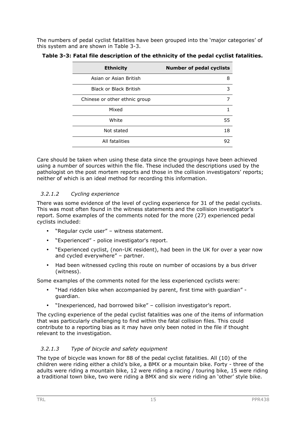The numbers of pedal cyclist fatalities have been grouped into the 'major categories' of this system and are shown in Table 3-3.

| <b>Ethnicity</b>              | <b>Number of pedal cyclists</b> |
|-------------------------------|---------------------------------|
| Asian or Asian British        | 8                               |
| <b>Black or Black British</b> | 3                               |
| Chinese or other ethnic group | 7                               |
| Mixed                         |                                 |
| White                         | 55                              |
| Not stated                    | 18                              |
| All fatalities                | 92                              |

|  |  | Table 3-3: Fatal file description of the ethnicity of the pedal cyclist fatalities. |  |
|--|--|-------------------------------------------------------------------------------------|--|
|--|--|-------------------------------------------------------------------------------------|--|

Care should be taken when using these data since the groupings have been achieved using a number of sources within the file. These included the descriptions used by the pathologist on the post mortem reports and those in the collision investigators' reports; neither of which is an ideal method for recording this information.

#### *3.2.1.2 Cycling experience*

There was some evidence of the level of cycling experience for 31 of the pedal cyclists. This was most often found in the witness statements and the collision investigator's report. Some examples of the comments noted for the more (27) experienced pedal cyclists included:

- "Regular cycle user" witness statement.
- "Experienced" police investigator's report.
- "Experienced cyclist, (non-UK resident), had been in the UK for over a year now and cycled everywhere" – partner.
- Had been witnessed cycling this route on number of occasions by a bus driver (witness).

Some examples of the comments noted for the less experienced cyclists were:

- "Had ridden bike when accompanied by parent, first time with guardian" guardian.
- "Inexperienced, had borrowed bike" collision investigator's report.

The cycling experience of the pedal cyclist fatalities was one of the items of information that was particularly challenging to find within the fatal collision files. This could contribute to a reporting bias as it may have only been noted in the file if thought relevant to the investigation.

#### *3.2.1.3 Type of bicycle and safety equipment*

The type of bicycle was known for 88 of the pedal cyclist fatalities. All (10) of the children were riding either a child's bike, a BMX or a mountain bike. Forty - three of the adults were riding a mountain bike, 12 were riding a racing / touring bike, 15 were riding a traditional town bike, two were riding a BMX and six were riding an 'other' style bike.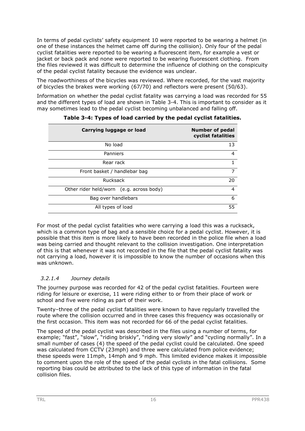In terms of pedal cyclists' safety equipment 10 were reported to be wearing a helmet (in one of these instances the helmet came off during the collision). Only four of the pedal cyclist fatalities were reported to be wearing a fluorescent item, for example a vest or jacket or back pack and none were reported to be wearing fluorescent clothing. From the files reviewed it was difficult to determine the influence of clothing on the conspicuity of the pedal cyclist fatality because the evidence was unclear.

The roadworthiness of the bicycles was reviewed. Where recorded, for the vast majority of bicycles the brakes were working (67/70) and reflectors were present (50/63).

Information on whether the pedal cyclist fatality was carrying a load was recorded for 55 and the different types of load are shown in Table 3-4. This is important to consider as it may sometimes lead to the pedal cyclist becoming unbalanced and falling off.

| Carrying luggage or load                 | <b>Number of pedal</b><br>cyclist fatalities |
|------------------------------------------|----------------------------------------------|
| No load                                  | 13                                           |
| Panniers                                 | 4                                            |
| Rear rack                                | 1                                            |
| Front basket / handlebar bag             | 7                                            |
| Rucksack                                 | 20                                           |
| Other rider held/worn (e.g. across body) | $\overline{4}$                               |
| Bag over handlebars                      | 6                                            |
| All types of load                        | 55                                           |

**Table 3-4: Types of load carried by the pedal cyclist fatalities.** 

For most of the pedal cyclist fatalities who were carrying a load this was a rucksack, which is a common type of bag and a sensible choice for a pedal cyclist. However, it is possible that this item is more likely to have been recorded in the police file when a load was being carried and thought relevant to the collision investigation. One interpretation of this is that whenever it was not recorded in the file that the pedal cyclist fatality was not carrying a load, however it is impossible to know the number of occasions when this was unknown.

#### *3.2.1.4 Journey details*

The journey purpose was recorded for 42 of the pedal cyclist fatalities. Fourteen were riding for leisure or exercise, 11 were riding either to or from their place of work or school and five were riding as part of their work.

Twenty–three of the pedal cyclist fatalities were known to have regularly travelled the route where the collision occurred and in three cases this frequency was occasionally or the first occasion. This item was not recorded for 66 of the pedal cyclist fatalities.

The speed of the pedal cyclist was described in the files using a number of terms, for example; "fast", "slow", "riding briskly", "riding very slowly" and "cycling normally". In a small number of cases (4) the speed of the pedal cyclist could be calculated. One speed was calculated from CCTV (23mph) and three were calculated from police evidence; these speeds were 11mph, 14mph and 9 mph. This limited evidence makes it impossible to comment upon the role of the speed of the pedal cyclists in the fatal collisions. Some reporting bias could be attributed to the lack of this type of information in the fatal collision files.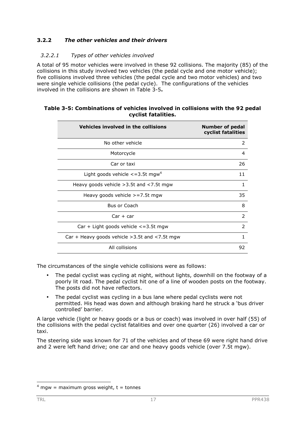#### **3.2.2** *The other vehicles and their drivers*

#### *3.2.2.1 Types of other vehicles involved*

A total of 95 motor vehicles were involved in these 92 collisions. The majority (85) of the collisions in this study involved two vehicles (the pedal cycle and one motor vehicle); five collisions involved three vehicles (the pedal cycle and two motor vehicles) and two were single vehicle collisions (the pedal cycle). The configurations of the vehicles involved in the collisions are shown in Table 3-5**.**

| Vehicles involved in the collisions                   | <b>Number of pedal</b><br>cyclist fatalities |
|-------------------------------------------------------|----------------------------------------------|
| No other vehicle                                      | 2                                            |
| Motorcycle                                            | 4                                            |
| Car or taxi                                           | 26                                           |
| Light goods vehicle $\epsilon$ =3.5t mgw <sup>4</sup> | 11                                           |
| Heavy goods vehicle $>3.5t$ and $<$ 7.5t mgw          | 1                                            |
| Heavy goods vehicle $>=7.5t$ mgw                      | 35                                           |
| <b>Bus or Coach</b>                                   | 8                                            |
| $Car + car$                                           | $\mathcal{P}$                                |
| $Car + Light goods vehicle < 3.5t$ mgw                | $\mathcal{P}$                                |
| Car + Heavy goods vehicle $>3.5t$ and $<7.5t$ mgw     | 1                                            |
| All collisions                                        | 92                                           |

#### **Table 3-5: Combinations of vehicles involved in collisions with the 92 pedal cyclist fatalities.**

The circumstances of the single vehicle collisions were as follows:

- The pedal cyclist was cycling at night, without lights, downhill on the footway of a poorly lit road. The pedal cyclist hit one of a line of wooden posts on the footway. The posts did not have reflectors.
- The pedal cyclist was cycling in a bus lane where pedal cyclists were not permitted. His head was down and although braking hard he struck a 'bus driver controlled' barrier.

A large vehicle (light or heavy goods or a bus or coach) was involved in over half (55) of the collisions with the pedal cyclist fatalities and over one quarter (26) involved a car or taxi.

The steering side was known for 71 of the vehicles and of these 69 were right hand drive and 2 were left hand drive; one car and one heavy goods vehicle (over 7.5t mgw).

 $4$  mgw = maximum gross weight, t = tonnes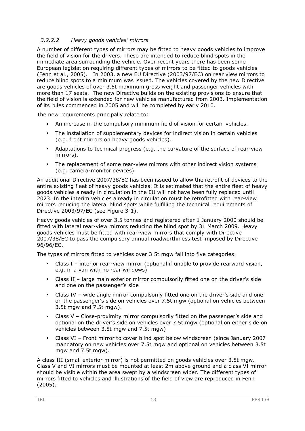#### *3.2.2.2 Heavy goods vehicles' mirrors*

A number of different types of mirrors may be fitted to heavy goods vehicles to improve the field of vision for the drivers. These are intended to reduce blind spots in the immediate area surrounding the vehicle. Over recent years there has been some European legislation requiring different types of mirrors to be fitted to goods vehicles (Fenn et al., 2005). In 2003, a new EU Directive (2003/97/EC) on rear view mirrors to reduce blind spots to a minimum was issued. The vehicles covered by the new Directive are goods vehicles of over 3.5t maximum gross weight and passenger vehicles with more than 17 seats. The new Directive builds on the existing provisions to ensure that the field of vision is extended for new vehicles manufactured from 2003. Implementation of its rules commenced in 2005 and will be completed by early 2010.

The new requirements principally relate to:

- An increase in the compulsory minimum field of vision for certain vehicles.
- The installation of supplementary devices for indirect vision in certain vehicles (e.g. front mirrors on heavy goods vehicles).
- Adaptations to technical progress (e.g. the curvature of the surface of rear-view mirrors).
- The replacement of some rear-view mirrors with other indirect vision systems (e.g. camera-monitor devices).

An additional Directive 2007/38/EC has been issued to allow the retrofit of devices to the entire existing fleet of heavy goods vehicles. It is estimated that the entire fleet of heavy goods vehicles already in circulation in the EU will not have been fully replaced until 2023. In the interim vehicles already in circulation must be retrofitted with rear-view mirrors reducing the lateral blind spots while fulfilling the technical requirements of Directive 2003/97/EC (see Figure 3-1).

Heavy goods vehicles of over 3.5 tonnes and registered after 1 January 2000 should be fitted with lateral rear-view mirrors reducing the blind spot by 31 March 2009. Heavy goods vehicles must be fitted with rear-view mirrors that comply with Directive 2007/38/EC to pass the compulsory annual roadworthiness test imposed by Directive 96/96/EC.

The types of mirrors fitted to vehicles over 3.5t mgw fall into five categories:

- Class I interior rear-view mirror (optional if unable to provide rearward vision, e.g. in a van with no rear windows)
- Class II large main exterior mirror compulsorily fitted one on the driver's side and one on the passenger's side
- Class IV wide angle mirror compulsorily fitted one on the driver's side and one on the passenger's side on vehicles over 7.5t mgw (optional on vehicles between 3.5t mgw and 7.5t mgw).
- Class V Close-proximity mirror compulsorily fitted on the passenger's side and optional on the driver's side on vehicles over 7.5t mgw (optional on either side on vehicles between 3.5t mgw and 7.5t mgw)
- Class VI Front mirror to cover blind spot below windscreen (since January 2007 mandatory on new vehicles over 7.5t mgw and optional on vehicles between 3.5t mgw and 7.5t mgw).

A class III (small exterior mirror) is not permitted on goods vehicles over 3.5t mgw. Class V and VI mirrors must be mounted at least 2m above ground and a class VI mirror should be visible within the area swept by a windscreen wiper. The different types of mirrors fitted to vehicles and illustrations of the field of view are reproduced in Fenn (2005).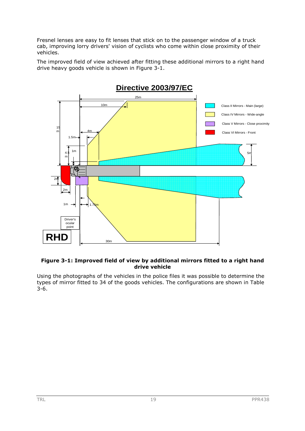Fresnel lenses are easy to fit lenses that stick on to the passenger window of a truck cab, improving lorry drivers' vision of cyclists who come within close proximity of their vehicles.

The improved field of view achieved after fitting these additional mirrors to a right hand drive heavy goods vehicle is shown in Figure 3-1.



#### **Figure 3-1: Improved field of view by additional mirrors fitted to a right hand drive vehicle**

Using the photographs of the vehicles in the police files it was possible to determine the types of mirror fitted to 34 of the goods vehicles. The configurations are shown in Table 3-6.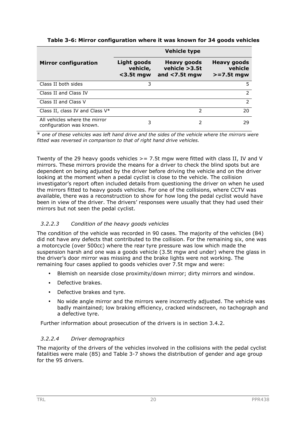|                                                           | <b>Vehicle type</b>                            |                                                         |                                               |  |  |
|-----------------------------------------------------------|------------------------------------------------|---------------------------------------------------------|-----------------------------------------------|--|--|
| <b>Mirror configuration</b>                               | <b>Light goods</b><br>vehicle,<br>$<$ 3.5t mgw | <b>Heavy goods</b><br>vehicle >3.5t<br>and $<$ 7.5t mgw | <b>Heavy goods</b><br>vehicle<br>$>=7.5t$ mgw |  |  |
| Class II both sides                                       | 3                                              |                                                         | 5.                                            |  |  |
| Class II and Class IV                                     |                                                |                                                         | $\mathcal{P}$                                 |  |  |
| Class II and Class V                                      |                                                |                                                         | $\mathcal{P}$                                 |  |  |
| Class II, class IV and Class $V^*$                        |                                                | $\mathcal{P}$                                           | 20                                            |  |  |
| All vehicles where the mirror<br>configuration was known. | 3                                              | 2                                                       | 29                                            |  |  |

**Table 3-6: Mirror configuration where it was known for 34 goods vehicles** 

\* *one of these vehicles was left hand drive and the sides of the vehicle where the mirrors were fitted was reversed in comparison to that of right hand drive vehicles.* 

Twenty of the 29 heavy goods vehicles  $\geq$  = 7.5t mgw were fitted with class II, IV and V mirrors. These mirrors provide the means for a driver to check the blind spots but are dependent on being adjusted by the driver before driving the vehicle and on the driver looking at the moment when a pedal cyclist is close to the vehicle. The collision investigator's report often included details from questioning the driver on when he used the mirrors fitted to heavy goods vehicles. For one of the collisions, where CCTV was available, there was a reconstruction to show for how long the pedal cyclist would have been in view of the driver. The drivers' responses were usually that they had used their mirrors but not seen the pedal cyclist.

#### *3.2.2.3 Condition of the heavy goods vehicles*

The condition of the vehicle was recorded in 90 cases. The majority of the vehicles (84) did not have any defects that contributed to the collision. For the remaining six, one was a motorcycle (over 500cc) where the rear tyre pressure was low which made the suspension harsh and one was a goods vehicle (3.5t mgw and under) where the glass in the driver's door mirror was missing and the brake lights were not working. The remaining four cases applied to goods vehicles over 7.5t mgw and were:

- Blemish on nearside close proximity/down mirror; dirty mirrors and window.
- Defective brakes.
- Defective brakes and tyre.
- No wide angle mirror and the mirrors were incorrectly adjusted. The vehicle was badly maintained; low braking efficiency, cracked windscreen, no tachograph and a defective tyre.

Further information about prosecution of the drivers is in section 3.4.2.

#### *3.2.2.4 Driver demographics*

The majority of the drivers of the vehicles involved in the collisions with the pedal cyclist fatalities were male (85) and Table 3-7 shows the distribution of gender and age group for the 95 drivers.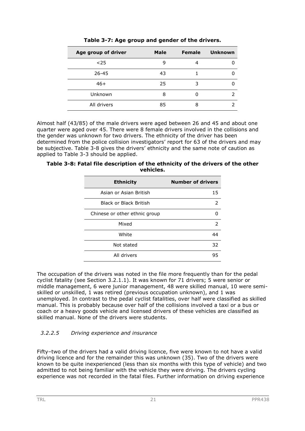| Age group of driver | <b>Male</b> | <b>Female</b> | <b>Unknown</b> |
|---------------------|-------------|---------------|----------------|
| $25$                | q           | 4             |                |
| $26 - 45$           | 43          |               |                |
| $46+$               | 25          | 3             |                |
| Unknown             | 8           |               |                |
| All drivers         | 85          | 8             |                |

**Table 3-7: Age group and gender of the drivers.** 

Almost half (43/85) of the male drivers were aged between 26 and 45 and about one quarter were aged over 45. There were 8 female drivers involved in the collisions and the gender was unknown for two drivers. The ethnicity of the driver has been determined from the police collision investigators' report for 63 of the drivers and may be subjective. Table 3-8 gives the drivers' ethnicity and the same note of caution as applied to Table 3-3 should be applied.

| Table 3-8: Fatal file description of the ethnicity of the drivers of the other |
|--------------------------------------------------------------------------------|
| vehicles.                                                                      |

| <b>Ethnicity</b>              | <b>Number of drivers</b> |
|-------------------------------|--------------------------|
| Asian or Asian British        | 15                       |
| <b>Black or Black British</b> | 2                        |
| Chinese or other ethnic group |                          |
| Mixed                         | $\mathcal{P}$            |
| White                         | 44                       |
| Not stated                    | 32                       |
| All drivers                   | 95                       |

The occupation of the drivers was noted in the file more frequently than for the pedal cyclist fatality (see Section 3.2.1.1). It was known for 71 drivers; 5 were senior or middle management, 6 were junior management, 48 were skilled manual, 10 were semiskilled or unskilled, 1 was retired (previous occupation unknown), and 1 was unemployed. In contrast to the pedal cyclist fatalities, over half were classified as skilled manual. This is probably because over half of the collisions involved a taxi or a bus or coach or a heavy goods vehicle and licensed drivers of these vehicles are classified as skilled manual. None of the drivers were students.

## *3.2.2.5 Driving experience and insurance*

Fifty–two of the drivers had a valid driving licence, five were known to not have a valid driving licence and for the remainder this was unknown (35). Two of the drivers were known to be quite inexperienced (less than six months with this type of vehicle) and two admitted to not being familiar with the vehicle they were driving. The drivers cycling experience was not recorded in the fatal files. Further information on driving experience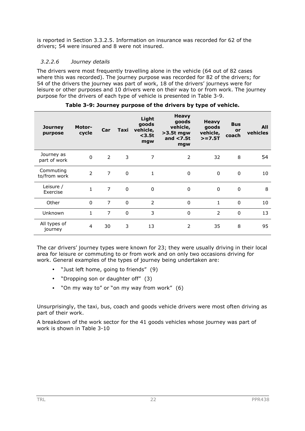is reported in Section 3.3.2.5. Information on insurance was recorded for 62 of the drivers; 54 were insured and 8 were not insured.

#### *3.2.2.6 Journey details*

The drivers were most frequently travelling alone in the vehicle (64 out of 82 cases where this was recorded). The journey purpose was recorded for 82 of the drivers; for 54 of the drivers the journey was part of work, 18 of the drivers' journeys were for leisure or other purposes and 10 drivers were on their way to or from work. The journey purpose for the drivers of each type of vehicle is presented in Table 3-9.

| <b>Journey</b><br>purpose  | <b>Motor-</b><br>cycle | Car            | Taxi         | Light<br>goods<br>vehicle,<br>$3.5t$<br>mgw | <b>Heavy</b><br>goods<br>vehicle,<br>$>3.5t$ mgw<br>and $<$ 7.5t<br>mgw | <b>Heavy</b><br>goods<br>vehicle,<br>$> = 7.5T$ | <b>Bus</b><br>or<br>coach | All<br>vehicles |
|----------------------------|------------------------|----------------|--------------|---------------------------------------------|-------------------------------------------------------------------------|-------------------------------------------------|---------------------------|-----------------|
| Journey as<br>part of work | 0                      | $\overline{2}$ | 3            | 7                                           | $\overline{2}$                                                          | 32                                              | 8                         | 54              |
| Commuting<br>to/from work  | $\overline{2}$         | $\overline{7}$ | 0            | 1                                           | $\mathbf{0}$                                                            | 0                                               | 0                         | 10              |
| Leisure /<br>Exercise      | 1                      | $\overline{7}$ | $\mathbf{0}$ | $\Omega$                                    | $\mathbf{0}$                                                            | 0                                               | 0                         | 8               |
| Other                      | $\Omega$               | $\overline{7}$ | $\Omega$     | $\mathcal{P}$                               | $\mathbf{0}$                                                            | $\mathbf{1}$                                    | $\Omega$                  | 10              |
| Unknown                    | 1                      | 7              | $\Omega$     | 3                                           | $\Omega$                                                                | 2                                               | $\Omega$                  | 13              |
| All types of<br>journey    | $\overline{4}$         | 30             | 3            | 13                                          | 2                                                                       | 35                                              | 8                         | 95              |

#### **Table 3-9: Journey purpose of the drivers by type of vehicle.**

The car drivers' journey types were known for 23; they were usually driving in their local area for leisure or commuting to or from work and on only two occasions driving for work. General examples of the types of journey being undertaken are:

- "Just left home, going to friends" (9)
- "Dropping son or daughter off" (3)
- "On my way to" or "on my way from work" (6)

Unsurprisingly, the taxi, bus, coach and goods vehicle drivers were most often driving as part of their work.

A breakdown of the work sector for the 41 goods vehicles whose journey was part of work is shown in Table 3-10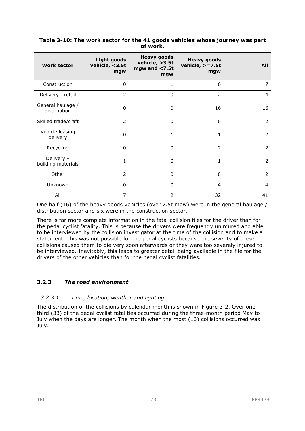| <b>Work sector</b>                | <b>Light goods</b><br>vehicle, <3.5t<br>mgw | <b>Heavy goods</b><br>vehicle, >3.5t<br>mgw and $<$ 7.5t<br>mgw | <b>Heavy goods</b><br>vehicle, $> = 7.5t$<br>mgw | <b>All</b>     |
|-----------------------------------|---------------------------------------------|-----------------------------------------------------------------|--------------------------------------------------|----------------|
| Construction                      | $\Omega$                                    | 1                                                               | 6                                                | 7              |
| Delivery - retail                 | 2                                           | $\Omega$                                                        | 2                                                | 4              |
| General haulage /<br>distribution | $\mathbf{0}$                                | $\Omega$                                                        | 16                                               | 16             |
| Skilled trade/craft               | 2                                           | $\Omega$                                                        | 0                                                | $\overline{2}$ |
| Vehicle leasing<br>delivery       | $\mathbf{0}$                                | 1                                                               | 1                                                | $\overline{2}$ |
| Recycling                         | $\Omega$                                    | $\Omega$                                                        | 2                                                | $\overline{2}$ |
| Delivery -<br>building materials  | 1                                           | $\Omega$                                                        | 1                                                | $\overline{2}$ |
| Other                             | 2                                           | $\Omega$                                                        | $\Omega$                                         | $\overline{2}$ |
| Unknown                           | $\Omega$                                    | $\Omega$                                                        | 4                                                | 4              |
| All                               | 7                                           | $\overline{2}$                                                  | 32                                               | 41             |

#### **Table 3-10: The work sector for the 41 goods vehicles whose journey was part of work.**

One half  $(16)$  of the heavy goods vehicles (over 7.5t mgw) were in the general haulage / distribution sector and six were in the construction sector.

There is far more complete information in the fatal collision files for the driver than for the pedal cyclist fatality. This is because the drivers were frequently uninjured and able to be interviewed by the collision investigator at the time of the collision and to make a statement. This was not possible for the pedal cyclists because the severity of these collisions caused them to die very soon afterwards or they were too severely injured to be interviewed. Inevitably, this leads to greater detail being available in the file for the drivers of the other vehicles than for the pedal cyclist fatalities.

## **3.2.3** *The road environment*

#### *3.2.3.1 Time, location, weather and lighting*

The distribution of the collisions by calendar month is shown in Figure 3-2. Over onethird (33) of the pedal cyclist fatalities occurred during the three-month period May to July when the days are longer. The month when the most (13) collisions occurred was July.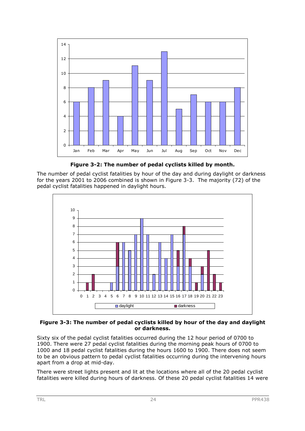

**Figure 3-2: The number of pedal cyclists killed by month.** 

The number of pedal cyclist fatalities by hour of the day and during daylight or darkness for the years 2001 to 2006 combined is shown in Figure 3-3. The majority (72) of the pedal cyclist fatalities happened in daylight hours.



#### **Figure 3-3: The number of pedal cyclists killed by hour of the day and daylight or darkness.**

Sixty six of the pedal cyclist fatalities occurred during the 12 hour period of 0700 to 1900. There were 27 pedal cyclist fatalities during the morning peak hours of 0700 to 1000 and 18 pedal cyclist fatalities during the hours 1600 to 1900. There does not seem to be an obvious pattern to pedal cyclist fatalities occurring during the intervening hours apart from a drop at mid-day.

There were street lights present and lit at the locations where all of the 20 pedal cyclist fatalities were killed during hours of darkness. Of these 20 pedal cyclist fatalities 14 were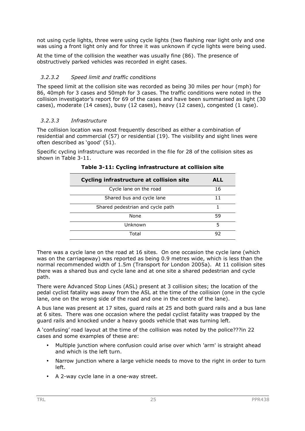not using cycle lights, three were using cycle lights (two flashing rear light only and one was using a front light only and for three it was unknown if cycle lights were being used.

At the time of the collision the weather was usually fine (86). The presence of obstructively parked vehicles was recorded in eight cases.

#### *3.2.3.2 Speed limit and traffic conditions*

The speed limit at the collision site was recorded as being 30 miles per hour (mph) for 86, 40mph for 3 cases and 50mph for 3 cases. The traffic conditions were noted in the collision investigator's report for 69 of the cases and have been summarised as light (30 cases), moderate (14 cases), busy (12 cases), heavy (12 cases), congested (1 case).

#### *3.2.3.3 Infrastructure*

The collision location was most frequently described as either a combination of residential and commercial (57) or residential (19). The visibility and sight lines were often described as 'good' (51).

Specific cycling infrastructure was recorded in the file for 28 of the collision sites as shown in Table 3-11.

| <b>Cycling infrastructure at collision site</b> | ALL |
|-------------------------------------------------|-----|
| Cycle lane on the road                          | 16  |
| Shared bus and cycle lane                       |     |
| Shared pedestrian and cycle path                |     |
| None                                            | 59  |
| Unknown                                         | 5   |
| Total                                           | 92  |

#### **Table 3-11: Cycling infrastructure at collision site**

There was a cycle lane on the road at 16 sites. On one occasion the cycle lane (which was on the carriageway) was reported as being 0.9 metres wide, which is less than the normal recommended width of 1.5m (Transport for London 2005a). At 11 collision sites there was a shared bus and cycle lane and at one site a shared pedestrian and cycle path.

There were Advanced Stop Lines (ASL) present at 3 collision sites; the location of the pedal cyclist fatality was away from the ASL at the time of the collision (one in the cycle lane, one on the wrong side of the road and one in the centre of the lane).

A bus lane was present at 17 sites, guard rails at 25 and both guard rails and a bus lane at 6 sites. There was one occasion where the pedal cyclist fatality was trapped by the guard rails and knocked under a heavy goods vehicle that was turning left.

A 'confusing' road layout at the time of the collision was noted by the police???in 22 cases and some examples of these are:

- Multiple junction where confusion could arise over which 'arm' is straight ahead and which is the left turn.
- Narrow junction where a large vehicle needs to move to the right in order to turn left.
- A 2-way cycle lane in a one-way street.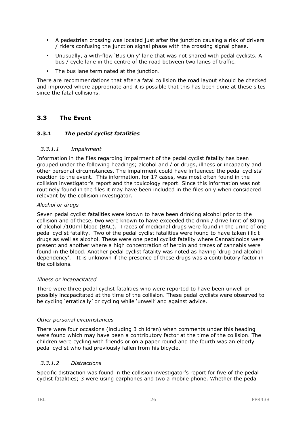- A pedestrian crossing was located just after the junction causing a risk of drivers / riders confusing the junction signal phase with the crossing signal phase.
- Unusually, a with-flow 'Bus Only' lane that was not shared with pedal cyclists. A bus / cycle lane in the centre of the road between two lanes of traffic.
- The bus lane terminated at the junction.

There are recommendations that after a fatal collision the road layout should be checked and improved where appropriate and it is possible that this has been done at these sites since the fatal collisions.

# **3.3 The Event**

#### **3.3.1** *The pedal cyclist fatalities*

#### *3.3.1.1 Impairment*

Information in the files regarding impairment of the pedal cyclist fatality has been grouped under the following headings; alcohol and / or drugs, illness or incapacity and other personal circumstances. The impairment could have influenced the pedal cyclists' reaction to the event. This information, for 17 cases, was most often found in the collision investigator's report and the toxicology report. Since this information was not routinely found in the files it may have been included in the files only when considered relevant by the collision investigator.

#### *Alcohol or drugs*

Seven pedal cyclist fatalities were known to have been drinking alcohol prior to the collision and of these, two were known to have exceeded the drink / drive limit of 80mg of alcohol /100ml blood (BAC). Traces of medicinal drugs were found in the urine of one pedal cyclist fatality. Two of the pedal cyclist fatalities were found to have taken illicit drugs as well as alcohol. These were one pedal cyclist fatality where Cannabinoids were present and another where a high concentration of heroin and traces of cannabis were found in the blood. Another pedal cyclist fatality was noted as having 'drug and alcohol dependency'. It is unknown if the presence of these drugs was a contributory factor in the collisions.

#### *Illness or incapacitated*

There were three pedal cyclist fatalities who were reported to have been unwell or possibly incapacitated at the time of the collision. These pedal cyclists were observed to be cycling 'erratically' or cycling while 'unwell' and against advice.

#### *Other personal circumstances*

There were four occasions (including 3 children) when comments under this heading were found which may have been a contributory factor at the time of the collision. The children were cycling with friends or on a paper round and the fourth was an elderly pedal cyclist who had previously fallen from his bicycle.

#### *3.3.1.2 Distractions*

Specific distraction was found in the collision investigator's report for five of the pedal cyclist fatalities; 3 were using earphones and two a mobile phone. Whether the pedal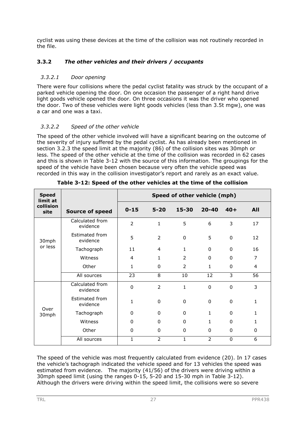cyclist was using these devices at the time of the collision was not routinely recorded in the file.

## **3.3.2** *The other vehicles and their drivers / occupants*

#### *3.3.2.1 Door opening*

There were four collisions where the pedal cyclist fatality was struck by the occupant of a parked vehicle opening the door. On one occasion the passenger of a right hand drive light goods vehicle opened the door. On three occasions it was the driver who opened the door. Two of these vehicles were light goods vehicles (less than 3.5t mgw), one was a car and one was a taxi.

## *3.3.2.2 Speed of the other vehicle*

The speed of the other vehicle involved will have a significant bearing on the outcome of the severity of injury suffered by the pedal cyclist. As has already been mentioned in section 3.2.3 the speed limit at the majority (86) of the collision sites was 30mph or less. The speed of the other vehicle at the time of the collision was recorded in 62 cases and this is shown in Table 3-12 with the source of this information. The groupings for the speed of the vehicle have been chosen because very often the vehicle speed was recorded in this way in the collision investigator's report and rarely as an exact value.

| <b>Speed</b><br>limit at |                             | Speed of other vehicle (mph) |                |                |                |             |     |  |
|--------------------------|-----------------------------|------------------------------|----------------|----------------|----------------|-------------|-----|--|
| collision<br>site        | <b>Source of speed</b>      | $0 - 15$                     | $5 - 20$       | 15-30          | $20 - 40$      | $40+$       | All |  |
|                          | Calculated from<br>evidence | 2                            | $\mathbf{1}$   | 5              | 6              | 3           | 17  |  |
| 30mph                    | Estimated from<br>evidence  | 5                            | $\overline{2}$ | $\mathbf{0}$   | 5              | $\Omega$    | 12  |  |
| or less                  | Tachograph                  | 11                           | $\overline{4}$ | 1              | $\Omega$       | 0           | 16  |  |
|                          | Witness                     | 4                            | 1              | 2              | $\mathbf{0}$   | 0           | 7   |  |
|                          | Other                       | 1                            | $\Omega$       | $\overline{2}$ | 1              | $\Omega$    | 4   |  |
|                          | All sources                 | 23                           | 8              | 10             | 12             | 3           | 56  |  |
|                          | Calculated from<br>evidence | $\Omega$                     | $\overline{2}$ | $\mathbf{1}$   | $\overline{0}$ | $\mathbf 0$ | 3   |  |
|                          | Estimated from<br>evidence  | $\mathbf{1}$                 | $\Omega$       | 0              | $\mathbf{0}$   | 0           | 1   |  |
| Over<br>30mph            | Tachograph                  | 0                            | $\Omega$       | $\Omega$       | 1              | 0           | 1   |  |
|                          | Witness                     | $\Omega$                     | $\Omega$       | 0              | 1              | 0           | 1   |  |
|                          | Other                       | $\Omega$                     | $\mathbf{0}$   | 0              | 0              | 0           | 0   |  |
|                          | All sources                 | $\mathbf{1}$                 | 2              | $\mathbf{1}$   | $\overline{2}$ | 0           | 6   |  |

**Table 3-12: Speed of the other vehicles at the time of the collision** 

The speed of the vehicle was most frequently calculated from evidence (20). In 17 cases the vehicle's tachograph indicated the vehicle speed and for 13 vehicles the speed was estimated from evidence. The majority (41/56) of the drivers were driving within a 30mph speed limit (using the ranges 0-15, 5-20 and 15-30 mph in Table 3-12). Although the drivers were driving within the speed limit, the collisions were so severe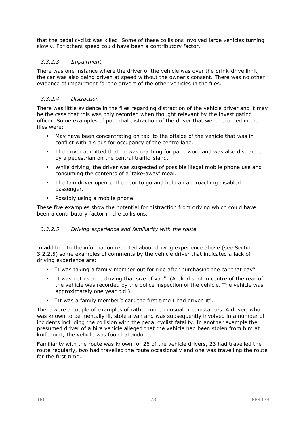that the pedal cyclist was killed. Some of these collisions involved large vehicles turning slowly. For others speed could have been a contributory factor.

#### *3.3.2.3 Impairment*

There was one instance where the driver of the vehicle was over the drink-drive limit, the car was also being driven at speed without the owner's consent. There was no other evidence of impairment for the drivers of the other vehicles in the files.

#### *3.3.2.4 Distraction*

There was little evidence in the files regarding distraction of the vehicle driver and it may be the case that this was only recorded when thought relevant by the investigating officer. Some examples of potential distraction of the driver that were recorded in the files were:

- May have been concentrating on taxi to the offside of the vehicle that was in conflict with his bus for occupancy of the centre lane.
- The driver admitted that he was reaching for paperwork and was also distracted by a pedestrian on the central traffic island.
- While driving, the driver was suspected of possible illegal mobile phone use and consuming the contents of a 'take-away' meal.
- The taxi driver opened the door to go and help an approaching disabled passenger.
- Possibly using a mobile phone.

These five examples show the potential for distraction from driving which could have been a contributory factor in the collisions.

#### *3.3.2.5 Driving experience and familiarity with the route*

In addition to the information reported about driving experience above (see Section 3.2.2.5) some examples of comments by the vehicle driver that indicated a lack of driving experience are:

- "I was taking a family member out for ride after purchasing the car that day"
- "I was not used to driving that size of van". (A blind spot in centre of the rear of the vehicle was recorded by the police inspection of the vehicle. The vehicle was approximately one year old.)
- "It was a family member's car; the first time I had driven it".

There were a couple of examples of rather more unusual circumstances. A driver, who was known to be mentally ill, stole a van and was subsequently involved in a number of incidents including the collision with the pedal cyclist fatality. In another example the presumed driver of a hire vehicle alleged that the vehicle had been stolen from him at knifepoint; the vehicle was found abandoned.

Familiarity with the route was known for 26 of the vehicle drivers, 23 had travelled the route regularly, two had travelled the route occasionally and one was travelling the route for the first time.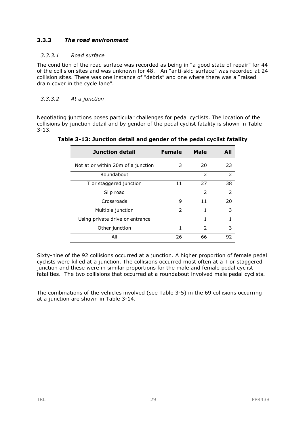## **3.3.3** *The road environment*

### *3.3.3.1 Road surface*

The condition of the road surface was recorded as being in "a good state of repair" for 44 of the collision sites and was unknown for 48. An "anti-skid surface" was recorded at 24 collision sites. There was one instance of "debris" and one where there was a "raised drain cover in the cycle lane".

### *3.3.3.2 At a junction*

Negotiating junctions poses particular challenges for pedal cyclists. The location of the collisions by junction detail and by gender of the pedal cyclist fatality is shown in Table 3-13.

| Junction detail                    | <b>Female</b> | Male          | AII           |
|------------------------------------|---------------|---------------|---------------|
| Not at or within 20m of a junction | З             | 20            | 23            |
| Roundabout                         |               | $\mathcal{P}$ | $\mathcal{P}$ |
| T or staggered junction            | 11            | 27            | 38            |
| Slip road                          |               | $\mathcal{P}$ | $\mathcal{P}$ |
| Crossroads                         | 9             | 11            | 20            |
| Multiple junction                  | $\mathcal{P}$ | 1             | 3             |
| Using private drive or entrance    |               | 1             | 1             |
| Other junction                     | 1             | $\mathcal{P}$ | 3             |
| All                                | 26            | 66            | 92            |

**Table 3-13: Junction detail and gender of the pedal cyclist fatality** 

Sixty-nine of the 92 collisions occurred at a junction. A higher proportion of female pedal cyclists were killed at a junction. The collisions occurred most often at a T or staggered junction and these were in similar proportions for the male and female pedal cyclist fatalities. The two collisions that occurred at a roundabout involved male pedal cyclists.

The combinations of the vehicles involved (see Table 3-5) in the 69 collisions occurring at a junction are shown in Table 3-14.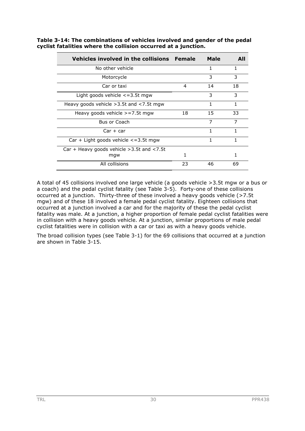| Vehicles involved in the collisions Female           |    | <b>Male</b> | AII |
|------------------------------------------------------|----|-------------|-----|
| No other vehicle                                     |    | 1           | 1   |
| Motorcycle                                           |    | 3           | 3   |
| Car or taxi                                          | 4  | 14          | 18  |
| Light goods vehicle $\leq$ =3.5t mgw                 |    | 3           | 3   |
| Heavy goods vehicle $>3.5t$ and $<7.5t$ mgw          |    | 1           | 1   |
| Heavy goods vehicle $>=7.5t$ mgw                     | 18 | 15          | 33  |
| <b>Bus or Coach</b>                                  |    | 7           | 7   |
| $Car + car$                                          |    | 1           | 1   |
| $Car + Light goods vehicle < 3.5t$ mgw               |    | 1           |     |
| Car + Heavy goods vehicle $>3.5t$ and $<7.5t$<br>mgw | 1  |             |     |
| All collisions                                       | 23 | 46          | 69  |

**Table 3-14: The combinations of vehicles involved and gender of the pedal cyclist fatalities where the collision occurred at a junction.** 

A total of 45 collisions involved one large vehicle (a goods vehicle >3.5t mgw or a bus or a coach) and the pedal cyclist fatality (see Table 3-5). Forty-one of these collisions occurred at a junction. Thirty-three of these involved a heavy goods vehicle (>7.5t mgw) and of these 18 involved a female pedal cyclist fatality. Eighteen collisions that occurred at a junction involved a car and for the majority of these the pedal cyclist fatality was male. At a junction, a higher proportion of female pedal cyclist fatalities were in collision with a heavy goods vehicle. At a junction, similar proportions of male pedal cyclist fatalities were in collision with a car or taxi as with a heavy goods vehicle.

The broad collision types (see Table 3-1) for the 69 collisions that occurred at a junction are shown in Table 3-15.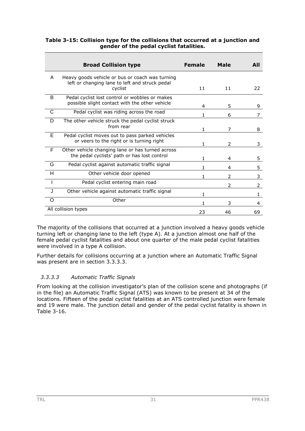|   | <b>Broad Collision type</b>                                                                                  | <b>Female</b> | Male          | AII            |
|---|--------------------------------------------------------------------------------------------------------------|---------------|---------------|----------------|
| A | Heavy goods vehicle or bus or coach was turning<br>left or changing lane to left and struck pedal<br>cyclist | 11            | 11            | 22             |
| B | Pedal cyclist lost control or wobbles or makes<br>possible slight contact with the other vehicle             | 4             | 5             | 9              |
| C | Pedal cyclist was riding across the road                                                                     | 1             | 6             | 7              |
| D | The other vehicle struck the pedal cyclist struck<br>from rear                                               | 1             | 7             | 8              |
| Е | Pedal cyclist moves out to pass parked vehicles<br>or veers to the right or is turning right                 | 1             | 2             | 3              |
| F | Other vehicle changing lane or has turned across<br>the pedal cyclists' path or has lost control             | 1             | 4             | 5.             |
| G | Pedal cyclist against automatic traffic signal                                                               | 1             | 4             | 5.             |
| н | Other vehicle door opened                                                                                    | 1             | $\mathcal{P}$ | 3              |
|   | Pedal cyclist entering main road                                                                             |               | 2             | $\overline{2}$ |
|   | Other vehicle against automatic traffic signal                                                               | 1             |               | 1.             |
| Ω | Other                                                                                                        | 1             | 3             | 4              |
|   | All collision types                                                                                          | 23            | 46            | 69             |

### **Table 3-15: Collision type for the collisions that occurred at a junction and gender of the pedal cyclist fatalities.**

The majority of the collisions that occurred at a junction involved a heavy goods vehicle turning left or changing lane to the left (type A). At a junction almost one half of the female pedal cyclist fatalities and about one quarter of the male pedal cyclist fatalities were involved in a type A collision.

Further details for collisions occurring at a junction where an Automatic Traffic Signal was present are in section 3.3.3.3.

## *3.3.3.3 Automatic Traffic Signals*

From looking at the collision investigator's plan of the collision scene and photographs (if in the file) an Automatic Traffic Signal (ATS) was known to be present at 34 of the locations. Fifteen of the pedal cyclist fatalities at an ATS controlled junction were female and 19 were male. The junction detail and gender of the pedal cyclist fatality is shown in Table 3-16.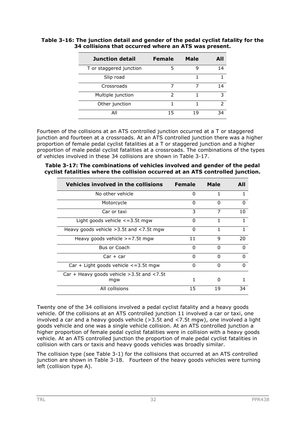| Junction detail         | <b>Female</b> | <b>Male</b> | AII           |
|-------------------------|---------------|-------------|---------------|
| T or staggered junction | 5             |             | 14            |
| Slip road               |               |             |               |
| Crossroads              |               |             | 14            |
| Multiple junction       | 2             |             | 3             |
| Other junction          | 1             |             | $\mathcal{P}$ |
| ΑIΙ                     | 15            | 19          | ۹⊿            |

### **Table 3-16: The junction detail and gender of the pedal cyclist fatality for the 34 collisions that occurred where an ATS was present.**

Fourteen of the collisions at an ATS controlled junction occurred at a T or staggered junction and fourteen at a crossroads. At an ATS controlled junction there was a higher proportion of female pedal cyclist fatalities at a T or staggered junction and a higher proportion of male pedal cyclist fatalities at a crossroads. The combinations of the types of vehicles involved in these 34 collisions are shown in Table 3-17.

**Table 3-17: The combinations of vehicles involved and gender of the pedal cyclist fatalities where the collision occurred at an ATS controlled junction.** 

| Vehicles involved in the collisions                  | <b>Female</b> | Male     | AII          |
|------------------------------------------------------|---------------|----------|--------------|
| No other vehicle                                     | 0             | 1        |              |
| Motorcycle                                           | O             | O        | 0            |
| Car or taxi                                          | 3             | 7        | 10           |
| Light goods vehicle $\leq$ =3.5t mgw                 | 0             | 1        |              |
| Heavy goods vehicle > 3.5t and < 7.5t mgw            | O             | 1        |              |
| Heavy goods vehicle $>=7.5t$ mgw                     | 11            | 9        | 20           |
| Bus or Coach                                         | O             | O        | <sup>0</sup> |
| $Car + car$                                          | 0             | $\Omega$ | n            |
| $Car + Light$ goods vehicle $\lt$ =3.5t mgw          | 0             | O        | O            |
| $Car + Heavy goods vehicle > 3.5t and < 7.5t$<br>mgw | 1             | n        |              |
| All collisions                                       | 15            | 19       | 34           |

Twenty one of the 34 collisions involved a pedal cyclist fatality and a heavy goods vehicle. Of the collisions at an ATS controlled junction 11 involved a car or taxi, one involved a car and a heavy goods vehicle (>3.5t and <7.5t mgw), one involved a light goods vehicle and one was a single vehicle collision. At an ATS controlled junction a higher proportion of female pedal cyclist fatalities were in collision with a heavy goods vehicle. At an ATS controlled junction the proportion of male pedal cyclist fatalities in collision with cars or taxis and heavy goods vehicles was broadly similar.

The collision type (see Table 3-1) for the collisions that occurred at an ATS controlled junction are shown in Table 3-18. Fourteen of the heavy goods vehicles were turning left (collision type A).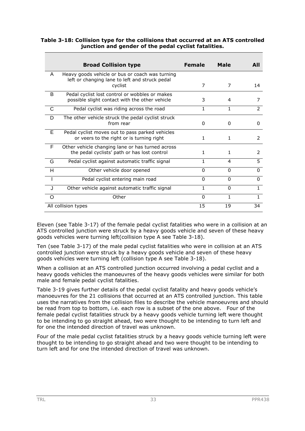|   |                                                                                                              |               |          | AII           |
|---|--------------------------------------------------------------------------------------------------------------|---------------|----------|---------------|
|   | <b>Broad Collision type</b>                                                                                  | <b>Female</b> | Male     |               |
| A | Heavy goods vehicle or bus or coach was turning<br>left or changing lane to left and struck pedal<br>cyclist | 7             | 7        | 14            |
| B | Pedal cyclist lost control or wobbles or makes<br>possible slight contact with the other vehicle             | 3             | 4        |               |
| C | Pedal cyclist was riding across the road                                                                     | 1             | 1        | $\mathcal{P}$ |
| D | The other vehicle struck the pedal cyclist struck<br>from rear                                               | 0             | 0        | 0             |
| E | Pedal cyclist moves out to pass parked vehicles<br>or veers to the right or is turning right                 | 1             | 1        | $\mathcal{P}$ |
| F | Other vehicle changing lane or has turned across<br>the pedal cyclists' path or has lost control             | 1             | 1        | 2             |
| G | Pedal cyclist against automatic traffic signal                                                               | 1             | 4        | 5.            |
| н | Other vehicle door opened                                                                                    | $\Omega$      | $\Omega$ | $\Omega$      |
|   | Pedal cyclist entering main road                                                                             | 0             | $\Omega$ | 0             |
|   | Other vehicle against automatic traffic signal                                                               | 1             | $\Omega$ | $\mathbf{1}$  |
| Ω | Other                                                                                                        | $\Omega$      | 1        |               |
|   | All collision types                                                                                          | 15            | 19       | 34            |

#### **Table 3-18: Collision type for the collisions that occurred at an ATS controlled junction and gender of the pedal cyclist fatalities.**

Eleven (see Table 3-17) of the female pedal cyclist fatalities who were in a collision at an ATS controlled junction were struck by a heavy goods vehicle and seven of these heavy goods vehicles were turning left(collision type A see Table 3-18).

Ten (see Table 3-17) of the male pedal cyclist fatalities who were in collision at an ATS controlled junction were struck by a heavy goods vehicle and seven of these heavy goods vehicles were turning left (collision type A see Table 3-18).

When a collision at an ATS controlled junction occurred involving a pedal cyclist and a heavy goods vehicles the manoeuvres of the heavy goods vehicles were similar for both male and female pedal cyclist fatalities.

Table 3-19 gives further details of the pedal cyclist fatality and heavy goods vehicle's manoeuvres for the 21 collisions that occurred at an ATS controlled junction. This table uses the narratives from the collision files to describe the vehicle manoeuvres and should be read from top to bottom, i.e. each row is a subset of the one above. Four of the female pedal cyclist fatalities struck by a heavy goods vehicle turning left were thought to be intending to go straight ahead, two were thought to be intending to turn left and for one the intended direction of travel was unknown.

Four of the male pedal cyclist fatalities struck by a heavy goods vehicle turning left were thought to be intending to go straight ahead and two were thought to be intending to turn left and for one the intended direction of travel was unknown.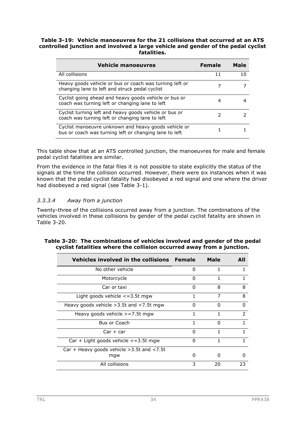#### **Table 3-19: Vehicle manoeuvres for the 21 collisions that occurred at an ATS controlled junction and involved a large vehicle and gender of the pedal cyclist fatalities.**

| <b>Vehicle manoeuvres</b>                                                                                      | <b>Female</b> | Male |
|----------------------------------------------------------------------------------------------------------------|---------------|------|
| All collisions                                                                                                 | 11            |      |
| Heavy goods vehicle or bus or coach was turning left or<br>changing lane to left and struck pedal cyclist      |               |      |
| Cyclist going ahead and heavy goods vehicle or bus or<br>coach was turning left or changing lane to left       | 4             |      |
| Cyclist turning left and heavy goods vehicle or bus or<br>coach was turning left or changing lane to left      |               |      |
| Cyclist manoeuvre unknown and heavy goods vehicle or<br>bus or coach was turning left or changing lane to left |               |      |

This table show that at an ATS controlled junction, the manoeuvres for male and female pedal cyclist fatalities are similar.

From the evidence in the fatal files it is not possible to state explicitly the status of the signals at the time the collision occurred. However, there were six instances when it was known that the pedal cyclist fatality had disobeyed a red signal and one where the driver had disobeyed a red signal (see Table 3-1).

### *3.3.3.4 Away from a junction*

Twenty-three of the collisions occurred away from a junction. The combinations of the vehicles involved in these collisions by gender of the pedal cyclist fatality are shown in Table 3-20.

|  | Table 3-20: The combinations of vehicles involved and gender of the pedal |  |  |  |  |
|--|---------------------------------------------------------------------------|--|--|--|--|
|  | cyclist fatalities where the collision occurred away from a junction.     |  |  |  |  |
|  |                                                                           |  |  |  |  |

| Vehicles involved in the collisions Female           |          | Male | AII           |
|------------------------------------------------------|----------|------|---------------|
| No other vehicle                                     | n        | 1    |               |
| Motorcycle                                           | O        |      |               |
| Car or taxi                                          | ŋ        | 8    | 8             |
| Light goods vehicle $\leq$ = 3.5t mgw                | 1        | 7    | 8             |
| Heavy goods vehicle $>3.5t$ and $<$ 7.5t mgw         | O        | ŋ    | n             |
| Heavy goods vehicle $>=7.5t$ mgw                     | 1        |      | $\mathcal{P}$ |
| Bus or Coach                                         | 1        | 0    | 1             |
| $Car + car$                                          | $\Omega$ | 1    | 1             |
| $Car + Light$ goods vehicle $\lt$ =3.5t mgw          | $\Omega$ | 1    |               |
| Car + Heavy goods vehicle $>3.5t$ and $<7.5t$<br>mgw | O        | O    | 0             |
| All collisions                                       | 3        | 20   | 23            |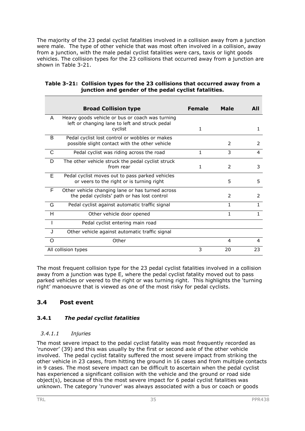The majority of the 23 pedal cyclist fatalities involved in a collision away from a junction were male. The type of other vehicle that was most often involved in a collision, away from a junction, with the male pedal cyclist fatalities were cars, taxis or light goods vehicles. The collision types for the 23 collisions that occurred away from a junction are shown in Table 3-21.

|     | <b>Broad Collision type</b>                                                                                  | <b>Female</b> | <b>Male</b>  | AII          |
|-----|--------------------------------------------------------------------------------------------------------------|---------------|--------------|--------------|
| A   | Heavy goods vehicle or bus or coach was turning<br>left or changing lane to left and struck pedal<br>cyclist | 1             |              | 1            |
| B   | Pedal cyclist lost control or wobbles or makes<br>possible slight contact with the other vehicle             |               | 2            | 2            |
| C   | Pedal cyclist was riding across the road                                                                     | 1             | 3            | 4            |
| D   | The other vehicle struck the pedal cyclist struck<br>from rear                                               | 1             | 2            | 3            |
| E   | Pedal cyclist moves out to pass parked vehicles<br>or veers to the right or is turning right                 |               | 5            | 5            |
| F   | Other vehicle changing lane or has turned across<br>the pedal cyclists' path or has lost control             |               | 2            | 2            |
| G   | Pedal cyclist against automatic traffic signal                                                               |               | $\mathbf{1}$ | $\mathbf{1}$ |
| H   | Other vehicle door opened                                                                                    |               | 1            | 1            |
|     | Pedal cyclist entering main road                                                                             |               |              |              |
| . I | Other vehicle against automatic traffic signal                                                               |               |              |              |
| O   | Other                                                                                                        |               | 4            | 4            |
|     | All collision types                                                                                          | 3             | 20           | 23           |

| Table 3-21: Collision types for the 23 collisions that occurred away from a |
|-----------------------------------------------------------------------------|
| junction and gender of the pedal cyclist fatalities.                        |

The most frequent collision type for the 23 pedal cyclist fatalities involved in a collision away from a junction was type E, where the pedal cyclist fatality moved out to pass parked vehicles or veered to the right or was turning right. This highlights the 'turning right' manoeuvre that is viewed as one of the most risky for pedal cyclists.

# **3.4 Post event**

## **3.4.1** *The pedal cyclist fatalities*

### *3.4.1.1 Injuries*

The most severe impact to the pedal cyclist fatality was most frequently recorded as 'runover' (39) and this was usually by the first or second axle of the other vehicle involved. The pedal cyclist fatality suffered the most severe impact from striking the other vehicle in 23 cases, from hitting the ground in 16 cases and from multiple contacts in 9 cases. The most severe impact can be difficult to ascertain when the pedal cyclist has experienced a significant collision with the vehicle and the ground or road side object(s), because of this the most severe impact for 6 pedal cyclist fatalities was unknown. The category 'runover' was always associated with a bus or coach or goods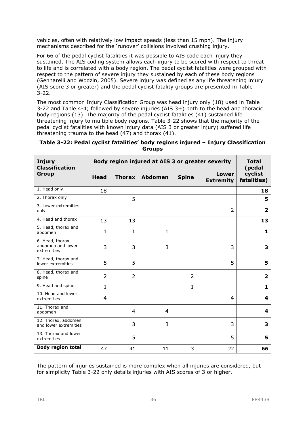vehicles, often with relatively low impact speeds (less than 15 mph). The injury mechanisms described for the 'runover' collisions involved crushing injury.

For 66 of the pedal cyclist fatalities it was possible to AIS code each injury they sustained. The AIS coding system allows each injury to be scored with respect to threat to life and is correlated with a body region. The pedal cyclist fatalities were grouped with respect to the pattern of severe injury they sustained by each of these body regions (Gennarelli and Wodzin, 2005). Severe injury was defined as any life threatening injury (AIS score 3 or greater) and the pedal cyclist fatality groups are presented in Table  $3 - 22$ .

The most common Injury Classification Group was head injury only (18) used in Table 3-22 and Table 4-4; followed by severe injuries (AIS 3+) both to the head and thoracic body regions (13). The majority of the pedal cyclist fatalities (41) sustained life threatening injury to multiple body regions. Table 3-22 shows that the majority of the pedal cyclist fatalities with known injury data (AIS 3 or greater injury) suffered life threatening trauma to the head (47) and thorax (41).

| <b>Injury</b><br><b>Classification</b>               |                | Body region injured at AIS 3 or greater severity |                       |                |                           |                         |  |
|------------------------------------------------------|----------------|--------------------------------------------------|-----------------------|----------------|---------------------------|-------------------------|--|
| <b>Group</b>                                         | <b>Head</b>    |                                                  | <b>Thorax Abdomen</b> | <b>Spine</b>   | Lower<br><b>Extremity</b> | cyclist<br>fatalities)  |  |
| 1. Head only                                         | 18             |                                                  |                       |                |                           | 18                      |  |
| 2. Thorax only                                       |                | 5                                                |                       |                |                           | 5                       |  |
| 3. Lower extremities<br>only                         |                |                                                  |                       |                | $\overline{2}$            | $\overline{\mathbf{2}}$ |  |
| 4. Head and thorax                                   | 13             | 13                                               |                       |                |                           | 13                      |  |
| 5. Head, thorax and<br>abdomen                       | $\mathbf{1}$   | $\mathbf{1}$                                     | $\mathbf{1}$          |                |                           | 1                       |  |
| 6. Head, thorax,<br>abdomen and lower<br>extremities | 3              | 3                                                | 3                     |                | 3                         | 3                       |  |
| 7. Head, thorax and<br>lower extremities             | 5              | 5                                                |                       |                | 5                         | 5                       |  |
| 8. Head, thorax and<br>spine                         | $\overline{2}$ | $\overline{2}$                                   |                       | $\overline{2}$ |                           | $\overline{2}$          |  |
| 9. Head and spine                                    | $\mathbf{1}$   |                                                  |                       | $\mathbf{1}$   |                           | $\mathbf{1}$            |  |
| 10. Head and lower<br>extremities                    | $\overline{4}$ |                                                  |                       |                | 4                         | 4                       |  |
| 11. Thorax and<br>abdomen                            |                | 4                                                | 4                     |                |                           | 4                       |  |
| 12. Thorax, abdomen<br>and lower extremities         |                | 3                                                | 3                     |                | 3                         | 3                       |  |
| 13. Thorax and lower<br>extremities                  |                | 5                                                |                       |                | 5                         | 5                       |  |
| <b>Body region total</b>                             | 47             | 41                                               | 11                    | 3              | 22                        | 66                      |  |

**Table 3-22: Pedal cyclist fatalities' body regions injured – Injury Classification Groups** 

The pattern of injuries sustained is more complex when all injuries are considered, but for simplicity Table 3-22 only details injuries with AIS scores of 3 or higher.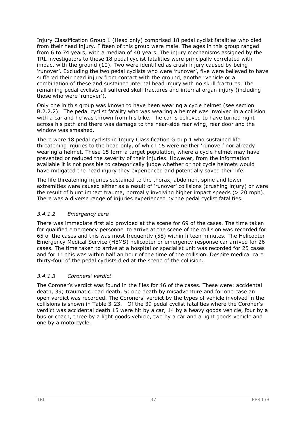Injury Classification Group 1 (Head only) comprised 18 pedal cyclist fatalities who died from their head injury. Fifteen of this group were male. The ages in this group ranged from 6 to 74 years, with a median of 40 years. The injury mechanisms assigned by the TRL investigators to these 18 pedal cyclist fatalities were principally correlated with impact with the ground (10). Two were identified as crush injury caused by being 'runover'. Excluding the two pedal cyclists who were 'runover', five were believed to have suffered their head injury from contact with the ground, another vehicle or a combination of these and sustained internal head injury with no skull fractures. The remaining pedal cyclists all suffered skull fractures and internal organ injury (including those who were 'runover').

Only one in this group was known to have been wearing a cycle helmet (see section B.2.2.2). The pedal cyclist fatality who was wearing a helmet was involved in a collision with a car and he was thrown from his bike. The car is believed to have turned right across his path and there was damage to the near-side rear wing, rear door and the window was smashed.

There were 18 pedal cyclists in Injury Classification Group 1 who sustained life threatening injuries to the head only, of which 15 were neither 'runover' nor already wearing a helmet. These 15 form a target population, where a cycle helmet may have prevented or reduced the severity of their injuries. However, from the information available it is not possible to categorically judge whether or not cycle helmets would have mitigated the head injury they experienced and potentially saved their life.

The life threatening injuries sustained to the thorax, abdomen, spine and lower extremities were caused either as a result of 'runover' collisions (crushing injury) or were the result of blunt impact trauma, normally involving higher impact speeds (> 20 mph). There was a diverse range of injuries experienced by the pedal cyclist fatalities.

## *3.4.1.2 Emergency care*

There was immediate first aid provided at the scene for 69 of the cases. The time taken for qualified emergency personnel to arrive at the scene of the collision was recorded for 65 of the cases and this was most frequently (58) within fifteen minutes. The Helicopter Emergency Medical Service (HEMS) helicopter or emergency response car arrived for 26 cases. The time taken to arrive at a hospital or specialist unit was recorded for 25 cases and for 11 this was within half an hour of the time of the collision. Despite medical care thirty-four of the pedal cyclists died at the scene of the collision.

## *3.4.1.3 Coroners' verdict*

The Coroner's verdict was found in the files for 46 of the cases. These were: accidental death, 39; traumatic road death, 5; one death by misadventure and for one case an open verdict was recorded. The Coroners' verdict by the types of vehicle involved in the collisions is shown in Table 3-23. Of the 39 pedal cyclist fatalities where the Coroner's verdict was accidental death 15 were hit by a car, 14 by a heavy goods vehicle, four by a bus or coach, three by a light goods vehicle, two by a car and a light goods vehicle and one by a motorcycle.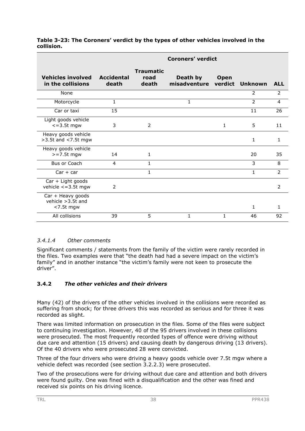|                                                         | <b>Coroners' verdict</b>   |                                   |                          |                        |                |                |  |  |  |  |
|---------------------------------------------------------|----------------------------|-----------------------------------|--------------------------|------------------------|----------------|----------------|--|--|--|--|
| <b>Vehicles involved</b><br>in the collisions           | <b>Accidental</b><br>death | <b>Traumatic</b><br>road<br>death | Death by<br>misadventure | <b>Open</b><br>verdict | Unknown        | <b>ALL</b>     |  |  |  |  |
| None                                                    |                            |                                   |                          |                        | 2              | $\overline{2}$ |  |  |  |  |
| Motorcycle                                              | 1                          |                                   | 1                        |                        | $\overline{2}$ | $\overline{4}$ |  |  |  |  |
| Car or taxi                                             | 15                         |                                   |                          |                        | 11             | 26             |  |  |  |  |
| Light goods vehicle<br>$\epsilon$ =3.5t mgw             | 3                          | 2                                 |                          | 1                      | 5              | 11             |  |  |  |  |
| Heavy goods vehicle<br>>3.5t and <7.5t mgw              |                            |                                   |                          |                        | $\mathbf{1}$   | 1              |  |  |  |  |
| Heavy goods vehicle<br>$>=7.5t$ mgw                     | 14                         | $\mathbf{1}$                      |                          |                        | 20             | 35             |  |  |  |  |
| Bus or Coach                                            | 4                          | $\mathbf{1}$                      |                          |                        | 3              | 8              |  |  |  |  |
| $Car + car$                                             |                            | 1                                 |                          |                        | 1              | $\overline{2}$ |  |  |  |  |
| Car + Light goods<br>vehicle $\leq$ = 3.5t mgw          | 2                          |                                   |                          |                        |                | 2              |  |  |  |  |
| Car + Heavy goods<br>vehicle > 3.5t and<br>$<$ 7.5t mgw |                            |                                   |                          |                        | 1              | 1              |  |  |  |  |
| All collisions                                          | 39                         | 5                                 | 1                        | 1                      | 46             | 92             |  |  |  |  |

#### **Table 3-23: The Coroners' verdict by the types of other vehicles involved in the collision.**

# *3.4.1.4 Other comments*

Significant comments / statements from the family of the victim were rarely recorded in the files. Two examples were that "the death had had a severe impact on the victim's family" and in another instance "the victim's family were not keen to prosecute the driver".

## **3.4.2** *The other vehicles and their drivers*

Many (42) of the drivers of the other vehicles involved in the collisions were recorded as suffering from shock; for three drivers this was recorded as serious and for three it was recorded as slight.

There was limited information on prosecution in the files. Some of the files were subject to continuing investigation. However, 40 of the 95 drivers involved in these collisions were prosecuted. The most frequently recorded types of offence were driving without due care and attention (15 drivers) and causing death by dangerous driving (13 drivers). Of the 40 drivers who were prosecuted 28 were convicted.

Three of the four drivers who were driving a heavy goods vehicle over 7.5t mgw where a vehicle defect was recorded (see section 3.2.2.3) were prosecuted.

Two of the prosecutions were for driving without due care and attention and both drivers were found guilty. One was fined with a disqualification and the other was fined and received six points on his driving licence.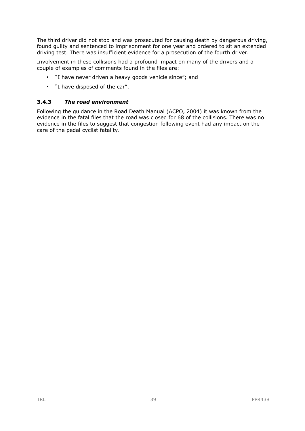The third driver did not stop and was prosecuted for causing death by dangerous driving, found guilty and sentenced to imprisonment for one year and ordered to sit an extended driving test. There was insufficient evidence for a prosecution of the fourth driver.

Involvement in these collisions had a profound impact on many of the drivers and a couple of examples of comments found in the files are:

- "I have never driven a heavy goods vehicle since"; and
- "I have disposed of the car".

## **3.4.3** *The road environment*

Following the guidance in the Road Death Manual (ACPO, 2004) it was known from the evidence in the fatal files that the road was closed for 68 of the collisions. There was no evidence in the files to suggest that congestion following event had any impact on the care of the pedal cyclist fatality.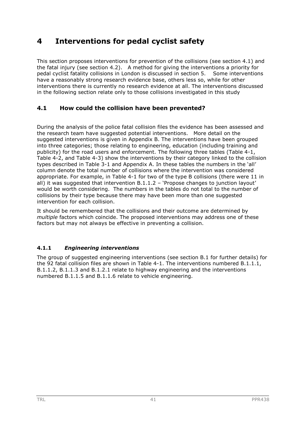# **4 Interventions for pedal cyclist safety**

This section proposes interventions for prevention of the collisions (see section 4.1) and the fatal injury (see section 4.2). A method for giving the interventions a priority for pedal cyclist fatality collisions in London is discussed in section 5. Some interventions have a reasonably strong research evidence base, others less so, while for other interventions there is currently no research evidence at all. The interventions discussed in the following section relate only to those collisions investigated in this study

# **4.1 How could the collision have been prevented?**

During the analysis of the police fatal collision files the evidence has been assessed and the research team have suggested potential interventions. More detail on the suggested interventions is given in Appendix B. The interventions have been grouped into three categories; those relating to engineering, education (including training and publicity) for the road users and enforcement. The following three tables (Table 4-1, Table 4-2, and Table 4-3) show the interventions by their category linked to the collision types described in Table 3-1 and Appendix A. In these tables the numbers in the 'all' column denote the total number of collisions where the intervention was considered appropriate. For example, in Table 4-1 for two of the type B collisions (there were 11 in all) it was suggested that intervention  $B.1.1.2$  – 'Propose changes to junction layout' would be worth considering. The numbers in the tables do not total to the number of collisions by their type because there may have been more than one suggested intervention for each collision.

It should be remembered that the collisions and their outcome are determined by *multiple* factors which coincide. The proposed interventions may address one of these factors but may not always be effective in preventing a collision.

# **4.1.1** *Engineering interventions*

The group of suggested engineering interventions (see section B.1 for further details) for the 92 fatal collision files are shown in Table 4-1. The interventions numbered B.1.1.1, B.1.1.2, B.1.1.3 and B.1.2.1 relate to highway engineering and the interventions numbered B.1.1.5 and B.1.1.6 relate to vehicle engineering.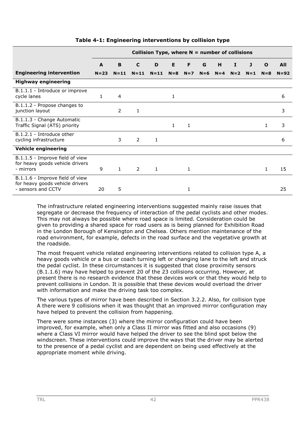|                                                                                          |              | Collision Type, where $N =$ number of collisions |                |              |              |       |       |         |       |       |              |            |
|------------------------------------------------------------------------------------------|--------------|--------------------------------------------------|----------------|--------------|--------------|-------|-------|---------|-------|-------|--------------|------------|
|                                                                                          | A            | B                                                | C              | D            | E            | F     | G     | н       | I     | J     | $\mathbf{o}$ | <b>All</b> |
| <b>Engineering intervention</b>                                                          | $N = 23$     | $N = 11$                                         | $N = 11$       | $N = 11$     | $N = 8$      | $N=7$ | $N=6$ | $N = 4$ | $N=2$ | $N=1$ | $N = 8$      | $N = 92$   |
| <b>Highway engineering</b>                                                               |              |                                                  |                |              |              |       |       |         |       |       |              |            |
| B.1.1.1 - Introduce or improve<br>cycle lanes                                            | $\mathbf{1}$ | $\overline{4}$                                   |                |              | 1            |       |       |         |       |       |              | 6          |
| B.1.1.2 - Propose changes to<br>junction layout                                          |              | 2                                                | 1              |              |              |       |       |         |       |       |              | 3          |
| B.1.1.3 - Change Automatic<br>Traffic Signal (ATS) priority                              |              |                                                  |                |              | $\mathbf{1}$ | 1     |       |         |       |       | 1            | 3          |
| B.1.2.1 - Introduce other<br>cycling infrastructure                                      |              | 3                                                | $\overline{2}$ | 1            |              |       |       |         |       |       |              | 6          |
| <b>Vehicle engineering</b>                                                               |              |                                                  |                |              |              |       |       |         |       |       |              |            |
| B.1.1.5 - Improve field of view<br>for heavy goods vehicle drivers<br>- mirrors          | 9            | 1                                                | $\overline{2}$ | $\mathbf{1}$ |              | 1     |       |         |       |       | $\mathbf{1}$ | 15         |
| B.1.1.6 - Improve field of view<br>for heavy goods vehicle drivers<br>- sensors and CCTV | 20           | 5                                                |                |              |              | 1     |       |         |       |       |              | 25         |

### **Table 4-1: Engineering interventions by collision type**

The infrastructure related engineering interventions suggested mainly raise issues that segregate or decrease the frequency of interaction of the pedal cyclists and other modes. This may not always be possible where road space is limited. Consideration could be given to providing a shared space for road users as is being planned for Exhibition Road in the London Borough of Kensington and Chelsea. Others mention maintenance of the road environment, for example, defects in the road surface and the vegetative growth at the roadside.

The most frequent vehicle related engineering interventions related to collision type A, a heavy goods vehicle or a bus or coach turning left or changing lane to the left and struck the pedal cyclist. In these circumstances it is suggested that close proximity sensors (B.1.1.6) may have helped to prevent 20 of the 23 collisions occurring. However, at present there is no research evidence that these devices work or that they would help to prevent collisions in London. It is possible that these devices would overload the driver with information and make the driving task too complex.

The various types of mirror have been described in Section 3.2.2. Also, for collision type A there were 9 collisions when it was thought that an improved mirror configuration may have helped to prevent the collision from happening.

There were some instances (3) where the mirror configuration could have been improved, for example, when only a Class II mirror was fitted and also occasions (9) where a Class VI mirror would have helped the driver to see the blind spot below the windscreen. These interventions could improve the ways that the driver may be alerted to the presence of a pedal cyclist and are dependent on being used effectively at the appropriate moment while driving.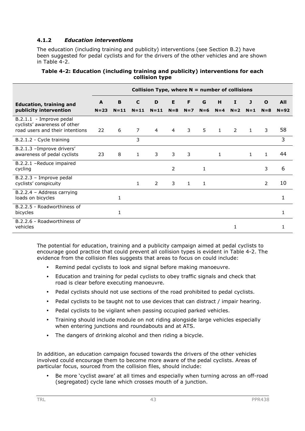## **4.1.2** *Education interventions*

The education (including training and publicity) interventions (see Section B.2) have been suggested for pedal cyclists and for the drivers of the other vehicles and are shown in Table 4-2.

|                                                                                            |          |                                                  |                | -------- <i>-</i> /r |                |              |       |              |       |              |                |          |
|--------------------------------------------------------------------------------------------|----------|--------------------------------------------------|----------------|----------------------|----------------|--------------|-------|--------------|-------|--------------|----------------|----------|
|                                                                                            |          | Collision Type, where $N =$ number of collisions |                |                      |                |              |       |              |       |              |                |          |
| <b>Education, training and</b>                                                             | A        | B                                                | C              | D                    | E              | F            | G     | н            | 1     | J            | $\mathbf{o}$   | All      |
| publicity intervention                                                                     | $N = 23$ | $N = 11$                                         | $N = 11$       | $N = 11$             | $N = 8$        | $N=7$        | $N=6$ | $N=4$        | $N=2$ | $N=1$        | $N = 8$        | $N = 92$ |
| B.2.1.1 - Improve pedal<br>cyclists' awareness of other<br>road users and their intentions | 22       | 6                                                | $\overline{7}$ | 4                    | $\overline{4}$ | 3            | 5     | $\mathbf{1}$ | 2     | $\mathbf{1}$ | 3              | 58       |
| B.2.1.2 - Cycle training                                                                   |          |                                                  | 3              |                      |                |              |       |              |       |              |                | 3        |
| B.2.1.3 - Improve drivers'<br>awareness of pedal cyclists                                  | 23       | 8                                                | 1              | 3                    | 3              | 3            |       | 1            |       | 1            | 1              | 44       |
| B.2.2.1 -Reduce impaired<br>cycling                                                        |          |                                                  |                |                      | 2              |              | 1     |              |       |              | 3              | 6        |
| B.2.2.3 - Improve pedal<br>cyclists' conspicuity                                           |          |                                                  | $\mathbf{1}$   | $\overline{2}$       | 3              | $\mathbf{1}$ | 1     |              |       |              | $\overline{2}$ | 10       |
| B.2.2.4 - Address carrying<br>loads on bicycles                                            |          | 1                                                |                |                      |                |              |       |              |       |              |                | 1        |
| B.2.2.5 - Roadworthiness of<br>bicycles                                                    |          | $\mathbf{1}$                                     |                |                      |                |              |       |              |       |              |                | 1        |
| B.2.2.6 - Roadworthiness of<br>vehicles                                                    |          |                                                  |                |                      |                |              |       |              | 1     |              |                |          |

#### **Table 4-2: Education (including training and publicity) interventions for each collision type**

The potential for education, training and a publicity campaign aimed at pedal cyclists to encourage good practice that could prevent all collision types is evident in Table 4-2. The evidence from the collision files suggests that areas to focus on could include:

- Remind pedal cyclists to look and signal before making manoeuvre.
- Education and training for pedal cyclists to obey traffic signals and check that road is clear before executing manoeuvre.
- Pedal cyclists should not use sections of the road prohibited to pedal cyclists.
- Pedal cyclists to be taught not to use devices that can distract / impair hearing.
- Pedal cyclists to be vigilant when passing occupied parked vehicles.
- Training should include module on not riding alongside large vehicles especially when entering junctions and roundabouts and at ATS.
- The dangers of drinking alcohol and then riding a bicycle.

In addition, an education campaign focused towards the drivers of the other vehicles involved could encourage them to become more aware of the pedal cyclists. Areas of particular focus, sourced from the collision files, should include:

Be more 'cyclist aware' at all times and especially when turning across an off-road (segregated) cycle lane which crosses mouth of a junction.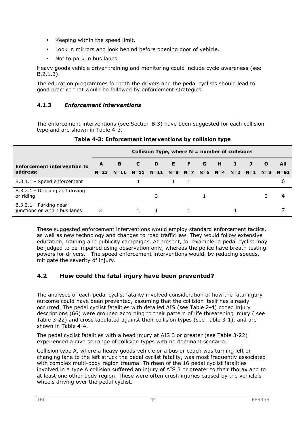- Keeping within the speed limit.
- Look in mirrors and look behind before opening door of vehicle.
- Not to park in bus lanes.

Heavy goods vehicle driver training and monitoring could include cycle awareness (see B.2.1.3).

The education programmes for both the drivers and the pedal cyclists should lead to good practice that would be followed by enforcement strategies.

### **4.1.3** *Enforcement interventions*

The enforcement interventions (see Section B.3) have been suggested for each collision type and are shown in Table 4-3.

|                                                        |          | Collision Type, where $N =$ number of collisions |          |        |  |             |  |                         |    |   |              |        |
|--------------------------------------------------------|----------|--------------------------------------------------|----------|--------|--|-------------|--|-------------------------|----|---|--------------|--------|
| <b>Enforcement intervention to</b>                     | A        | B                                                | C        | D      |  | E F G       |  | H                       | х. | J | $\mathbf{o}$ | All    |
| address:                                               | $N = 23$ | $N = 11$                                         | $N = 11$ | $N=11$ |  | $N=8$ $N=7$ |  | $N=6$ $N=4$ $N=2$ $N=1$ |    |   | $N=8$        | $N=92$ |
| B.3.1.1 - Speed enforcement                            |          |                                                  | 4        |        |  |             |  |                         |    |   |              | 6      |
| B.3.2.1 - Drinking and driving<br>or riding            |          |                                                  |          | 3      |  |             |  |                         |    |   |              |        |
| B.3.3.1- Parking near<br>junctions or within bus lanes | 3        |                                                  |          |        |  |             |  |                         |    |   |              |        |

#### **Table 4-3: Enforcement interventions by collision type**

These suggested enforcement interventions would employ standard enforcement tactics, as well as new technology and changes to road traffic law. They would follow extensive education, training and publicity campaigns. At present, for example, a pedal cyclist may be judged to be impaired using observation only, whereas the police have breath testing powers for drivers. The speed enforcement interventions would, by reducing speeds, mitigate the severity of injury.

# **4.2 How could the fatal injury have been prevented?**

The analyses of each pedal cyclist fatality involved consideration of how the fatal injury outcome could have been prevented, assuming that the collision itself has already occurred. The pedal cyclist fatalities with detailed AIS (see Table 2-4) coded injury descriptions (66) were grouped according to their pattern of life threatening injury ( see Table 3-22) and cross tabulated against their collision types (see Table 3-1), and are shown in Table 4-4.

The pedal cyclist fatalities with a head injury at AIS 3 or greater (see Table 3-22) experienced a diverse range of collision types with no dominant scenario.

Collision type A, where a heavy goods vehicle or a bus or coach was turning left or changing lane to the left struck the pedal cyclist fatality, was most frequently associated with complex multi-body region trauma. Thirteen of the 16 pedal cyclist fatalities involved in a type A collision suffered an injury of AIS 3 or greater to their thorax and to at least one other body region. These were often crush injuries caused by the vehicle's wheels driving over the pedal cyclist.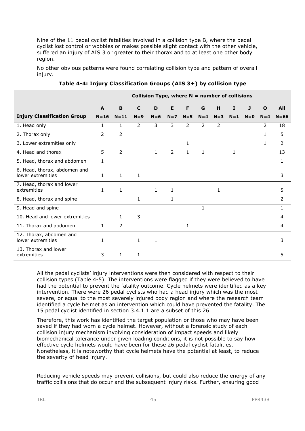Nine of the 11 pedal cyclist fatalities involved in a collision type B, where the pedal cyclist lost control or wobbles or makes possible slight contact with the other vehicle, suffered an injury of AIS 3 or greater to their thorax and to at least one other body region.

No other obvious patterns were found correlating collision type and pattern of overall injury.

|                                                   |              | Collision Type, where $N =$ number of collisions |              |              |                |              |                |         |              |       |              |            |
|---------------------------------------------------|--------------|--------------------------------------------------|--------------|--------------|----------------|--------------|----------------|---------|--------------|-------|--------------|------------|
|                                                   | A            | B                                                | C            | D            | E              | F            | G              | н       | $\mathbf{I}$ | J     | $\mathbf{o}$ | <b>All</b> |
| <b>Injury Classification Group</b>                | $N = 16$     | $N = 11$                                         | $N=9$        | $N=6$        | $N=7$          | $N = 5$      | $N = 4$        | $N = 3$ | $N=1$        | $N=0$ | $N = 4$      | $N = 66$   |
| 1. Head only                                      | $\mathbf{1}$ | $\mathbf{1}$                                     | 2            | 3            | 3              | 2            | $\overline{2}$ | 2       |              |       | 2            | 18         |
| 2. Thorax only                                    | 2            | $\overline{2}$                                   |              |              |                |              |                |         |              |       | $\mathbf{1}$ | 5          |
| 3. Lower extremities only                         |              |                                                  |              |              |                | $\mathbf{1}$ |                |         |              |       | 1            | 2          |
| 4. Head and thorax                                | 5            | 2                                                |              | $\mathbf{1}$ | $\overline{2}$ | $\mathbf{1}$ | $\mathbf{1}$   |         | $\mathbf{1}$ |       |              | 13         |
| 5. Head, thorax and abdomen                       | $\mathbf{1}$ |                                                  |              |              |                |              |                |         |              |       |              | 1          |
| 6. Head, thorax, abdomen and<br>lower extremities | $\mathbf{1}$ | $\mathbf{1}$                                     | $\mathbf{1}$ |              |                |              |                |         |              |       |              | 3          |
| 7. Head, thorax and lower<br>extremities          | $\mathbf{1}$ | $\mathbf{1}$                                     |              | $\mathbf{1}$ | $\mathbf{1}$   |              |                | 1       |              |       |              | 5          |
| 8. Head, thorax and spine                         |              |                                                  | 1            |              | $\mathbf{1}$   |              |                |         |              |       |              | 2          |
| 9. Head and spine                                 |              |                                                  |              |              |                |              |                |         |              |       |              | 1          |
| 10. Head and lower extremities                    |              | $\mathbf{1}$                                     | 3            |              |                |              |                |         |              |       |              | 4          |
| 11. Thorax and abdomen                            | $\mathbf{1}$ | $\overline{2}$                                   |              |              |                | $\mathbf{1}$ |                |         |              |       |              | 4          |
| 12. Thorax, abdomen and<br>lower extremities      | $\mathbf{1}$ |                                                  | $\mathbf{1}$ | 1            |                |              |                |         |              |       |              | 3          |
| 13. Thorax and lower<br>extremities               | 3            | $\mathbf{1}$                                     | 1            |              |                |              |                |         |              |       |              | 5          |

**Table 4-4: Injury Classification Groups (AIS 3+) by collision type** 

All the pedal cyclists' injury interventions were then considered with respect to their collision types (Table 4-5). The interventions were flagged if they were believed to have had the potential to prevent the fatality outcome. Cycle helmets were identified as a key intervention. There were 26 pedal cyclists who had a head injury which was the most severe, or equal to the most severely injured body region and where the research team identified a cycle helmet as an intervention which could have prevented the fatality. The 15 pedal cyclist identified in section 3.4.1.1 are a subset of this 26.

Therefore, this work has identified the target population or those who may have been saved if they had worn a cycle helmet. However, without a forensic study of each collision injury mechanism involving consideration of impact speeds and likely biomechanical tolerance under given loading conditions, it is not possible to say how effective cycle helmets would have been for these 26 pedal cyclist fatalities. Nonetheless, it is noteworthy that cycle helmets have the potential at least, to reduce the severity of head injury.

Reducing vehicle speeds may prevent collisions, but could also reduce the energy of any traffic collisions that do occur and the subsequent injury risks. Further, ensuring good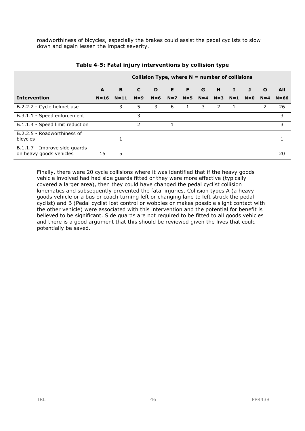roadworthiness of bicycles, especially the brakes could assist the pedal cyclists to slow down and again lessen the impact severity.

|                                                          |          | Collision Type, where $N =$ number of collisions |               |       |    |             |       |               |          |       |              |          |
|----------------------------------------------------------|----------|--------------------------------------------------|---------------|-------|----|-------------|-------|---------------|----------|-------|--------------|----------|
|                                                          | A        | B                                                | C             | D     | E. | - F         | G     | H             | $\bf{I}$ | J     | $\mathbf{o}$ | All      |
| <b>Intervention</b>                                      | $N = 16$ | $N=11$                                           | $N=9$         | $N=6$ |    | $N=7$ $N=5$ | $N=4$ | $N=3$ $N=1$   |          | $N=0$ | $N=4$        | $N = 66$ |
| B.2.2.2 - Cycle helmet use                               |          | 3                                                | 5             | 3.    | 6  |             | 3.    | $\mathcal{P}$ |          |       | 2            | 26       |
| B.3.1.1 - Speed enforcement                              |          |                                                  | 3             |       |    |             |       |               |          |       |              | 3        |
| B.1.1.4 - Speed limit reduction                          |          |                                                  | $\mathcal{P}$ |       |    |             |       |               |          |       |              | 3        |
| B.2.2.5 - Roadworthiness of<br>bicycles                  |          |                                                  |               |       |    |             |       |               |          |       |              |          |
| B.1.1.7 - Improve side quards<br>on heavy goods vehicles | 15       | 5                                                |               |       |    |             |       |               |          |       |              | 20       |

#### **Table 4-5: Fatal injury interventions by collision type**

Finally, there were 20 cycle collisions where it was identified that if the heavy goods vehicle involved had had side guards fitted or they were more effective (typically covered a larger area), then they could have changed the pedal cyclist collision kinematics and subsequently prevented the fatal injuries. Collision types A (a heavy goods vehicle or a bus or coach turning left or changing lane to left struck the pedal cyclist) and B (Pedal cyclist lost control or wobbles or makes possible slight contact with the other vehicle) were associated with this intervention and the potential for benefit is believed to be significant. Side guards are not required to be fitted to all goods vehicles and there is a good argument that this should be reviewed given the lives that could potentially be saved.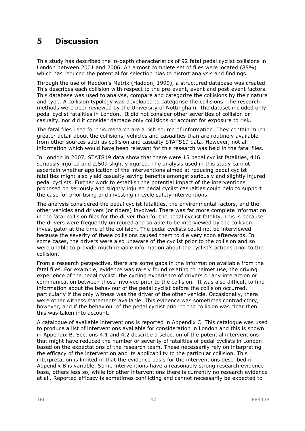# **5 Discussion**

This study has described the in-depth characteristics of 92 fatal pedal cyclist collisions in London between 2001 and 2006. An almost complete set of files were located (85%) which has reduced the potential for selection bias to distort analysis and findings.

Through the use of Haddon's Matrix (Haddon, 1999), a structured database was created. This describes each collision with respect to the pre-event, event and post-event factors. This database was used to analyse, compare and categorize the collisions by their nature and type. A collision typology was developed to categorise the collisions. The research methods were peer reviewed by the University of Nottingham. The dataset included only pedal cyclist fatalities in London. It did not consider other severities of collision or casualty, nor did it consider damage only collisions or account for exposure to risk.

The fatal files used for this research are a rich source of information. They contain much greater detail about the collisions, vehicles and casualties than are routinely available from other sources such as collision and casualty STATS19 data. However, not all information which would have been relevant for this research was held in the fatal files.

In London in 2007, STATS19 data show that there were 15 pedal cyclist fatalities, 446 seriously injured and 2,509 slightly injured. The analysis used in this study cannot ascertain whether application of the interventions aimed at reducing pedal cyclist fatalities might also yield casualty saving benefits amongst seriously and slightly injured pedal cyclists. Further work to establish the potential impact of the interventions proposed on seriously and slightly injured pedal cyclist casualties could help to support the case for prioritising and investing in cycle safety interventions.

The analysis considered the pedal cyclist fatalities, the environmental factors, and the other vehicles and drivers (or riders) involved. There was far more complete information in the fatal collision files for the driver than for the pedal cyclist fatality. This is because the drivers were frequently uninjured and so able to be interviewed by the collision investigator at the time of the collision. The pedal cyclists could not be interviewed because the severity of these collisions caused them to die very soon afterwards. In some cases, the drivers were also unaware of the cyclist prior to the collision and so were unable to provide much reliable information about the cyclist's actions prior to the collision.

From a research perspective, there are some gaps in the information available from the fatal files. For example, evidence was rarely found relating to helmet use, the driving experience of the pedal cyclist, the cycling experience of drivers or any interaction or communication between those involved prior to the collision. It was also difficult to find information about the behaviour of the pedal cyclist before the collision occurred, particularly if the only witness was the driver of the other vehicle. Occasionally, there were other witness statements available. This evidence was sometimes contradictory, however, and if the behaviour of the pedal cyclist prior to the collision was clear then this was taken into account.

A catalogue of available interventions is reported in Appendix C. This catalogue was used to produce a list of interventions available for consideration in London and this is shown in Appendix B. Sections 4.1 and 4.2 describe a selection of the potential interventions that might have reduced the number or severity of fatalities of pedal cyclists in London based on the expectations of the research team. These necessarily rely on interpreting the efficacy of the intervention and its applicability to the particular collision. This interpretation is limited in that the evidence basis for the interventions described in Appendix B is variable. Some interventions have a reasonably strong research evidence base, others less so, while for other interventions there is currently no research evidence at all. Reported efficacy is sometimes conflicting and cannot necessarily be expected to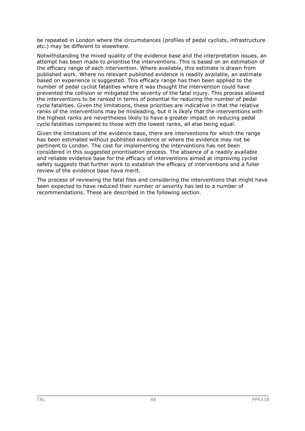be repeated in London where the circumstances (profiles of pedal cyclists, infrastructure etc.) may be different to elsewhere.

Notwithstanding the mixed quality of the evidence base and the interpretation issues, an attempt has been made to prioritise the interventions. This is based on an estimation of the efficacy range of each intervention. Where available, this estimate is drawn from published work. Where no relevant published evidence is readily available, an estimate based on experience is suggested. This efficacy range has then been applied to the number of pedal cyclist fatalities where it was thought the intervention could have prevented the collision or mitigated the severity of the fatal injury. This process allowed the interventions to be ranked in terms of potential for reducing the number of pedal cycle fatalities. Given the limitations, these priorities are indicative in that the relative ranks of the interventions may be misleading, but it is likely that the interventions with the highest ranks are nevertheless likely to have a greater impact on reducing pedal cycle fatalities compared to those with the lowest ranks, all else being equal.

Given the limitations of the evidence base, there are interventions for which the range has been estimated without published evidence or where the evidence may not be pertinent to London. The cost for implementing the interventions has not been considered in this suggested prioritisation process. The absence of a readily available and reliable evidence base for the efficacy of interventions aimed at improving cyclist safety suggests that further work to establish the efficacy of interventions and a fuller review of the evidence base have merit.

The process of reviewing the fatal files and considering the interventions that might have been expected to have reduced their number or severity has led to a number of recommendations. These are described in the following section.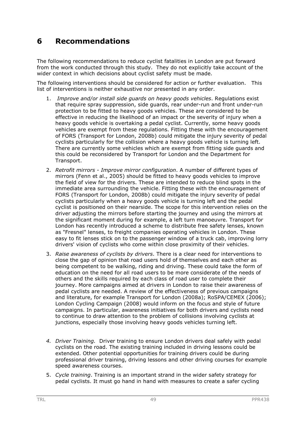# **6 Recommendations**

The following recommendations to reduce cyclist fatalities in London are put forward from the work conducted through this study. They do not explicitly take account of the wider context in which decisions about cyclist safety must be made.

The following interventions should be considered for action or further evaluation. This list of interventions is neither exhaustive nor presented in any order.

- 1. *Improve and/or install side guards on heavy goods vehicles*. Regulations exist that require spray suppression, side guards, rear under-run and front under-run protection to be fitted to heavy goods vehicles. These are considered to be effective in reducing the likelihood of an impact or the severity of injury when a heavy goods vehicle is overtaking a pedal cyclist. Currently, some heavy goods vehicles are exempt from these regulations. Fitting these with the encouragement of FORS (Transport for London, 2008b) could mitigate the injury severity of pedal cyclists particularly for the collision where a heavy goods vehicle is turning left. There are currently some vehicles which are exempt from fitting side guards and this could be reconsidered by Transport for London and the Department for Transport.
- 2. *Retrofit mirrors Improve mirror configuration*. A number of different types of mirrors (Fenn et al., 2005) should be fitted to heavy goods vehicles to improve the field of view for the drivers. These are intended to reduce blind spots in the immediate area surrounding the vehicle. Fitting these with the encouragement of FORS (Transport for London, 2008b) could mitigate the injury severity of pedal cyclists particularly when a heavy goods vehicle is turning left and the pedal cyclist is positioned on their nearside. The scope for this intervention relies on the driver adjusting the mirrors before starting the journey and using the mirrors at the significant moment during for example, a left turn manoeuvre. Transport for London has recently introduced a scheme to distribute free safety lenses, known as "Fresnel" lenses, to freight companies operating vehicles in London. These easy to fit lenses stick on to the passenger window of a truck cab, improving lorry drivers' vision of cyclists who come within close proximity of their vehicles.
- 3. *Raise awareness of cyclists by drivers*. There is a clear need for interventions to close the gap of opinion that road users hold of themselves and each other as being competent to be walking, riding and driving. These could take the form of education on the need for all road users to be more considerate of the needs of others and the skills required by each class of road user to complete their journey. More campaigns aimed at drivers in London to raise their awareness of pedal cyclists are needed. A review of the effectiveness of previous campaigns and literature, for example Transport for London (2008a); RoSPA/CEMEX (2006); London Cycling Campaign (2008) would inform on the focus and style of future campaigns. In particular, awareness initiatives for both drivers and cyclists need to continue to draw attention to the problem of collisions involving cyclists at junctions, especially those involving heavy goods vehicles turning left.
- *4. Driver Training.* Driver training to ensure London drivers deal safely with pedal cyclists on the road. The existing training included in driving lessons could be extended. Other potential opportunities for training drivers could be during professional driver training, driving lessons and other driving courses for example speed awareness courses.
- 5. *Cycle training*. Training is an important strand in the wider safety strategy for pedal cyclists. It must go hand in hand with measures to create a safer cycling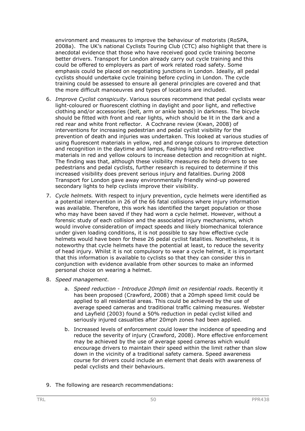environment and measures to improve the behaviour of motorists (RoSPA, 2008a). The UK's national Cyclists Touring Club (CTC) also highlight that there is anecdotal evidence that those who have received good cycle training become better drivers. Transport for London already carry out cycle training and this could be offered to employers as part of work related road safety. Some emphasis could be placed on negotiating junctions in London. Ideally, all pedal cyclists should undertake cycle training before cycling in London. The cycle training could be assessed to ensure all general principles are covered and that the more difficult manoeuvres and types of locations are included.

- 6. *Improve Cyclist conspicuity*. Various sources recommend that pedal cyclists wear light-coloured or fluorescent clothing in daylight and poor light, and reflective clothing and/or accessories (belt, arm or ankle bands) in darkness. The bicycle should be fitted with front and rear lights, which should be lit in the dark and a red rear and white front reflector. A Cochrane review (Kwan, 2008) of interventions for increasing pedestrian and pedal cyclist visibility for the prevention of death and injuries was undertaken. This looked at various studies of using fluorescent materials in yellow, red and orange colours to improve detection and recognition in the daytime and lamps, flashing lights and retro-reflective materials in red and yellow colours to increase detection and recognition at night. The finding was that, although these visibility measures do help drivers to see pedestrians and pedal cyclists, further research is required to determine if this increased visibility does prevent serious injury and fatalities. During 2008 Transport for London gave away environmentally friendly wind-up powered secondary lights to help cyclists improve their visibility.
- 7. *Cycle helmets.* With respect to injury prevention, cycle helmets were identified as a potential intervention in 26 of the 66 fatal collisions where injury information was available. Therefore, this work has identified the target population or those who may have been saved if they had worn a cycle helmet. However, without a forensic study of each collision and the associated injury mechanisms, which would involve consideration of impact speeds and likely biomechanical tolerance under given loading conditions, it is not possible to say how effective cycle helmets would have been for these 26 pedal cyclist fatalities. Nonetheless, it is noteworthy that cycle helmets have the potential at least, to reduce the severity of head injury. Whilst it is not compulsory to wear a cycle helmet, it is important that this information is available to cyclists so that they can consider this in conjunction with evidence available from other sources to make an informed personal choice on wearing a helmet.
- 8. *Speed management*.
	- a. *Speed reduction Introduce 20mph limit on residential roads*. Recently it has been proposed (Crawford, 2008) that a 20mph speed limit could be applied to all residential areas. This could be achieved by the use of average speed cameras and traditional traffic calming measures. Webster and Layfield (2003) found a 50% reduction in pedal cyclist killed and seriously injured casualties after 20mph zones had been applied.
	- b. Increased levels of enforcement could lower the incidence of speeding and reduce the severity of injury (Crawford, 2008). More effective enforcement may be achieved by the use of average speed cameras which would encourage drivers to maintain their speed within the limit rather than slow down in the vicinity of a traditional safety camera. Speed awareness course for drivers could include an element that deals with awareness of pedal cyclists and their behaviours.
- 9. The following are research recommendations: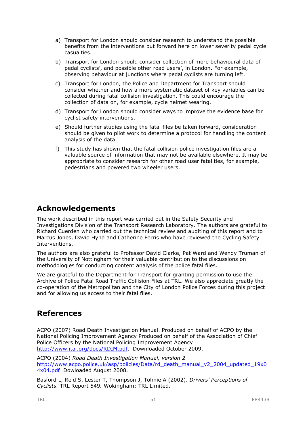- a) Transport for London should consider research to understand the possible benefits from the interventions put forward here on lower severity pedal cycle casualties.
- b) Transport for London should consider collection of more behavioural data of pedal cyclists', and possible other road users', in London. For example, observing behaviour at junctions where pedal cyclists are turning left.
- c) Transport for London, the Police and Department for Transport should consider whether and how a more systematic dataset of key variables can be collected during fatal collision investigation. This could encourage the collection of data on, for example, cycle helmet wearing.
- d) Transport for London should consider ways to improve the evidence base for cyclist safety interventions.
- e) Should further studies using the fatal files be taken forward, consideration should be given to pilot work to determine a protocol for handling the content analysis of the data.
- f) This study has shown that the fatal collision police investigation files are a valuable source of information that may not be available elsewhere. It may be appropriate to consider research for other road user fatalities, for example, pedestrians and powered two wheeler users.

# **Acknowledgements**

The work described in this report was carried out in the Safety Security and Investigations Division of the Transport Research Laboratory. The authors are grateful to Richard Cuerden who carried out the technical review and auditing of this report and to Marcus Jones, David Hynd and Catherine Ferris who have reviewed the Cycling Safety Interventions.

The authors are also grateful to Professor David Clarke, Pat Ward and Wendy Truman of the University of Nottingham for their valuable contribution to the discussions on methodologies for conducting content analysis of the police fatal files.

We are grateful to the Department for Transport for granting permission to use the Archive of Police Fatal Road Traffic Collision Files at TRL. We also appreciate greatly the co-operation of the Metropolitan and the City of London Police Forces during this project and for allowing us access to their fatal files.

# **References**

ACPO (2007) Road Death Investigation Manual. Produced on behalf of ACPO by the National Policing Improvement Agency Produced on behalf of the Association of Chief Police Officers by the National Policing Improvement Agency http://www.itai.org/docs/RDIM.pdf. Downloaded October 2009.

ACPO (2004) *Road Death Investigation Manual, version 2* http://www.acpo.police.uk/asp/policies/Data/rd\_death\_manual\_v2\_2004\_updated\_19x0 4x04.pdf Dowloaded August 2008.

Basford L, Reid S, Lester T, Thompson J, Tolmie A (2002). *Drivers' Perceptions of Cyclists.* TRL Report 549*.* Wokingham: TRL Limited.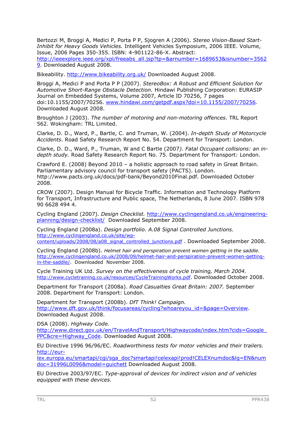Bertozzi M, Broggi A, Medici P, Porta P P, Sjogren A (2006). *Stereo Vision-Based Start-Inhibit for Heavy Goods Vehicles.* Intelligent Vehicles Symposium, 2006 IEEE. Volume, Issue, 2006 Pages 350-355. ISBN: 4-901122-86-X. Abstract:

http://ieeexplore.ieee.org/xpl/freeabs\_all.jsp?tp=&arnumber=1689653&isnumber=3562 9. Downloaded August 2008.

Bikeability. http://www.bikeability.org.uk/ Downloaded August 2008.

Broggi A, Medici P and Porta P P (2007). *StereoBox: A Robust and Efficient Solution for Automotive Short-Range Obstacle Detection.* Hindawi Publishing Corporation: EURASIP Journal on Embedded Systems, Volume 2007, Article ID 70256, 7 pages doi:10.1155/2007/70256. www.hindawi.com/getpdf.aspx?doi=10.1155/2007/70256*.* Downloaded August 2008.

Broughton J (2003). *The number of motoring and non-motoring offences*. TRL Report 562. Wokingham: TRL Limited.

Clarke, D. D., Ward, P., Bartle, C. and Truman, W. (2004). *In-depth Study of Motorcycle Accidents*. Road Safety Research Report No. 54. Department for Transport: London.

Clarke, D. D., Ward, P., Truman, W and C Bartle (2007*). Fatal Occupant collisions: an indepth study.* Road Safety Research Report No. 75. Department for Transport: London.

Crawford E. (2008) Beyond 2010 – a holistic approach to road safety in Great Britain. Parliamentary advisory council for transport safety (PACTS). London. http://www.pacts.org.uk/docs/pdf-bank/Beyond2010Final.pdf. Downloaded October 2008.

CROW (2007). Design Manual for Bicycle Traffic. Information and Technology Platform for Transport, Infrastructure and Public space, The Netherlands, 8 June 2007. ISBN 978 90 6628 494 4.

Cycling England (2007). *Design Checklist.* http://www.cyclingengland.co.uk/engineeringplanning/design-checklist/ Downloaded September 2008.

Cycling England (2008a). *Design portfolio. A.08 Signal Controlled Junctions.*  http://www.cyclingengland.co.uk/site/wpcontent/uploads/2008/08/a08\_signal\_controlled\_junctions.pdf . Downloaded September 2008.

Cycling England (2008b). *Helmet hair and perspiration prevent women getting in the saddle.*  http://www.cyclingengland.co.uk/2008/09/helmet-hair-and-perspiration-prevent-women-gettingin-the-saddle/. Downloaded November 2008.

Cycle Training UK Ltd. *Survey on the effectiveness of cycle training, March 2004*. http://www.cycletraining.co.uk/resources/CycleTrainingWorks.pdf. Downloaded October 2008.

Department for Transport (2008a). *Road Casualties Great Britain: 2007.* September 2008. Department for Transport: London.

Department for Transport (2008b). *DfT Think! Campaign.*  http://www.dft.gov.uk/think/focusareas/cycling?whoareyou\_id=&page=Overview. Downloaded August 2008.

DSA (2008). *Highway Code.* http://www.direct.gov.uk/en/TravelAndTransport/Highwaycode/index.htm?cids=Google\_ PPC&cre=Highway\_Code. Downloaded August 2008.

EU Directive 1996 96/96/EC. *Roadworthiness tests for motor vehicles and their trailers.*  http://eur-

lex.europa.eu/smartapi/cgi/sga\_doc?smartapi!celexapi!prod!CELEXnumdoc&lg=EN&num doc=31996L0096&model=guichett Downloaded August 2008.

EU Directive 2003/97/EC. *Type-approval of devices for indirect vision and of vehicles equipped with these devices.*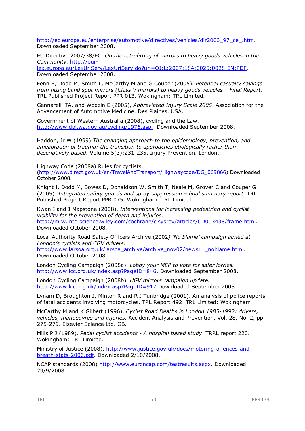http://ec.europa.eu/enterprise/automotive/directives/vehicles/dir2003\_97\_ce\_.htm. Downloaded September 2008.

EU Directive 2007/38/EC. *On the retrofitting of mirrors to heavy goods vehicles in the Community.* http://eur-

lex.europa.eu/LexUriServ/LexUriServ.do?uri=OJ:L:2007:184:0025:0028:EN:PDF. Downloaded September 2008.

Fenn B, Dodd M, Smith L, McCarthy M and G Couper (2005). *Potential casualty savings from fitting blind spot mirrors (Class V mirrors) to heavy goods vehicles – Final Report.* TRL Published Project Report PPR 013. Wokingham: TRL Limited.

Gennarelli TA, and Wodzin E (2005), *Abbreviated Injury Scale 2005*. Association for the Advancement of Automotive Medicine. Des Plaines. USA.

Government of Western Australia (2008), cycling and the Law. http://www.dpi.wa.gov.au/cycling/1976.asp. Downloaded September 2008.

Haddon, Jr W (1999) *The changing approach to the epidemiology, prevention, and amelioration of trauma: the transition to approaches etiologically rather than descriptively based.* Volume 5(3):231-235. Injury Prevention. London.

Highway Code (2008a) Rules for cyclists.

(http://www.direct.gov.uk/en/TravelAndTransport/Highwaycode/DG\_069866) Downloaded October 2008.

Knight I, Dodd M, Bowes D, Donaldson W, Smith T, Neale M, Grover C and Couper G (2005). *Integrated safety guards and spray suppression – final summary report.* TRL Published Project Report PPR 075. Wokingham: TRL Limited.

Kwan I and J Mapstone (2008). *Interventions for increasing pedestrian and cyclist visibility for the prevention of death and injuries.*  http://mrw.interscience.wiley.com/cochrane/clsysrev/articles/CD003438/frame.html.

Downloaded October 2008.

Local Authority Road Safety Officers Archive (2002*) 'No blame' campaign aimed at London's cyclists and CGV drivers.*

http://www.larsoa.org.uk/larsoa\_archive/archive\_nov02/news11\_noblame.html. Downloaded October 2008.

London Cycling Campaign (2008a). *Lobby your MEP to vote for safer lorries.*  http://www.lcc.org.uk/index.asp?PageID=846, Downloaded September 2008.

London Cycling Campaign (2008b). *HGV mirrors campaign update.*  http://www.lcc.org.uk/index.asp?PageID=917 Downloaded September 2008.

Lynam D, Broughton J, Minton R and R J Tunbridge (2001). An analysis of police reports of fatal accidents involving motorcycles. TRL Report 492. TRL Limited: Wokingham

McCarthy M and K Gilbert (1996). *Cyclist Road Deaths in London 1985-1992: drivers, vehicles, manoeuvres and injuries.* Accident Analysis and Prevention, Vol. 28, No. 2, pp. 275-279. Elsevier Science Ltd. GB.

Mills P J (1989). *Pedal cyclist accidents - A hospital based study*. TRRL report 220. Wokingham: TRL Limited.

Ministry of Justice (2008). http://www.justice.gov.uk/docs/motoring-offences-andbreath-stats-2006.pdf. Downloaded 2/10/2008.

NCAP standards (2008) http://www.euroncap.com/testresults.aspx. Downloaded 29/9/2008.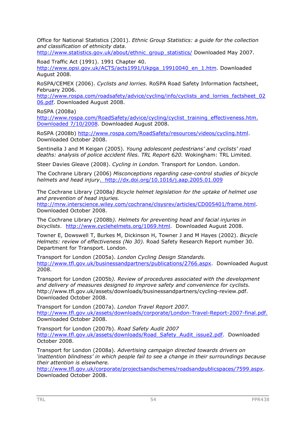Office for National Statistics (2001). *Ethnic Group Statistics: a guide for the collection and classification of ethnicity data.*

http://www.statistics.gov.uk/about/ethnic\_group\_statistics/ Downloaded May 2007.

Road Traffic Act (1991). 1991 Chapter 40.

http://www.opsi.gov.uk/ACTS/acts1991/Ukpga\_19910040\_en\_1.htm. Downloaded August 2008.

RoSPA/CEMEX (2006). *Cyclists and lorries.* RoSPA Road Safety Information factsheet, February 2006.

http://www.rospa.com/roadsafety/advice/cycling/info/cyclists\_and\_lorries\_factsheet\_02 06.pdf. Downloaded August 2008.

RoSPA (2008a)

http://www.rospa.com/RoadSafety/advice/cycling/cyclist\_training\_effectiveness.htm. Downloaded 7/10/2008. Downloaded August 2008.

RoSPA (2008b) http://www.rospa.com/RoadSafety/resources/videos/cycling.html. Downloaded October 2008.

Sentinella J and M Keigan (2005). *Young adolescent pedestrians' and cyclists' road deaths: analysis of police accident files. TRL Report 620.* Wokingham: TRL Limited.

Steer Davies Gleave (2008). *Cycling in London.* Transport for London. London.

The Cochrane Library (2006) *Misconceptions regarding case-control studies of bicycle helmets and head injury*. http://dx.doi.org/10.1016/j.aap.2005.01.009

The Cochrane Library (2008a*) Bicycle helmet legislation for the uptake of helmet use and prevention of head injuries.* 

http://mrw.interscience.wiley.com/cochrane/clsysrev/articles/CD005401/frame.html. Downloaded October 2008.

The Cochrane Library (2008b*). Helmets for preventing head and facial injuries in bicyclists*. http://www.cyclehelmets.org/1069.html. Downloaded August 2008.

Towner E, Dowswell T, Burkes M, Dickinson H, Towner J and M Hayes (2002). *Bicycle Helmets: review of effectiveness (No 30).* Road Safety Research Report number 30. Department for Transport. London.

Transport for London (2005a). *London Cycling Design Standards.*  http://www.tfl.gov.uk/businessandpartners/publications/2766.aspx. Downloaded August 2008.

Transport for London (2005b*). Review of procedures associated with the development and delivery of measures designed to improve safety and convenience for cyclists.* http://www.tfl.gov.uk/assets/downloads/businessandpartners/cycling-review.pdf. Downloaded October 2008.

Transport for London (2007a). *London Travel Report 2007.* http://www.tfl.gov.uk/assets/downloads/corporate/London-Travel-Report-2007-final.pdf. Downloaded October 2008.

Transport for London (2007b). *Road Safety Audit 2007*  http://www.tfl.gov.uk/assets/downloads/Road\_Safety\_Audit\_issue2.pdf. Downloaded October 2008.

Transport for London (2008a). *Advertising campaign directed towards drivers on 'inattention blindness' in which people fail to see a change in their surroundings because their attention is elsewhere.*

http://www.tfl.gov.uk/corporate/projectsandschemes/roadsandpublicspaces/7599.aspx. Downloaded October 2008.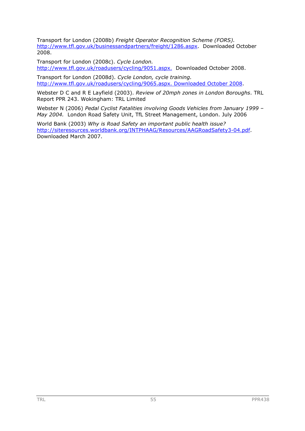Transport for London (2008b) *Freight Operator Recognition Scheme (FORS).* http://www.tfl.gov.uk/businessandpartners/freight/1286.aspx. Downloaded October 2008.

Transport for London (2008c). *Cycle London.* http://www.tfl.gov.uk/roadusers/cycling/9051.aspx. Downloaded October 2008.

Transport for London (2008d). *Cycle London, cycle training.* http://www.tfl.gov.uk/roadusers/cycling/9065.aspx. Downloaded October 2008.

Webster D C and R E Layfield (2003). *Review of 20mph zones in London Boroughs*. TRL Report PPR 243. Wokingham: TRL Limited

Webster N (2006) *Pedal Cyclist Fatalities involving Goods Vehicles from January 1999 – May 2004.* London Road Safety Unit, TfL Street Management, London. July 2006

World Bank (2003) *Why is Road Safety an important public health issue?* http://siteresources.worldbank.org/INTPHAAG/Resources/AAGRoadSafety3-04.pdf. Downloaded March 2007.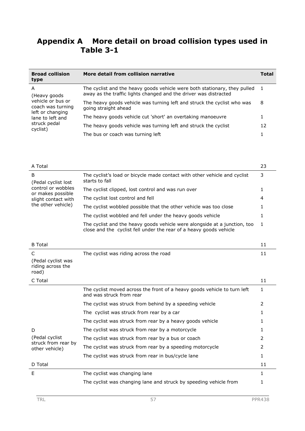# **Appendix A More detail on broad collision types used in Table 3-1**

| <b>Broad collision</b><br>type                                                   | More detail from collision narrative                                                                                                          | Total |  |  |  |
|----------------------------------------------------------------------------------|-----------------------------------------------------------------------------------------------------------------------------------------------|-------|--|--|--|
| A<br>(Heavy goods)<br>vehicle or bus or<br>coach was turning<br>left or changing | The cyclist and the heavy goods vehicle were both stationary, they pulled<br>away as the traffic lights changed and the driver was distracted |       |  |  |  |
|                                                                                  | The heavy goods vehicle was turning left and struck the cyclist who was<br>going straight ahead                                               |       |  |  |  |
| lane to left and                                                                 | The heavy goods vehicle cut 'short' an overtaking manoeuvre                                                                                   |       |  |  |  |
| struck pedal<br>cyclist)                                                         | The heavy goods vehicle was turning left and struck the cyclist                                                                               | 12    |  |  |  |
|                                                                                  | The bus or coach was turning left                                                                                                             |       |  |  |  |

| A Total                                                        |                                                                                                                                                 | 23 |  |  |  |  |  |
|----------------------------------------------------------------|-------------------------------------------------------------------------------------------------------------------------------------------------|----|--|--|--|--|--|
| B<br>(Pedal cyclist lost)                                      | The cyclist's load or bicycle made contact with other vehicle and cyclist<br>starts to fall                                                     |    |  |  |  |  |  |
| control or wobbles                                             | The cyclist clipped, lost control and was run over                                                                                              |    |  |  |  |  |  |
| or makes possible<br>slight contact with<br>the other vehicle) | The cyclist lost control and fell                                                                                                               | 4  |  |  |  |  |  |
|                                                                | The cyclist wobbled possible that the other vehicle was too close                                                                               |    |  |  |  |  |  |
|                                                                | The cyclist wobbled and fell under the heavy goods vehicle                                                                                      |    |  |  |  |  |  |
|                                                                | The cyclist and the heavy goods vehicle were alongside at a junction, too<br>close and the cyclist fell under the rear of a heavy goods vehicle | -1 |  |  |  |  |  |
| <b>B</b> Total                                                 |                                                                                                                                                 |    |  |  |  |  |  |

| ווסיטו ש           |                                        |  |
|--------------------|----------------------------------------|--|
|                    | The cyclist was riding across the road |  |
| (Pedal cyclist was |                                        |  |

| road)   |  |
|---------|--|
| C Total |  |

riding across the

| C Total                               |                                                                                                      | 11 |
|---------------------------------------|------------------------------------------------------------------------------------------------------|----|
|                                       | The cyclist moved across the front of a heavy goods vehicle to turn left<br>and was struck from rear |    |
|                                       | The cyclist was struck from behind by a speeding vehicle                                             | 2  |
|                                       | The cyclist was struck from rear by a car                                                            |    |
|                                       | The cyclist was struck from rear by a heavy goods vehicle                                            |    |
| D                                     | The cyclist was struck from rear by a motorcycle                                                     |    |
| (Pedal cyclist)                       | The cyclist was struck from rear by a bus or coach                                                   |    |
| struck from rear by<br>other vehicle) | The cyclist was struck from rear by a speeding motorcycle                                            | 2  |
|                                       | The cyclist was struck from rear in bus/cycle lane                                                   |    |
| D Total                               |                                                                                                      | 11 |
| F                                     | The cyclist was changing lane                                                                        |    |
|                                       | The cyclist was changing lane and struck by speeding vehicle from                                    |    |
|                                       |                                                                                                      |    |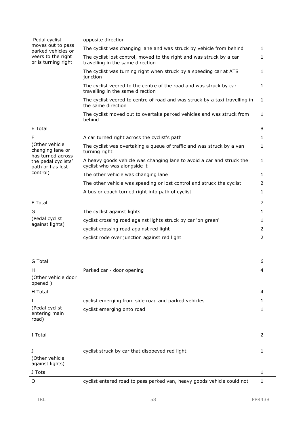| Pedal cyclist                                                   | opposite direction                                                                                       |                |
|-----------------------------------------------------------------|----------------------------------------------------------------------------------------------------------|----------------|
| moves out to pass                                               | The cyclist was changing lane and was struck by vehicle from behind                                      | $\mathbf{1}$   |
| parked vehicles or<br>veers to the right<br>or is turning right | The cyclist lost control, moved to the right and was struck by a car<br>travelling in the same direction | 1              |
|                                                                 | The cyclist was turning right when struck by a speeding car at ATS<br>junction                           | 1              |
|                                                                 | The cyclist veered to the centre of the road and was struck by car<br>travelling in the same direction   | $\mathbf{1}$   |
|                                                                 | The cyclist veered to centre of road and was struck by a taxi travelling in<br>the same direction        | 1              |
|                                                                 | The cyclist moved out to overtake parked vehicles and was struck from<br>behind                          | $\mathbf{1}$   |
| E Total                                                         |                                                                                                          | 8              |
| F                                                               | A car turned right across the cyclist's path                                                             | $\mathbf{1}$   |
| (Other vehicle<br>changing lane or                              | The cyclist was overtaking a queue of traffic and was struck by a van<br>turning right                   | 1              |
| has turned across<br>the pedal cyclists'<br>path or has lost    | A heavy goods vehicle was changing lane to avoid a car and struck the<br>cyclist who was alongside it    | $\mathbf{1}$   |
| control)                                                        | The other vehicle was changing lane                                                                      | $\mathbf{1}$   |
|                                                                 | The other vehicle was speeding or lost control and struck the cyclist                                    | 2              |
|                                                                 | A bus or coach turned right into path of cyclist                                                         | 1              |
| F Total                                                         |                                                                                                          | 7              |
| G                                                               | The cyclist against lights                                                                               | $\mathbf{1}$   |
| (Pedal cyclist                                                  | cyclist crossing road against lights struck by car 'on green'                                            | 1              |
| against lights)                                                 | cyclist crossing road against red light                                                                  | 2              |
|                                                                 | cyclist rode over junction against red light                                                             | 2              |
|                                                                 |                                                                                                          |                |
| G Total                                                         |                                                                                                          | 6              |
| н                                                               | Parked car - door opening                                                                                | 4              |
| (Other vehicle door<br>opened)                                  |                                                                                                          |                |
| H Total                                                         |                                                                                                          | 4              |
| Ι                                                               | cyclist emerging from side road and parked vehicles                                                      | 1              |
| (Pedal cyclist<br>entering main<br>road)                        | cyclist emerging onto road                                                                               | 1              |
| I Total                                                         |                                                                                                          | $\overline{2}$ |
| L<br>(Other vehicle<br>against lights)                          | cyclist struck by car that disobeyed red light                                                           | 1              |
| J Total                                                         |                                                                                                          | 1              |
| O                                                               | cyclist entered road to pass parked van, heavy goods vehicle could not                                   | 1              |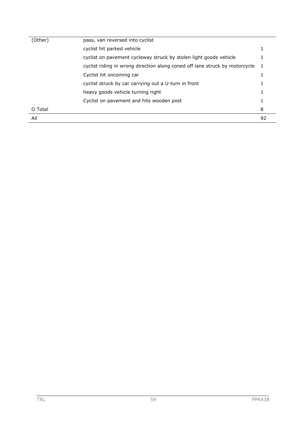| (Other) | pass, van reversed into cyclist                                             |    |
|---------|-----------------------------------------------------------------------------|----|
|         | cyclist hit parked vehicle                                                  | 1  |
|         | cyclist on pavement cycleway struck by stolen light goods vehicle           |    |
|         | cyclist riding in wrong direction along coned off lane struck by motorcycle | 1  |
|         | Cyclist hit oncoming car                                                    |    |
|         | cyclist struck by car carrying out a U-turn in front                        |    |
|         | heavy goods vehicle turning right                                           |    |
|         | Cyclist on pavement and hits wooden post                                    | 1  |
| O Total |                                                                             | 8  |
| All     |                                                                             | 92 |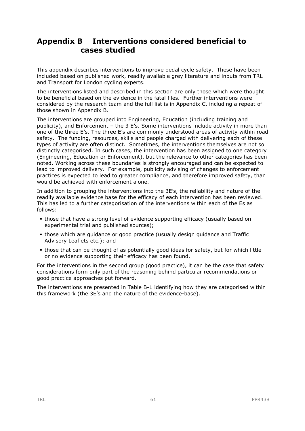# **Appendix B Interventions considered beneficial to cases studied**

This appendix describes interventions to improve pedal cycle safety. These have been included based on published work, readily available grey literature and inputs from TRL and Transport for London cycling experts.

The interventions listed and described in this section are only those which were thought to be beneficial based on the evidence in the fatal files. Further interventions were considered by the research team and the full list is in Appendix C, including a repeat of those shown in Appendix B.

The interventions are grouped into Engineering, Education (including training and publicity), and Enforcement – the 3 E's. Some interventions include activity in more than one of the three E's. The three E's are commonly understood areas of activity within road safety. The funding, resources, skills and people charged with delivering each of these types of activity are often distinct. Sometimes, the interventions themselves are not so distinctly categorised. In such cases, the intervention has been assigned to one category (Engineering, Education or Enforcement), but the relevance to other categories has been noted. Working across these boundaries is strongly encouraged and can be expected to lead to improved delivery. For example, publicity advising of changes to enforcement practices is expected to lead to greater compliance, and therefore improved safety, than would be achieved with enforcement alone.

In addition to grouping the interventions into the 3E's, the reliability and nature of the readily available evidence base for the efficacy of each intervention has been reviewed. This has led to a further categorisation of the interventions within each of the Es as follows:

- those that have a strong level of evidence supporting efficacy (usually based on experimental trial and published sources);
- those which are guidance or good practice (usually design guidance and Traffic Advisory Leaflets etc.); and
- those that can be thought of as potentially good ideas for safety, but for which little or no evidence supporting their efficacy has been found.

For the interventions in the second group (good practice), it can be the case that safety considerations form only part of the reasoning behind particular recommendations or good practice approaches put forward.

The interventions are presented in Table B-1 identifying how they are categorised within this framework (the 3E's and the nature of the evidence-base).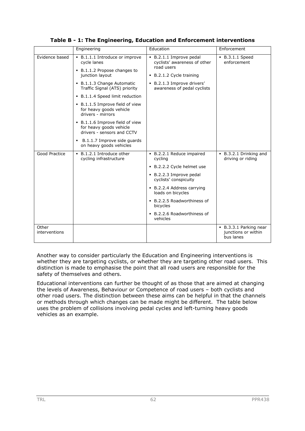|                        | Engineering                                                                              | Education                                                           | Enforcement                                                |
|------------------------|------------------------------------------------------------------------------------------|---------------------------------------------------------------------|------------------------------------------------------------|
| Evidence based         | • B.1.1.1 Introduce or improve<br>cycle lanes<br>• B.1.1.2 Propose changes to            | B.2.1.1 Improve pedal<br>cyclists' awareness of other<br>road users | • B.3.1.1 Speed<br>enforcement                             |
|                        | junction layout                                                                          | B.2.1.2 Cycle training                                              |                                                            |
|                        | B.1.1.3 Change Automatic<br>Traffic Signal (ATS) priority                                | . B.2.1.3 Improve drivers'<br>awareness of pedal cyclists           |                                                            |
|                        | • B.1.1.4 Speed limit reduction                                                          |                                                                     |                                                            |
|                        | • B.1.1.5 Improve field of view<br>for heavy goods vehicle<br>drivers - mirrors          |                                                                     |                                                            |
|                        | • B.1.1.6 Improve field of view<br>for heavy goods vehicle<br>drivers - sensors and CCTV |                                                                     |                                                            |
|                        | B.1.1.7 Improve side guards<br>٠<br>on heavy goods vehicles                              |                                                                     |                                                            |
| Good Practice          | B.1.2.1 Introduce other<br>cycling infrastructure                                        | • B.2.2.1 Reduce impaired<br>cycling                                | • B.3.2.1 Drinking and<br>driving or riding                |
|                        |                                                                                          | . B.2.2.2 Cycle helmet use                                          |                                                            |
|                        |                                                                                          | • B.2.2.3 Improve pedal<br>cyclists' conspicuity                    |                                                            |
|                        |                                                                                          | • B.2.2.4 Address carrying<br>loads on bicycles                     |                                                            |
|                        |                                                                                          | • B.2.2.5 Roadworthiness of<br>bicycles                             |                                                            |
|                        |                                                                                          | B.2.2.6 Roadworthiness of<br>vehicles                               |                                                            |
| Other<br>interventions |                                                                                          |                                                                     | • B.3.3.1 Parking near<br>junctions or within<br>bus lanes |

**Table B - 1: The Engineering, Education and Enforcement interventions** 

Another way to consider particularly the Education and Engineering interventions is whether they are targeting cyclists, or whether they are targeting other road users. This distinction is made to emphasise the point that all road users are responsible for the safety of themselves and others.

Educational interventions can further be thought of as those that are aimed at changing the levels of Awareness, Behaviour or Competence of road users – both cyclists and other road users. The distinction between these aims can be helpful in that the channels or methods through which changes can be made might be different. The table below uses the problem of collisions involving pedal cycles and left-turning heavy goods vehicles as an example.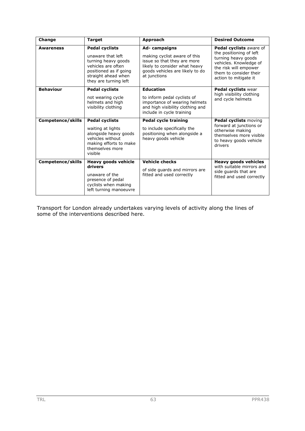| Change                   | <b>Target</b>                                                                                                                                                     | Approach                                                                                                                                                        | <b>Desired Outcome</b>                                                                                                                                                          |
|--------------------------|-------------------------------------------------------------------------------------------------------------------------------------------------------------------|-----------------------------------------------------------------------------------------------------------------------------------------------------------------|---------------------------------------------------------------------------------------------------------------------------------------------------------------------------------|
| <b>Awareness</b>         | <b>Pedal cyclists</b><br>unaware that left<br>turning heavy goods<br>vehicles are often<br>positioned as if going<br>straight ahead when<br>they are turning left | Ad-campaigns<br>making cyclist aware of this<br>issue so that they are more<br>likely to consider what heavy<br>goods vehicles are likely to do<br>at junctions | Pedal cyclists aware of<br>the positioning of left<br>turning heavy goods<br>vehicles. Knowledge of<br>the risk will empower<br>them to consider their<br>action to mitigate it |
| <b>Behaviour</b>         | <b>Pedal cyclists</b><br>not wearing cycle<br>helmets and high<br>visibility clothing                                                                             | <b>Education</b><br>to inform pedal cyclists of<br>importance of wearing helmets<br>and high visibility clothing and<br>include in cycle training               | Pedal cyclists wear<br>high visibility clothing<br>and cycle helmets                                                                                                            |
| Competence/skills        | <b>Pedal cyclists</b><br>waiting at lights<br>alongside heavy goods<br>vehicles without<br>making efforts to make<br>themselves more<br>visible                   | <b>Pedal cycle training</b><br>to include specifically the<br>positioning when alongside a<br>heavy goods vehicle                                               | <b>Pedal cyclists moving</b><br>forward at junctions or<br>otherwise making<br>themselves more visible<br>to heavy goods vehicle<br>drivers                                     |
| <b>Competence/skills</b> | Heavy goods vehicle<br>drivers<br>unaware of the<br>presence of pedal<br>cyclists when making<br>left turning manoeuvre                                           | <b>Vehicle checks</b><br>of side quards and mirrors are<br>fitted and used correctly                                                                            | <b>Heavy goods vehicles</b><br>with suitable mirrors and<br>side quards that are<br>fitted and used correctly                                                                   |

Transport for London already undertakes varying levels of activity along the lines of some of the interventions described here.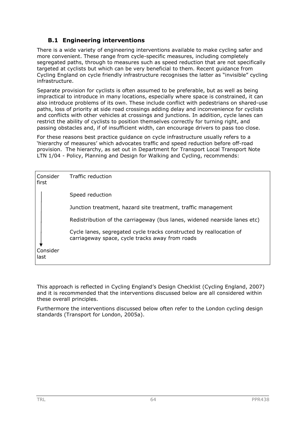# **B.1 Engineering interventions**

There is a wide variety of engineering interventions available to make cycling safer and more convenient. These range from cycle-specific measures, including completely segregated paths, through to measures such as speed reduction that are not specifically targeted at cyclists but which can be very beneficial to them. Recent guidance from Cycling England on cycle friendly infrastructure recognises the latter as "invisible" cycling infrastructure.

Separate provision for cyclists is often assumed to be preferable, but as well as being impractical to introduce in many locations, especially where space is constrained, it can also introduce problems of its own. These include conflict with pedestrians on shared-use paths, loss of priority at side road crossings adding delay and inconvenience for cyclists and conflicts with other vehicles at crossings and junctions. In addition, cycle lanes can restrict the ability of cyclists to position themselves correctly for turning right, and passing obstacles and, if of insufficient width, can encourage drivers to pass too close.

For these reasons best practice guidance on cycle infrastructure usually refers to a 'hierarchy of measures' which advocates traffic and speed reduction before off-road provision. The hierarchy, as set out in Department for Transport Local Transport Note LTN 1/04 - Policy, Planning and Design for Walking and Cycling, recommends:

| Consider<br>first | Traffic reduction                                                                                                      |
|-------------------|------------------------------------------------------------------------------------------------------------------------|
|                   | Speed reduction                                                                                                        |
|                   | Junction treatment, hazard site treatment, traffic management                                                          |
|                   | Redistribution of the carriageway (bus lanes, widened nearside lanes etc)                                              |
|                   | Cycle lanes, segregated cycle tracks constructed by reallocation of<br>carriageway space, cycle tracks away from roads |
| Consider<br>last  |                                                                                                                        |

This approach is reflected in Cycling England's Design Checklist (Cycling England, 2007) and it is recommended that the interventions discussed below are all considered within these overall principles.

Furthermore the interventions discussed below often refer to the London cycling design standards (Transport for London, 2005a).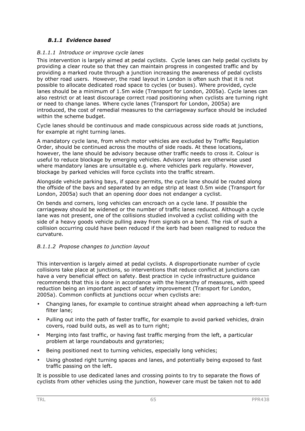## *B.1.1 Evidence based*

#### *B.1.1.1 Introduce or improve cycle lanes*

This intervention is largely aimed at pedal cyclists. Cycle lanes can help pedal cyclists by providing a clear route so that they can maintain progress in congested traffic and by providing a marked route through a junction increasing the awareness of pedal cyclists by other road users. However, the road layout in London is often such that it is not possible to allocate dedicated road space to cycles (or buses). Where provided, cycle lanes should be a minimum of 1.5m wide (Transport for London, 2005a). Cycle lanes can also restrict or at least discourage correct road positioning when cyclists are turning right or need to change lanes. Where cycle lanes (Transport for London, 2005a) are introduced, the cost of remedial measures to the carriageway surface should be included within the scheme budget.

Cycle lanes should be continuous and made conspicuous across side roads at junctions, for example at right turning lanes.

A mandatory cycle lane, from which motor vehicles are excluded by Traffic Regulation Order, should be continued across the mouths of side roads. At these locations, however, the lane should be advisory because other traffic needs to cross it. Colour is useful to reduce blockage by emerging vehicles. Advisory lanes are otherwise used where mandatory lanes are unsuitable e.g. where vehicles park regularly. However, blockage by parked vehicles will force cyclists into the traffic stream.

Alongside vehicle parking bays, if space permits, the cycle lane should be routed along the offside of the bays and separated by an edge strip at least 0.5m wide (Transport for London, 2005a) such that an opening door does not endanger a cyclist.

On bends and corners, long vehicles can encroach on a cycle lane. If possible the carriageway should be widened or the number of traffic lanes reduced. Although a cycle lane was not present, one of the collisions studied involved a cyclist colliding with the side of a heavy goods vehicle pulling away from signals on a bend. The risk of such a collision occurring could have been reduced if the kerb had been realigned to reduce the curvature.

## *B.1.1.2 Propose changes to junction layout*

This intervention is largely aimed at pedal cyclists. A disproportionate number of cycle collisions take place at junctions, so interventions that reduce conflict at junctions can have a very beneficial effect on safety. Best practice in cycle infrastructure guidance recommends that this is done in accordance with the hierarchy of measures, with speed reduction being an important aspect of safety improvement (Transport for London, 2005a). Common conflicts at junctions occur when cyclists are:

- Changing lanes, for example to continue straight ahead when approaching a left-turn filter lane;
- Pulling out into the path of faster traffic, for example to avoid parked vehicles, drain covers, road build outs, as well as to turn right;
- Merging into fast traffic, or having fast traffic merging from the left, a particular problem at large roundabouts and gyratories;
- Being positioned next to turning vehicles, especially long vehicles;
- Using ghosted right turning spaces and lanes, and potentially being exposed to fast traffic passing on the left.

It is possible to use dedicated lanes and crossing points to try to separate the flows of cyclists from other vehicles using the junction, however care must be taken not to add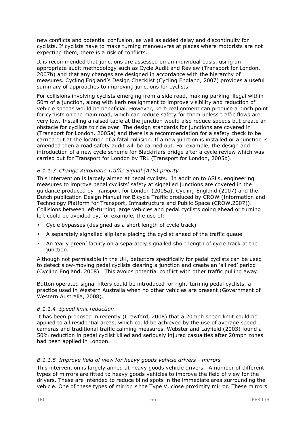new conflicts and potential confusion, as well as added delay and discontinuity for cyclists. If cyclists have to make turning manoeuvres at places where motorists are not expecting them, there is a risk of conflicts.

It is recommended that junctions are assessed on an individual basis, using an appropriate audit methodology such as Cycle Audit and Review (Transport for London, 2007b) and that any changes are designed in accordance with the hierarchy of measures. Cycling England's Design Checklist (Cycling England, 2007) provides a useful summary of approaches to improving junctions for cyclists.

For collisions involving cyclists emerging from a side road, making parking illegal within 50m of a junction, along with kerb realignment to improve visibility and reduction of vehicle speeds would be beneficial. However, kerb realignment can produce a pinch point for cyclists on the main road, which can reduce safety for them unless traffic flows are very low. Installing a raised table at the junction would also reduce speeds but create an obstacle for cyclists to ride over. The design standards for junctions are covered in (Transport for London, 2005a) and there is a recommendation for a safety check to be carried out at the location of a fatal collision. If a new junction is installed or a junction is amended then a road safety audit will be carried out. For example, the design and introduction of a new cycle scheme for Blackfriars bridge after a cycle review which was carried out for Transport for London by TRL (Transport for London, 2005b).

## *B.1.1.3 Change Automatic Traffic Signal (ATS) priority*

This intervention is largely aimed at pedal cyclists. In addition to ASLs, engineering measures to improve pedal cyclists' safety at signalled junctions are covered in the guidance produced by Transport for London (2005a), Cycling England (2007) and the Dutch publication Design Manual for Bicycle Traffic produced by CROW (Information and Technology Platform for Transport, Infrastructure and Public Space (CROW,2007)). Collisions between left-turning large vehicles and pedal cyclists going ahead or turning left could be avoided by, for example, the use of:

- Cycle bypasses (designed as a short length of cycle track)
- A separately signalled slip lane placing the cyclist ahead of the traffic queue
- An 'early green' facility on a separately signalled short length of cycle track at the junction.

Although not permissible in the UK, detectors specifically for pedal cyclists can be used to detect slow-moving pedal cyclists clearing a junction and create an 'all red' period (Cycling England, 2008). This avoids potential conflict with other traffic pulling away.

Button operated signal filters could be introduced for right-turning pedal cyclists, a practice used in Western Australia when no other vehicles are present (Government of Western Australia, 2008).

#### *B.1.1.4 Speed limit reduction*

It has been proposed in recently (Crawford, 2008) that a 20mph speed limit could be applied to all residential areas, which could be achieved by the use of average speed cameras and traditional traffic calming measures. Webster and Layfield (2003) found a 50% reduction in pedal cyclist killed and seriously injured casualties after 20mph zones had been applied in London.

## *B.1.1.5 Improve field of view for heavy goods vehicle drivers - mirrors*

This intervention is largely aimed at heavy goods vehicle drivers. A number of different types of mirrors are fitted to heavy goods vehicles to improve the field of view for the drivers. These are intended to reduce blind spots in the immediate area surrounding the vehicle. One of these types of mirror is the Type V, close proximity mirror. These mirrors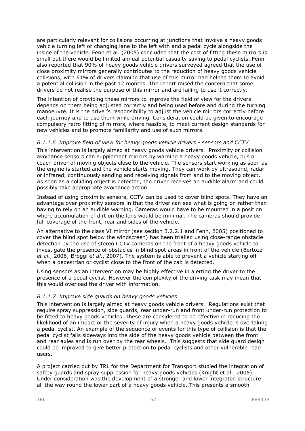are particularly relevant for collisions occurring at junctions that involve a heavy goods vehicle turning left or changing lane to the left with and a pedal cycle alongside the inside of the vehicle. Fenn et al. (2005) concluded that the cost of fitting these mirrors is small but there would be limited annual potential casualty saving to pedal cyclists. Fenn also reported that 90% of heavy goods vehicle drivers surveyed agreed that the use of close proximity mirrors generally contributes to the reduction of heavy goods vehicle collisions, with 61% of drivers claiming that use of this mirror had helped them to avoid a potential collision in the past 12 months. The report raised the concern that some drivers do not realise the purpose of this mirror and are failing to use it correctly.

The intention of providing these mirrors to improve the field of view for the drivers depends on them being adjusted correctly and being used before and during the turning manoeuvre. It is the driver's responsibility to adjust the vehicle mirrors correctly before each journey and to use them while driving. Consideration could be given to encourage compulsory retro fitting of mirrors, where feasible, to meet current design standards for new vehicles and to promote familiarity and use of such mirrors.

#### *B.1.1.6 Improve field of view for heavy goods vehicle drivers - sensors and CCTV*

This intervention is largely aimed at heavy goods vehicle drivers. Proximity or collision avoidance sensors can supplement mirrors by warning a heavy goods vehicle, bus or coach driver of moving objects close to the vehicle. The sensors start working as soon as the engine is started and the vehicle starts moving. They can work by ultrasound, radar or infrared, continuously sending and receiving signals from and to the moving object. As soon as a colliding object is detected, the driver receives an audible alarm and could possibly take appropriate avoidance action.

Instead of using proximity sensors, CCTV can be used to cover blind spots. They have an advantage over proximity sensors in that the driver can see what is going on rather than having to rely on an audible warning. Cameras would have to be mounted in a position where accumulation of dirt on the lens would be minimal. The cameras should provide full coverage of the front, rear and sides of the vehicle.

An alternative to the class VI mirror (see section 3.2.2.1 and Fenn, 2005) positioned to cover the blind spot below the windscreen) has been trialled using close-range obstacle detection by the use of stereo CCTV cameras on the front of a heavy goods vehicle to investigate the presence of obstacles in blind spot areas in front of the vehicle (Bertozzi *et al.*, 2006; Broggi *et al.*, 2007). The system is able to prevent a vehicle starting off when a pedestrian or cyclist close to the front of the cab is detected.

Using sensors as an intervention may be highly effective in alerting the driver to the presence of a pedal cyclist. However the complexity of the driving task may mean that this would overload the driver with information.

## *B.1.1.7 Improve side guards on heavy goods vehicles*

This intervention is largely aimed at heavy goods vehicle drivers. Regulations exist that require spray suppression, side guards, rear under-run and front under-run protection to be fitted to heavy goods vehicles. These are considered to be effective in reducing the likelihood of an impact or the severity of injury when a heavy goods vehicle is overtaking a pedal cyclist. An example of the sequence of events for this type of collision is that the pedal cyclist falls sideways into the side of the heavy goods vehicle between the front and rear axles and is run over by the rear wheels. This suggests that side guard design could be improved to give better protection to pedal cyclists and other vulnerable road users.

A project carried out by TRL for the Department for Transport studied the integration of safety guards and spray suppression for heavy goods vehicles (Knight et al., 2005). Under consideration was the development of a stronger and lower integrated structure all the way round the lower part of a heavy goods vehicle. This presents a smooth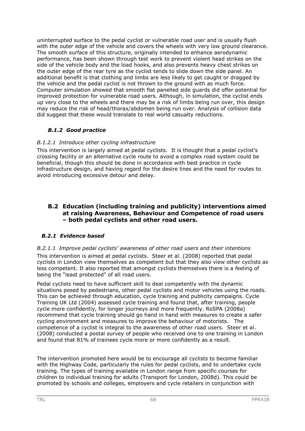uninterrupted surface to the pedal cyclist or vulnerable road user and is usually flush with the outer edge of the vehicle and covers the wheels with very low ground clearance. The smooth surface of this structure, originally intended to enhance aerodynamic performance, has been shown through test work to prevent violent head strikes on the side of the vehicle body and the load hooks, and also prevents heavy chest strikes on the outer edge of the rear tyre as the cyclist tends to slide down the side panel. An additional benefit is that clothing and limbs are less likely to get caught or dragged by the vehicle and the pedal cyclist is not thrown to the ground with as much force. Computer simulation showed that smooth flat panelled side guards did offer potential for improved protection for vulnerable road users. Although, in simulation, the cyclist ends up very close to the wheels and there may be a risk of limbs being run over, this design may reduce the risk of head/thorax/abdomen being run over. Analysis of collision data did suggest that these would translate to real world casualty reductions.

## *B.1.2 Good practice*

## *B.1.2.1 Introduce other cycling infrastructure*

This intervention is largely aimed at pedal cyclists. It is thought that a pedal cyclist's crossing facility or an alternative cycle route to avoid a complex road system could be beneficial, though this should be done in accordance with best practice in cycle infrastructure design, and having regard for the desire lines and the need for routes to avoid introducing excessive detour and delay.

## **B.2 Education (including training and publicity) interventions aimed at raising Awareness, Behaviour and Competence of road users – both pedal cyclists and other road users.**

## *B.2.1 Evidence based*

#### *B.2.1.1 Improve pedal cyclists' awareness of other road users and their intentions*  This intervention is aimed at pedal cyclists. Steer et al. (2008) reported that pedal cyclists in London view themselves as competent but that they also view other cyclists as less competent. It also reported that amongst cyclists themselves there is a feeling of being the "least protected" of all road users.

Pedal cyclists need to have sufficient skill to deal competently with the dynamic situations posed by pedestrians, other pedal cyclists and motor vehicles using the roads. This can be achieved through education, cycle training and publicity campaigns. Cycle Training UK Ltd (2004) assessed cycle training and found that, after training, people cycle more confidently, for longer journeys and more frequently. RoSPA (2008a) recommend that cycle training should go hand in hand with measures to create a safer cycling environment and measures to improve the behaviour of motorists. The competence of a cyclist is integral to the awareness of other road users. Steer et al. (2008) conducted a postal survey of people who received one to one training in London and found that 81% of trainees cycle more or more confidently as a result.

The intervention promoted here would be to encourage all cyclists to become familiar with the Highway Code, particularly the rules for pedal cyclists, and to undertake cycle training. The types of training available in London range from specific courses for children to individual training for adults (Transport for London, 2008d). This could be promoted by schools and colleges, employers and cycle retailers in conjunction with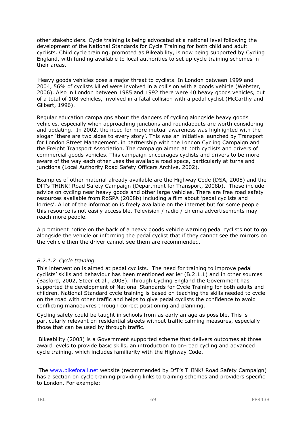other stakeholders. Cycle training is being advocated at a national level following the development of the National Standards for Cycle Training for both child and adult cyclists. Child cycle training, promoted as Bikeability, is now being supported by Cycling England, with funding available to local authorities to set up cycle training schemes in their areas.

Heavy goods vehicles pose a major threat to cyclists. In London between 1999 and 2004, 56% of cyclists killed were involved in a collision with a goods vehicle (Webster, 2006). Also in London between 1985 and 1992 there were 40 heavy goods vehicles, out of a total of 108 vehicles, involved in a fatal collision with a pedal cyclist (McCarthy and Gilbert, 1996).

Regular education campaigns about the dangers of cycling alongside heavy goods vehicles, especially when approaching junctions and roundabouts are worth considering and updating. In 2002, the need for more mutual awareness was highlighted with the slogan 'there are two sides to every story'. This was an initiative launched by Transport for London Street Management, in partnership with the London Cycling Campaign and the Freight Transport Association. The campaign aimed at both cyclists and drivers of commercial goods vehicles. This campaign encourages cyclists and drivers to be more aware of the way each other uses the available road space, particularly at turns and junctions (Local Authority Road Safety Officers Archive, 2002).

Examples of other material already available are the Highway Code (DSA, 2008) and the DfT's THINK! Road Safety Campaign (Department for Transport, 2008b). These include advice on cycling near heavy goods and other large vehicles. There are free road safety resources available from RoSPA (2008b) including a film about 'pedal cyclists and lorries'. A lot of the information is freely available on the internet but for some people this resource is not easily accessible. Television / radio / cinema advertisements may reach more people.

A prominent notice on the back of a heavy goods vehicle warning pedal cyclists not to go alongside the vehicle or informing the pedal cyclist that if they cannot see the mirrors on the vehicle then the driver cannot see them are recommended.

## *B.2.1.2 Cycle training*

This intervention is aimed at pedal cyclists. The need for training to improve pedal cyclists' skills and behaviour has been mentioned earlier (B.2.1.1) and in other sources (Basford, 2002, Steer et al., 2008). Through Cycling England the Government has supported the development of National Standards for Cycle Training for both adults and children. National Standard cycle training is based on teaching the skills needed to cycle on the road with other traffic and helps to give pedal cyclists the confidence to avoid conflicting manoeuvres through correct positioning and planning.

Cycling safety could be taught in schools from as early an age as possible. This is particularly relevant on residential streets without traffic calming measures, especially those that can be used by through traffic.

Bikeability (2008) is a Government supported scheme that delivers outcomes at three award levels to provide basic skills, an introduction to on-road cycling and advanced cycle training, which includes familiarity with the Highway Code.

The www.bikeforall.net website (recommended by DfT's THINK! Road Safety Campaign) has a section on cycle training providing links to training schemes and providers specific to London. For example: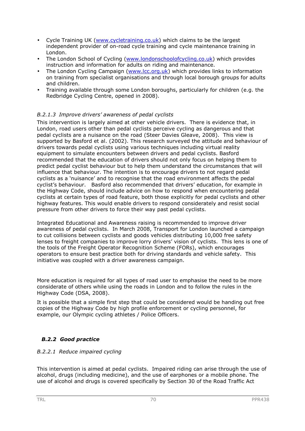- Cycle Training UK (www.cycletraining.co.uk) which claims to be the largest independent provider of on-road cycle training and cycle maintenance training in London.
- The London School of Cycling (www.londonschoolofcycling.co.uk) which provides instruction and information for adults on riding and maintenance.
- The London Cycling Campaign (www.lcc.org.uk) which provides links to information on training from specialist organisations and through local borough groups for adults and children.
- Training available through some London boroughs, particularly for children (e.g. the Redbridge Cycling Centre, opened in 2008).

## *B.2.1.3 Improve drivers' awareness of pedal cyclists*

This intervention is largely aimed at other vehicle drivers. There is evidence that, in London, road users other than pedal cyclists perceive cycling as dangerous and that pedal cyclists are a nuisance on the road (Steer Davies Gleave, 2008). This view is supported by Basford et al. (2002). This research surveyed the attitude and behaviour of drivers towards pedal cyclists using various techniques including virtual reality equipment to simulate encounters between drivers and pedal cyclists. Basford recommended that the education of drivers should not only focus on helping them to predict pedal cyclist behaviour but to help them understand the circumstances that will influence that behaviour. The intention is to encourage drivers to not regard pedal cyclists as a 'nuisance' and to recognise that the road environment affects the pedal cyclist's behaviour. Basford also recommended that drivers' education, for example in the Highway Code, should include advice on how to respond when encountering pedal cyclists at certain types of road feature, both those explicitly for pedal cyclists and other highway features. This would enable drivers to respond considerately and resist social pressure from other drivers to force their way past pedal cyclists.

Integrated Educational and Awareness raising is recommended to improve driver awareness of pedal cyclists. In March 2008, Transport for London launched a campaign to cut collisions between cyclists and goods vehicles distributing 10,000 free safety lenses to freight companies to improve lorry drivers' vision of cyclists. This lens is one of the tools of the Freight Operator Recognition Scheme (FORs), which encourages operators to ensure best practice both for driving standards and vehicle safety. This initiative was coupled with a driver awareness campaign.

More education is required for all types of road user to emphasise the need to be more considerate of others while using the roads in London and to follow the rules in the Highway Code (DSA, 2008).

It is possible that a simple first step that could be considered would be handing out free copies of the Highway Code by high profile enforcement or cycling personnel, for example, our Olympic cycling athletes / Police Officers.

## *B.2.2 Good practice*

#### *B.2.2.1 Reduce impaired cycling*

This intervention is aimed at pedal cyclists. Impaired riding can arise through the use of alcohol, drugs (including medicine), and the use of earphones or a mobile phone. The use of alcohol and drugs is covered specifically by Section 30 of the Road Traffic Act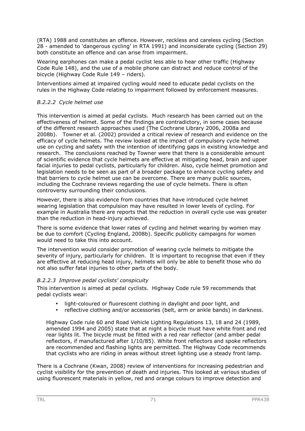(RTA) 1988 and constitutes an offence. However, reckless and careless cycling (Section 28 - amended to 'dangerous cycling' in RTA 1991) and inconsiderate cycling (Section 29) both constitute an offence and can arise from impairment.

Wearing earphones can make a pedal cyclist less able to hear other traffic (Highway Code Rule 148), and the use of a mobile phone can distract and reduce control of the bicycle (Highway Code Rule 149 – riders).

Interventions aimed at impaired cycling would need to educate pedal cyclists on the rules in the Highway Code relating to impairment followed by enforcement measures.

## *B.2.2.2 Cycle helmet use*

This intervention is aimed at pedal cyclists. Much research has been carried out on the effectiveness of helmet. Some of the findings are contradictory, in some cases because of the different research approaches used (The Cochrane Library 2006, 2008a and 2008b). Towner et al. (2002) provided a critical review of research and evidence on the efficacy of cycle helmets. The review looked at the impact of compulsory cycle helmet use on cycling and safety with the intention of identifying gaps in existing knowledge and research. The conclusions reached by Towner were that there is a considerable amount of scientific evidence that cycle helmets are effective at mitigating head, brain and upper facial injuries to pedal cyclists, particularly for children. Also, cycle helmet promotion and legislation needs to be seen as part of a broader package to enhance cycling safety and that barriers to cycle helmet use can be overcome. There are many public sources, including the Cochrane reviews regarding the use of cycle helmets. There is often controversy surrounding their conclusions.

However, there is also evidence from countries that have introduced cycle helmet wearing legislation that compulsion may have resulted in lower levels of cycling. For example in Australia there are reports that the reduction in overall cycle use was greater than the reduction in head-injury achieved.

There is some evidence that lower rates of cycling and helmet wearing by women may be due to comfort (Cycling England, 2008b). Specific publicity campaigns for women would need to take this into account.

The intervention would consider promotion of wearing cycle helmets to mitigate the severity of injury, particularly for children. It is important to recognise that even if they are effective at reducing head injury, helmets will only be able to benefit those who do not also suffer fatal injuries to other parts of the body.

#### *B.2.2.3 Improve pedal cyclists' conspicuity*

This intervention is aimed at pedal cyclists. Highway Code rule 59 recommends that pedal cyclists wear:

- light-coloured or fluorescent clothing in daylight and poor light, and
- reflective clothing and/or accessories (belt, arm or ankle bands) in darkness.

Highway Code rule 60 and Road Vehicle Lighting Regulations 13, 18 and 24 (1989, amended 1994 and 2005) state that at night a bicycle must have white front and red rear lights lit. The bicycle must be fitted with a red rear reflector (and amber pedal reflectors, if manufactured after 1/10/85). White front reflectors and spoke reflectors are recommended and flashing lights are permitted. The Highway Code recommends that cyclists who are riding in areas without street lighting use a steady front lamp.

There is a Cochrane (Kwan, 2008) review of interventions for increasing pedestrian and cyclist visibility for the prevention of death and injuries. This looked at various studies of using fluorescent materials in yellow, red and orange colours to improve detection and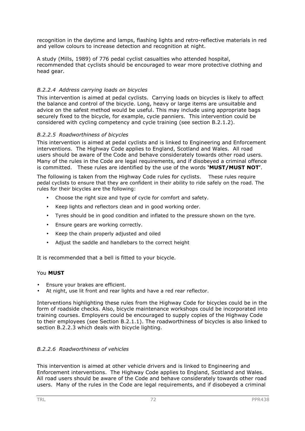recognition in the daytime and lamps, flashing lights and retro-reflective materials in red and yellow colours to increase detection and recognition at night.

A study (Mills, 1989) of 776 pedal cyclist casualties who attended hospital, recommended that cyclists should be encouraged to wear more protective clothing and head gear.

#### *B.2.2.4 Address carrying loads on bicycles*

This intervention is aimed at pedal cyclists. Carrying loads on bicycles is likely to affect the balance and control of the bicycle. Long, heavy or large items are unsuitable and advice on the safest method would be useful. This may include using appropriate bags securely fixed to the bicycle, for example, cycle panniers. This intervention could be considered with cycling competency and cycle training (see section B.2.1.2).

#### *B.2.2.5 Roadworthiness of bicycles*

This intervention is aimed at pedal cyclists and is linked to Engineering and Enforcement interventions. The Highway Code applies to England, Scotland and Wales. All road users should be aware of the Code and behave considerately towards other road users. Many of the rules in the Code are legal requirements, and if disobeyed a criminal offence is committed. These rules are identified by the use of the words **'MUST/MUST NOT'**.

The following is taken from the Highway Code rules for cyclists. These rules require pedal cyclists to ensure that they are confident in their ability to ride safely on the road. The rules for their bicycles are the following:

- Choose the right size and type of cycle for comfort and safety.
- Keep lights and reflectors clean and in good working order.
- Tyres should be in good condition and inflated to the pressure shown on the tyre.
- Ensure gears are working correctly.
- Keep the chain properly adjusted and oiled
- Adjust the saddle and handlebars to the correct height

It is recommended that a bell is fitted to your bicycle.

#### You **MUST**

- Ensure your brakes are efficient.
- At night, use lit front and rear lights and have a red rear reflector.

Interventions highlighting these rules from the Highway Code for bicycles could be in the form of roadside checks. Also, bicycle maintenance workshops could be incorporated into training courses. Employers could be encouraged to supply copies of the Highway Code to their employees (see Section B.2.1.1). The roadworthiness of bicycles is also linked to section B.2.2.3 which deals with bicycle lighting.

## *B.2.2.6 Roadworthiness of vehicles*

This intervention is aimed at other vehicle drivers and is linked to Engineering and Enforcement interventions. The Highway Code applies to England, Scotland and Wales. All road users should be aware of the Code and behave considerately towards other road users. Many of the rules in the Code are legal requirements, and if disobeyed a criminal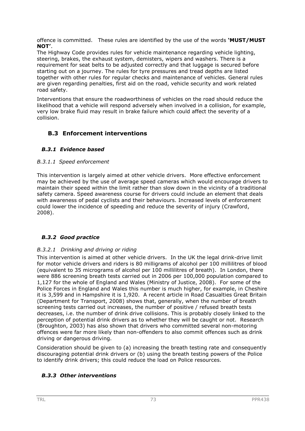offence is committed. These rules are identified by the use of the words **'MUST/MUST NOT'**.

The Highway Code provides rules for vehicle maintenance regarding vehicle lighting, steering, brakes, the exhaust system, demisters, wipers and washers. There is a requirement for seat belts to be adjusted correctly and that luggage is secured before starting out on a journey. The rules for tyre pressures and tread depths are listed together with other rules for regular checks and maintenance of vehicles. General rules are given regarding penalties, first aid on the road, vehicle security and work related road safety.

Interventions that ensure the roadworthiness of vehicles on the road should reduce the likelihood that a vehicle will respond adversely when involved in a collision, for example, very low brake fluid may result in brake failure which could affect the severity of a collision.

## **B.3 Enforcement interventions**

## *B.3.1 Evidence based*

#### *B.3.1.1 Speed enforcement*

This intervention is largely aimed at other vehicle drivers. More effective enforcement may be achieved by the use of average speed cameras which would encourage drivers to maintain their speed within the limit rather than slow down in the vicinity of a traditional safety camera. Speed awareness course for drivers could include an element that deals with awareness of pedal cyclists and their behaviours. Increased levels of enforcement could lower the incidence of speeding and reduce the severity of injury (Crawford, 2008).

## *B.3.2 Good practice*

## *B.3.2.1 Drinking and driving or riding*

This intervention is aimed at other vehicle drivers. In the UK the legal drink-drive limit for motor vehicle drivers and riders is 80 milligrams of alcohol per 100 millilitres of blood (equivalent to 35 micrograms of alcohol per 100 millilitres of breath). In London, there were 886 screening breath tests carried out in 2006 per 100,000 population compared to 1,127 for the whole of England and Wales (Ministry of Justice, 2008). For some of the Police Forces in England and Wales this number is much higher, for example, in Cheshire it is 3,599 and in Hampshire it is 1,920. A recent article in Road Casualties Great Britain (Department for Transport, 2008) shows that, generally, when the number of breath screening tests carried out increases, the number of positive / refused breath tests decreases, i.e. the number of drink drive collisions. This is probably closely linked to the perception of potential drink drivers as to whether they will be caught or not. Research (Broughton, 2003) has also shown that drivers who committed several non-motoring offences were far more likely than non-offenders to also commit offences such as drink driving or dangerous driving.

Consideration should be given to (a) increasing the breath testing rate and consequently discouraging potential drink drivers or (b) using the breath testing powers of the Police to identify drink drivers; this could reduce the load on Police resources.

## *B.3.3 Other interventions*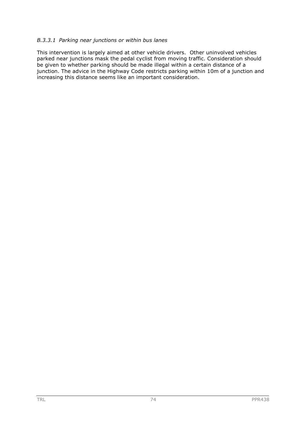#### *B.3.3.1 Parking near junctions or within bus lanes*

This intervention is largely aimed at other vehicle drivers. Other uninvolved vehicles parked near junctions mask the pedal cyclist from moving traffic. Consideration should be given to whether parking should be made illegal within a certain distance of a junction. The advice in the Highway Code restricts parking within 10m of a junction and increasing this distance seems like an important consideration.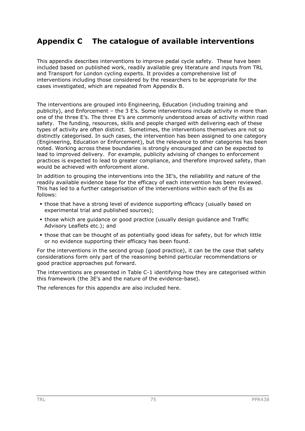# **Appendix C The catalogue of available interventions**

This appendix describes interventions to improve pedal cycle safety. These have been included based on published work, readily available grey literature and inputs from TRL and Transport for London cycling experts. It provides a comprehensive list of interventions including those considered by the researchers to be appropriate for the cases investigated, which are repeated from Appendix B.

The interventions are grouped into Engineering, Education (including training and publicity), and Enforcement – the 3 E's. Some interventions include activity in more than one of the three E's. The three E's are commonly understood areas of activity within road safety. The funding, resources, skills and people charged with delivering each of these types of activity are often distinct. Sometimes, the interventions themselves are not so distinctly categorised. In such cases, the intervention has been assigned to one category (Engineering, Education or Enforcement), but the relevance to other categories has been noted. Working across these boundaries is strongly encouraged and can be expected to lead to improved delivery. For example, publicity advising of changes to enforcement practices is expected to lead to greater compliance, and therefore improved safety, than would be achieved with enforcement alone.

In addition to grouping the interventions into the 3E's, the reliability and nature of the readily available evidence base for the efficacy of each intervention has been reviewed. This has led to a further categorisation of the interventions within each of the Es as follows:

- those that have a strong level of evidence supporting efficacy (usually based on experimental trial and published sources);
- those which are guidance or good practice (usually design guidance and Traffic Advisory Leaflets etc.); and
- those that can be thought of as potentially good ideas for safety, but for which little or no evidence supporting their efficacy has been found.

For the interventions in the second group (good practice), it can be the case that safety considerations form only part of the reasoning behind particular recommendations or good practice approaches put forward.

The interventions are presented in Table C-1 identifying how they are categorised within this framework (the 3E's and the nature of the evidence-base).

The references for this appendix are also included here.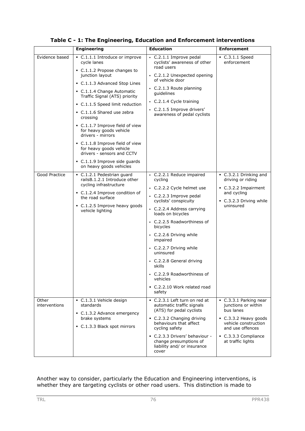|                        | <b>Engineering</b>                                                                                                                                                                                                                                                                                                                                                                                                                                                                                               | <b>Education</b>                                                                                                                                                                                                                                                                                                                                                                                                      | <b>Enforcement</b>                                                                                                                                                               |
|------------------------|------------------------------------------------------------------------------------------------------------------------------------------------------------------------------------------------------------------------------------------------------------------------------------------------------------------------------------------------------------------------------------------------------------------------------------------------------------------------------------------------------------------|-----------------------------------------------------------------------------------------------------------------------------------------------------------------------------------------------------------------------------------------------------------------------------------------------------------------------------------------------------------------------------------------------------------------------|----------------------------------------------------------------------------------------------------------------------------------------------------------------------------------|
| Evidence based         | C.1.1.1 Introduce or improve<br>cycle lanes<br>C.1.1.2 Propose changes to<br>junction layout<br>• C.1.1.3 Advanced Stop Lines<br>• C.1.1.4 Change Automatic<br>Traffic Signal (ATS) priority<br>C.1.1.5 Speed limit reduction<br>• C.1.1.6 Shared use zebra<br>crossing<br>• C.1.1.7 Improve field of view<br>for heavy goods vehicle<br>drivers - mirrors<br>• C.1.1.8 Improve field of view<br>for heavy goods vehicle<br>drivers - sensors and CCTV<br>C.1.1.9 Improve side guards<br>on heavy goods vehicles | C.2.1.1 Improve pedal<br>cyclists' awareness of other<br>road users<br>C.2.1.2 Unexpected opening<br>of vehicle door<br>C.2.1.3 Route planning<br>quidelines<br>C.2.1.4 Cycle training<br>• C.2.1.5 Improve drivers'<br>awareness of pedal cyclists                                                                                                                                                                   | $\bullet$ C.3.1.1 Speed<br>enforcement                                                                                                                                           |
| Good Practice          | • C.1.2.1 Pedestrian quard<br>railsB.1.2.1 Introduce other<br>cycling infrastructure<br>• C.1.2.4 Improve condition of<br>the road surface<br>• C.1.2.5 Improve heavy goods<br>vehicle lighting                                                                                                                                                                                                                                                                                                                  | C.2.2.1 Reduce impaired<br>cycling<br>C.2.2.2 Cycle helmet use<br>C.2.2.3 Improve pedal<br>cyclists' conspicuity<br>C.2.2.4 Address carrying<br>loads on bicycles<br>• C.2.2.5 Roadworthiness of<br>bicycles<br>• C.2.2.6 Driving while<br>impaired<br>• C.2.2.7 Driving while<br>uninsured<br>C.2.2.8 General driving<br>skills<br>• C.2.2.9 Roadworthiness of<br>vehicles<br>• C.2.2.10 Work related road<br>safety | C.3.2.1 Drinking and<br>driving or riding<br>C.3.2.2 Impairment<br>and cycling<br>• C.3.2.3 Driving while<br>uninsured                                                           |
| Other<br>interventions | C.1.3.1 Vehicle design<br>standards<br>• C.1.3.2 Advance emergency<br>brake systems<br>C.1.3.3 Black spot mirrors                                                                                                                                                                                                                                                                                                                                                                                                | C.2.3.1 Left turn on red at<br>automatic traffic signals<br>(ATS) for pedal cyclists<br>C.2.3.2 Changing driving<br>behaviours that affect<br>cycling safety<br>- C.2.3.3 Drivers' behaviour -<br>change presumptions of<br>liability and/ or insurance<br>cover                                                                                                                                                      | C.3.3.1 Parking near<br>junctions or within<br>bus lanes<br>$\bullet$ C.3.3.2 Heavy goods<br>vehicle construction<br>and use offences<br>C.3.3.3 Compliance<br>at traffic lights |

**Table C - 1: The Engineering, Education and Enforcement interventions** 

Another way to consider, particularly the Education and Engineering interventions, is whether they are targeting cyclists or other road users. This distinction is made to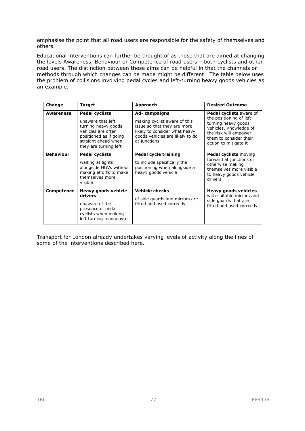emphasise the point that all road users are responsible for the safety of themselves and others.

Educational interventions can further be thought of as those that are aimed at changing the levels Awareness, Behaviour or Competence of road users – both cyclists and other road users. The distinction between these aims can be helpful in that the channels or methods through which changes can be made might be different. The table below uses the problem of collisions involving pedal cycles and left-turning heavy goods vehicles as an example.

| Change            | <b>Target</b>                                                                                                                                                     | Approach                                                                                                                                                        | <b>Desired Outcome</b>                                                                                                                                                          |
|-------------------|-------------------------------------------------------------------------------------------------------------------------------------------------------------------|-----------------------------------------------------------------------------------------------------------------------------------------------------------------|---------------------------------------------------------------------------------------------------------------------------------------------------------------------------------|
| <b>Awareness</b>  | <b>Pedal cyclists</b><br>unaware that left<br>turning heavy goods<br>vehicles are often<br>positioned as if going<br>straight ahead when<br>they are turning left | Ad-campaigns<br>making cyclist aware of this<br>issue so that they are more<br>likely to consider what heavy<br>goods vehicles are likely to do<br>at junctions | Pedal cyclists aware of<br>the positioning of left<br>turning heavy goods<br>vehicles. Knowledge of<br>the risk will empower<br>them to consider their<br>action to mitigate it |
| <b>Behaviour</b>  | <b>Pedal cyclists</b><br>waiting at lights<br>alongside HGVs without<br>making efforts to make<br>themselves more<br>visible                                      | Pedal cycle training<br>to include specifically the<br>positioning when alongside a<br>heavy goods vehicle                                                      | <b>Pedal cyclists moving</b><br>forward at junctions or<br>otherwise making<br>themselves more visible<br>to heavy goods vehicle<br>drivers                                     |
| <b>Competence</b> | Heavy goods vehicle<br>drivers<br>unaware of the<br>presence of pedal<br>cyclists when making<br>left turning manoeuvre                                           | <b>Vehicle checks</b><br>of side quards and mirrors are<br>fitted and used correctly                                                                            | <b>Heavy goods vehicles</b><br>with suitable mirrors and<br>side guards that are<br>fitted and used correctly                                                                   |

Transport for London already undertakes varying levels of activity along the lines of some of the interventions described here.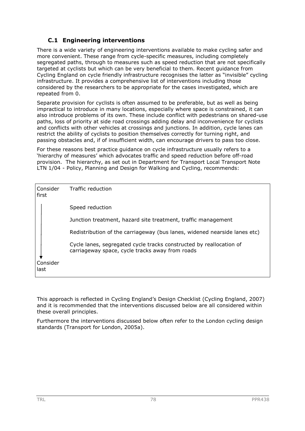## **C.1 Engineering interventions**

There is a wide variety of engineering interventions available to make cycling safer and more convenient. These range from cycle-specific measures, including completely segregated paths, through to measures such as speed reduction that are not specifically targeted at cyclists but which can be very beneficial to them. Recent guidance from Cycling England on cycle friendly infrastructure recognises the latter as "invisible" cycling infrastructure. It provides a comprehensive list of interventions including those considered by the researchers to be appropriate for the cases investigated, which are repeated from 0.

Separate provision for cyclists is often assumed to be preferable, but as well as being impractical to introduce in many locations, especially where space is constrained, it can also introduce problems of its own. These include conflict with pedestrians on shared-use paths, loss of priority at side road crossings adding delay and inconvenience for cyclists and conflicts with other vehicles at crossings and junctions. In addition, cycle lanes can restrict the ability of cyclists to position themselves correctly for turning right, and passing obstacles and, if of insufficient width, can encourage drivers to pass too close.

For these reasons best practice guidance on cycle infrastructure usually refers to a 'hierarchy of measures' which advocates traffic and speed reduction before off-road provision. The hierarchy, as set out in Department for Transport Local Transport Note LTN 1/04 - Policy, Planning and Design for Walking and Cycling, recommends:

| Consider<br>first | Traffic reduction                                                                                                      |
|-------------------|------------------------------------------------------------------------------------------------------------------------|
|                   | Speed reduction                                                                                                        |
|                   | Junction treatment, hazard site treatment, traffic management                                                          |
|                   | Redistribution of the carriageway (bus lanes, widened nearside lanes etc)                                              |
|                   | Cycle lanes, segregated cycle tracks constructed by reallocation of<br>carriageway space, cycle tracks away from roads |
| Consider<br>last  |                                                                                                                        |

This approach is reflected in Cycling England's Design Checklist (Cycling England, 2007) and it is recommended that the interventions discussed below are all considered within these overall principles.

Furthermore the interventions discussed below often refer to the London cycling design standards (Transport for London, 2005a).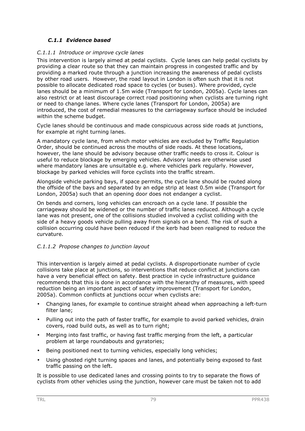## *C.1.1 Evidence based*

#### *C.1.1.1 Introduce or improve cycle lanes*

This intervention is largely aimed at pedal cyclists. Cycle lanes can help pedal cyclists by providing a clear route so that they can maintain progress in congested traffic and by providing a marked route through a junction increasing the awareness of pedal cyclists by other road users. However, the road layout in London is often such that it is not possible to allocate dedicated road space to cycles (or buses). Where provided, cycle lanes should be a minimum of 1.5m wide (Transport for London, 2005a). Cycle lanes can also restrict or at least discourage correct road positioning when cyclists are turning right or need to change lanes. Where cycle lanes (Transport for London, 2005a) are introduced, the cost of remedial measures to the carriageway surface should be included within the scheme budget.

Cycle lanes should be continuous and made conspicuous across side roads at junctions, for example at right turning lanes.

A mandatory cycle lane, from which motor vehicles are excluded by Traffic Regulation Order, should be continued across the mouths of side roads. At these locations, however, the lane should be advisory because other traffic needs to cross it. Colour is useful to reduce blockage by emerging vehicles. Advisory lanes are otherwise used where mandatory lanes are unsuitable e.g. where vehicles park regularly. However, blockage by parked vehicles will force cyclists into the traffic stream.

Alongside vehicle parking bays, if space permits, the cycle lane should be routed along the offside of the bays and separated by an edge strip at least 0.5m wide (Transport for London, 2005a) such that an opening door does not endanger a cyclist.

On bends and corners, long vehicles can encroach on a cycle lane. If possible the carriageway should be widened or the number of traffic lanes reduced. Although a cycle lane was not present, one of the collisions studied involved a cyclist colliding with the side of a heavy goods vehicle pulling away from signals on a bend. The risk of such a collision occurring could have been reduced if the kerb had been realigned to reduce the curvature.

## *C.1.1.2 Propose changes to junction layout*

This intervention is largely aimed at pedal cyclists. A disproportionate number of cycle collisions take place at junctions, so interventions that reduce conflict at junctions can have a very beneficial effect on safety. Best practice in cycle infrastructure guidance recommends that this is done in accordance with the hierarchy of measures, with speed reduction being an important aspect of safety improvement (Transport for London, 2005a). Common conflicts at junctions occur when cyclists are:

- Changing lanes, for example to continue straight ahead when approaching a left-turn filter lane;
- Pulling out into the path of faster traffic, for example to avoid parked vehicles, drain covers, road build outs, as well as to turn right;
- Merging into fast traffic, or having fast traffic merging from the left, a particular problem at large roundabouts and gyratories;
- Being positioned next to turning vehicles, especially long vehicles;
- Using ghosted right turning spaces and lanes, and potentially being exposed to fast traffic passing on the left.

It is possible to use dedicated lanes and crossing points to try to separate the flows of cyclists from other vehicles using the junction, however care must be taken not to add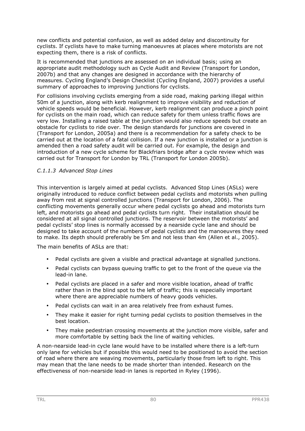new conflicts and potential confusion, as well as added delay and discontinuity for cyclists. If cyclists have to make turning manoeuvres at places where motorists are not expecting them, there is a risk of conflicts.

It is recommended that junctions are assessed on an individual basis; using an appropriate audit methodology such as Cycle Audit and Review (Transport for London, 2007b) and that any changes are designed in accordance with the hierarchy of measures. Cycling England's Design Checklist (Cycling England, 2007) provides a useful summary of approaches to improving junctions for cyclists.

For collisions involving cyclists emerging from a side road, making parking illegal within 50m of a junction, along with kerb realignment to improve visibility and reduction of vehicle speeds would be beneficial. However, kerb realignment can produce a pinch point for cyclists on the main road, which can reduce safety for them unless traffic flows are very low. Installing a raised table at the junction would also reduce speeds but create an obstacle for cyclists to ride over. The design standards for junctions are covered in (Transport for London, 2005a) and there is a recommendation for a safety check to be carried out at the location of a fatal collision. If a new junction is installed or a junction is amended then a road safety audit will be carried out. For example, the design and introduction of a new cycle scheme for Blackfriars bridge after a cycle review which was carried out for Transport for London by TRL (Transport for London 2005b).

#### *C.1.1.3 Advanced Stop Lines*

This intervention is largely aimed at pedal cyclists. Advanced Stop Lines (ASLs) were originally introduced to reduce conflict between pedal cyclists and motorists when pulling away from rest at signal controlled junctions (Transport for London, 2006). The conflicting movements generally occur where pedal cyclists go ahead and motorists turn left, and motorists go ahead and pedal cyclists turn right. Their installation should be considered at all signal controlled junctions. The reservoir between the motorists' and pedal cyclists' stop lines is normally accessed by a nearside cycle lane and should be designed to take account of the numbers of pedal cyclists and the manoeuvres they need to make. Its depth should preferably be 5m and not less than 4m (Allen et al., 2005).

The main benefits of ASLs are that:

- Pedal cyclists are given a visible and practical advantage at signalled junctions.
- Pedal cyclists can bypass queuing traffic to get to the front of the queue via the lead-in lane.
- Pedal cyclists are placed in a safer and more visible location, ahead of traffic rather than in the blind spot to the left of traffic; this is especially important where there are appreciable numbers of heavy goods vehicles.
- Pedal cyclists can wait in an area relatively free from exhaust fumes.
- They make it easier for right turning pedal cyclists to position themselves in the best location.
- They make pedestrian crossing movements at the junction more visible, safer and more comfortable by setting back the line of waiting vehicles.

A non-nearside lead-in cycle lane would have to be installed where there is a left-turn only lane for vehicles but if possible this would need to be positioned to avoid the section of road where there are weaving movements, particularly those from left to right. This may mean that the lane needs to be made shorter than intended. Research on the effectiveness of non-nearside lead-in lanes is reported in Ryley (1996).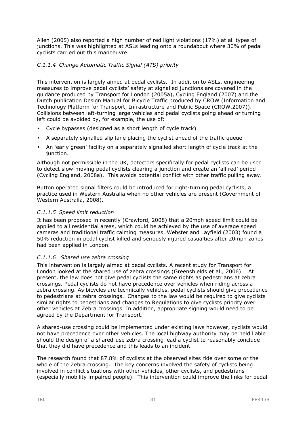Allen (2005) also reported a high number of red light violations (17%) at all types of junctions. This was highlighted at ASLs leading onto a roundabout where 30% of pedal cyclists carried out this manoeuvre.

## *C.1.1.4 Change Automatic Traffic Signal (ATS) priority*

This intervention is largely aimed at pedal cyclists. In addition to ASLs, engineering measures to improve pedal cyclists' safety at signalled junctions are covered in the guidance produced by Transport for London (2005a), Cycling England (2007) and the Dutch publication Design Manual for Bicycle Traffic produced by CROW (Information and Technology Platform for Transport, Infrastructure and Public Space (CROW,2007)). Collisions between left-turning large vehicles and pedal cyclists going ahead or turning left could be avoided by, for example, the use of:

- Cycle bypasses (designed as a short length of cycle track)
- A separately signalled slip lane placing the cyclist ahead of the traffic queue
- An 'early green' facility on a separately signalled short length of cycle track at the junction.

Although not permissible in the UK, detectors specifically for pedal cyclists can be used to detect slow-moving pedal cyclists clearing a junction and create an 'all red' period (Cycling England, 2008a). This avoids potential conflict with other traffic pulling away.

Button operated signal filters could be introduced for right-turning pedal cyclists, a practice used in Western Australia when no other vehicles are present (Government of Western Australia, 2008).

#### *C.1.1.5 Speed limit reduction*

It has been proposed in recently (Crawford, 2008) that a 20mph speed limit could be applied to all residential areas, which could be achieved by the use of average speed cameras and traditional traffic calming measures. Webster and Layfield (2003) found a 50% reduction in pedal cyclist killed and seriously injured casualties after 20mph zones had been applied in London.

## *C.1.1.6 Shared use zebra crossing*

This intervention is largely aimed at pedal cyclists. A recent study for Transport for London looked at the shared use of zebra crossings (Greenshields et al., 2006). At present, the law does not give pedal cyclists the same rights as pedestrians at zebra crossings. Pedal cyclists do not have precedence over vehicles when riding across a zebra crossing. As bicycles are technically vehicles, pedal cyclists should give precedence to pedestrians at zebra crossings. Changes to the law would be required to give cyclists similar rights to pedestrians and changes to Regulations to give cyclists priority over other vehicles at Zebra crossings. In addition, appropriate signing would need to be agreed by the Department for Transport.

A shared-use crossing could be implemented under existing laws however, cyclists would not have precedence over other vehicles. The local highway authority may be held liable should the design of a shared-use zebra crossing lead a cyclist to reasonably conclude that they did have precedence and this leads to an incident.

The research found that 87.8% of cyclists at the observed sites ride over some or the whole of the Zebra crossing. The key concerns involved the safety of cyclists being involved in conflict situations with other vehicles, other cyclists, and pedestrians (especially mobility impaired people). This intervention could improve the links for pedal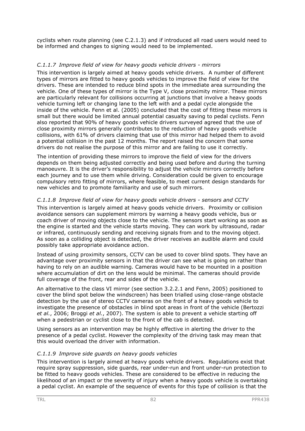cyclists when route planning (see C.2.1.3) and if introduced all road users would need to be informed and changes to signing would need to be implemented.

#### *C.1.1.7 Improve field of view for heavy goods vehicle drivers - mirrors*

This intervention is largely aimed at heavy goods vehicle drivers. A number of different types of mirrors are fitted to heavy goods vehicles to improve the field of view for the drivers. These are intended to reduce blind spots in the immediate area surrounding the vehicle. One of these types of mirror is the Type V, close proximity mirror. These mirrors are particularly relevant for collisions occurring at junctions that involve a heavy goods vehicle turning left or changing lane to the left with and a pedal cycle alongside the inside of the vehicle. Fenn et al. (2005) concluded that the cost of fitting these mirrors is small but there would be limited annual potential casualty saving to pedal cyclists. Fenn also reported that 90% of heavy goods vehicle drivers surveyed agreed that the use of close proximity mirrors generally contributes to the reduction of heavy goods vehicle collisions, with 61% of drivers claiming that use of this mirror had helped them to avoid a potential collision in the past 12 months. The report raised the concern that some drivers do not realise the purpose of this mirror and are failing to use it correctly.

The intention of providing these mirrors to improve the field of view for the drivers depends on them being adjusted correctly and being used before and during the turning manoeuvre. It is the driver's responsibility to adjust the vehicle mirrors correctly before each journey and to use them while driving. Consideration could be given to encourage compulsory retro fitting of mirrors, where feasible, to meet current design standards for new vehicles and to promote familiarity and use of such mirrors.

#### *C.1.1.8 Improve field of view for heavy goods vehicle drivers - sensors and CCTV*

This intervention is largely aimed at heavy goods vehicle drivers. Proximity or collision avoidance sensors can supplement mirrors by warning a heavy goods vehicle, bus or coach driver of moving objects close to the vehicle. The sensors start working as soon as the engine is started and the vehicle starts moving. They can work by ultrasound, radar or infrared, continuously sending and receiving signals from and to the moving object. As soon as a colliding object is detected, the driver receives an audible alarm and could possibly take appropriate avoidance action.

Instead of using proximity sensors, CCTV can be used to cover blind spots. They have an advantage over proximity sensors in that the driver can see what is going on rather than having to rely on an audible warning. Cameras would have to be mounted in a position where accumulation of dirt on the lens would be minimal. The cameras should provide full coverage of the front, rear and sides of the vehicle.

An alternative to the class VI mirror (see section 3.2.2.1 and Fenn, 2005) positioned to cover the blind spot below the windscreen) has been trialled using close-range obstacle detection by the use of stereo CCTV cameras on the front of a heavy goods vehicle to investigate the presence of obstacles in blind spot areas in front of the vehicle (Bertozzi *et al.*, 2006; Broggi *et al.*, 2007). The system is able to prevent a vehicle starting off when a pedestrian or cyclist close to the front of the cab is detected.

Using sensors as an intervention may be highly effective in alerting the driver to the presence of a pedal cyclist. However the complexity of the driving task may mean that this would overload the driver with information.

#### *C.1.1.9 Improve side guards on heavy goods vehicles*

This intervention is largely aimed at heavy goods vehicle drivers. Regulations exist that require spray suppression, side guards, rear under-run and front under-run protection to be fitted to heavy goods vehicles. These are considered to be effective in reducing the likelihood of an impact or the severity of injury when a heavy goods vehicle is overtaking a pedal cyclist. An example of the sequence of events for this type of collision is that the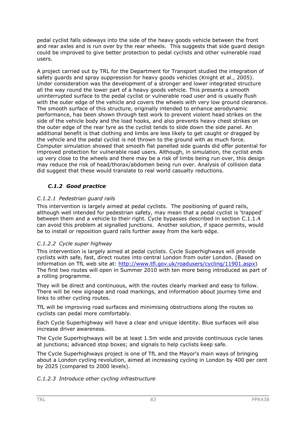pedal cyclist falls sideways into the side of the heavy goods vehicle between the front and rear axles and is run over by the rear wheels. This suggests that side guard design could be improved to give better protection to pedal cyclists and other vulnerable road users.

A project carried out by TRL for the Department for Transport studied the integration of safety guards and spray suppression for heavy goods vehicles (Knight et al., 2005). Under consideration was the development of a stronger and lower integrated structure all the way round the lower part of a heavy goods vehicle. This presents a smooth uninterrupted surface to the pedal cyclist or vulnerable road user and is usually flush with the outer edge of the vehicle and covers the wheels with very low ground clearance. The smooth surface of this structure, originally intended to enhance aerodynamic performance, has been shown through test work to prevent violent head strikes on the side of the vehicle body and the load hooks, and also prevents heavy chest strikes on the outer edge of the rear tyre as the cyclist tends to slide down the side panel. An additional benefit is that clothing and limbs are less likely to get caught or dragged by the vehicle and the pedal cyclist is not thrown to the ground with as much force. Computer simulation showed that smooth flat panelled side guards did offer potential for improved protection for vulnerable road users. Although, in simulation, the cyclist ends up very close to the wheels and there may be a risk of limbs being run over, this design may reduce the risk of head/thorax/abdomen being run over. Analysis of collision data did suggest that these would translate to real world casualty reductions.

## *C.1.2 Good practice*

## *C.1.2.1 Pedestrian guard rails*

This intervention is largely aimed at pedal cyclists. The positioning of guard rails, although well intended for pedestrian safety, may mean that a pedal cyclist is 'trapped' between them and a vehicle to their right. Cycle bypasses described in section C.1.1.4 can avoid this problem at signalled junctions. Another solution, if space permits, would be to install or reposition guard rails further away from the kerb edge.

## *C.1.2.2 Cycle super highway*

This intervention is largely aimed at pedal cyclists. Cycle Superhighways will provide cyclists with safe, fast, direct routes into central London from outer London. (Based on information on TfL web site at: http://www.tfl.gov.uk/roadusers/cycling/11901.aspx) The first two routes will open in Summer 2010 with ten more being introduced as part of a rolling programme.

They will be direct and continuous, with the routes clearly marked and easy to follow. There will be new signage and road markings, and information about journey time and links to other cycling routes.

TfL will be improving road surfaces and minimising obstructions along the routes so cyclists can pedal more comfortably.

Each Cycle Superhighway will have a clear and unique identity. Blue surfaces will also increase driver awareness.

The Cycle Superhighways will be at least 1.5m wide and provide continuous cycle lanes at junctions; advanced stop boxes; and signals to help cyclists keep safe.

The Cycle Superhighways project is one of TfL and the Mayor's main ways of bringing about a London cycling revolution, aimed at increasing cycling in London by 400 per cent by 2025 (compared to 2000 levels).

*C.1.2.3 Introduce other cycling infrastructure*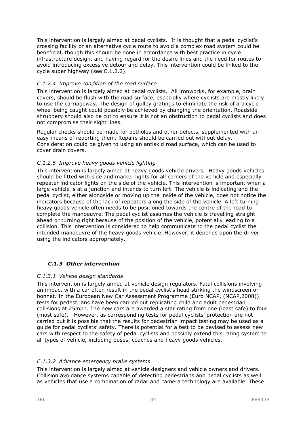This intervention is largely aimed at pedal cyclists. It is thought that a pedal cyclist's crossing facility or an alternative cycle route to avoid a complex road system could be beneficial, though this should be done in accordance with best practice in cycle infrastructure design, and having regard for the desire lines and the need for routes to avoid introducing excessive detour and delay. This intervention could be linked to the cycle super highway (see C.1.2.2).

## *C.1.2.4 Improve condition of the road surface*

This intervention is largely aimed at pedal cyclists. All ironworks, for example, drain covers, should be flush with the road surface, especially where cyclists are mostly likely to use the carriageway. The design of gulley gratings to eliminate the risk of a bicycle wheel being caught could possibly be achieved by changing the orientation. Roadside shrubbery should also be cut to ensure it is not an obstruction to pedal cyclists and does not compromise their sight lines.

Regular checks should be made for potholes and other defects, supplemented with an easy means of reporting them. Repairs should be carried out without delay. Consideration could be given to using an antiskid road surface, which can be used to cover drain covers.

## *C.1.2.5 Improve heavy goods vehicle lighting*

This intervention is largely aimed at heavy goods vehicle drivers. Heavy goods vehicles should be fitted with side and marker lights for all corners of the vehicle and especially repeater indicator lights on the side of the vehicle. This intervention is important when a large vehicle is at a junction and intends to turn left. The vehicle is indicating and the pedal cyclist, either alongside or moving up the inside of the vehicle, does not notice the indicators because of the lack of repeaters along the side of the vehicle. A left turning heavy goods vehicle often needs to be positioned towards the centre of the road to complete the manoeuvre. The pedal cyclist assumes the vehicle is travelling straight ahead or turning right because of the position of the vehicle, potentially leading to a collision. This intervention is considered to help communicate to the pedal cyclist the intended manoeuvre of the heavy goods vehicle. However, it depends upon the driver using the indicators appropriately.

## *C.1.3 Other intervention*

#### *C.1.3.1 Vehicle design standards*

This intervention is largely aimed at vehicle design regulators. Fatal collisions involving an impact with a car often result in the pedal cyclist's head striking the windscreen or bonnet. In the European New Car Assessment Programme (Euro NCAP, (NCAP,2008)) tests for pedestrians have been carried out replicating child and adult pedestrian collisions at 25mph. The new cars are awarded a star rating from one (least safe) to four (most safe). However, as corresponding tests for pedal cyclists' protection are not carried out it is possible that the results for pedestrian impact testing may be used as a guide for pedal cyclists' safety. There is potential for a test to be devised to assess new cars with respect to the safety of pedal cyclists and possibly extend this rating system to all types of vehicle, including buses, coaches and heavy goods vehicles.

## *C.1.3.2 Advance emergency brake systems*

This intervention is largely aimed at vehicle designers and vehicle owners and drivers. Collision avoidance systems capable of detecting pedestrians and pedal cyclists as well as vehicles that use a combination of radar and camera technology are available. These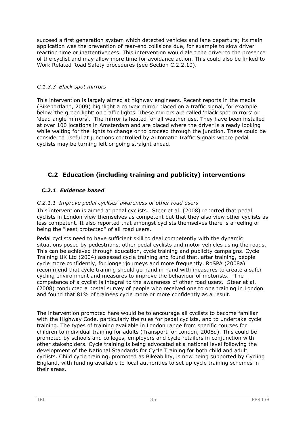succeed a first generation system which detected vehicles and lane departure; its main application was the prevention of rear-end collisions due, for example to slow driver reaction time or inattentiveness. This intervention would alert the driver to the presence of the cyclist and may allow more time for avoidance action. This could also be linked to Work Related Road Safety procedures (see Section C.2.2.10).

## *C.1.3.3 Black spot mirrors*

This intervention is largely aimed at highway engineers. Recent reports in the media (Bikeportland, 2009) highlight a convex mirror placed on a traffic signal, for example below 'the green light' on traffic lights. These mirrors are called 'black spot mirrors' or 'dead angle mirrors'. The mirror is heated for all weather use. They have been installed at over 100 locations in Amsterdam and are placed where the driver is already looking while waiting for the lights to change or to proceed through the junction. These could be considered useful at junctions controlled by Automatic Traffic Signals where pedal cyclists may be turning left or going straight ahead.

## **C.2 Education (including training and publicity) interventions**

## *C.2.1 Evidence based*

## *C.2.1.1 Improve pedal cyclists' awareness of other road users*

This intervention is aimed at pedal cyclists. Steer et al. (2008) reported that pedal cyclists in London view themselves as competent but that they also view other cyclists as less competent. It also reported that amongst cyclists themselves there is a feeling of being the "least protected" of all road users.

Pedal cyclists need to have sufficient skill to deal competently with the dynamic situations posed by pedestrians, other pedal cyclists and motor vehicles using the roads. This can be achieved through education, cycle training and publicity campaigns. Cycle Training UK Ltd (2004) assessed cycle training and found that, after training, people cycle more confidently, for longer journeys and more frequently. RoSPA (2008a) recommend that cycle training should go hand in hand with measures to create a safer cycling environment and measures to improve the behaviour of motorists. The competence of a cyclist is integral to the awareness of other road users. Steer et al. (2008) conducted a postal survey of people who received one to one training in London and found that 81% of trainees cycle more or more confidently as a result.

The intervention promoted here would be to encourage all cyclists to become familiar with the Highway Code, particularly the rules for pedal cyclists, and to undertake cycle training. The types of training available in London range from specific courses for children to individual training for adults (Transport for London, 2008d). This could be promoted by schools and colleges, employers and cycle retailers in conjunction with other stakeholders. Cycle training is being advocated at a national level following the development of the National Standards for Cycle Training for both child and adult cyclists. Child cycle training, promoted as Bikeability, is now being supported by Cycling England, with funding available to local authorities to set up cycle training schemes in their areas.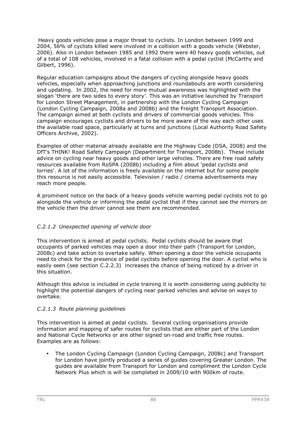Heavy goods vehicles pose a major threat to cyclists. In London between 1999 and 2004, 56% of cyclists killed were involved in a collision with a goods vehicle (Webster, 2006). Also in London between 1985 and 1992 there were 40 heavy goods vehicles, out of a total of 108 vehicles, involved in a fatal collision with a pedal cyclist (McCarthy and Gilbert, 1996).

Regular education campaigns about the dangers of cycling alongside heavy goods vehicles, especially when approaching junctions and roundabouts are worth considering and updating. In 2002, the need for more mutual awareness was highlighted with the slogan 'there are two sides to every story'. This was an initiative launched by Transport for London Street Management, in partnership with the London Cycling Campaign (London Cycling Campaign, 2008a and 2008b) and the Freight Transport Association. The campaign aimed at both cyclists and drivers of commercial goods vehicles. This campaign encourages cyclists and drivers to be more aware of the way each other uses the available road space, particularly at turns and junctions (Local Authority Road Safety Officers Archive, 2002).

Examples of other material already available are the Highway Code (DSA, 2008) and the DfT's THINK! Road Safety Campaign (Department for Transport, 2008b). These include advice on cycling near heavy goods and other large vehicles. There are free road safety resources available from RoSPA (2008b) including a film about 'pedal cyclists and lorries'. A lot of the information is freely available on the internet but for some people this resource is not easily accessible. Television / radio / cinema advertisements may reach more people.

A prominent notice on the back of a heavy goods vehicle warning pedal cyclists not to go alongside the vehicle or informing the pedal cyclist that if they cannot see the mirrors on the vehicle then the driver cannot see them are recommended.

## *C.2.1.2 Unexpected opening of vehicle door*

This intervention is aimed at pedal cyclists. Pedal cyclists should be aware that occupants of parked vehicles may open a door into their path (Transport for London, 2008c) and take action to overtake safely. When opening a door the vehicle occupants need to check for the presence of pedal cyclists before opening the door. A cyclist who is easily seen (see section C.2.2.3) increases the chance of being noticed by a driver in this situation.

Although this advice is included in cycle training it is worth considering using publicity to highlight the potential dangers of cycling near parked vehicles and advise on ways to overtake.

## *C.2.1.3 Route planning guidelines*

This intervention is aimed at pedal cyclists. Several cycling organisations provide information and mapping of safer routes for cyclists that are either part of the London and National Cycle Networks or are other signed on-road and traffic free routes. Examples are as follows:

• The London Cycling Campaign (London Cycling Campaign, 2008c) and Transport for London have jointly produced a series of guides covering Greater London. The guides are available from Transport for London and compliment the London Cycle Network Plus which is will be completed in 2009/10 with 900km of route.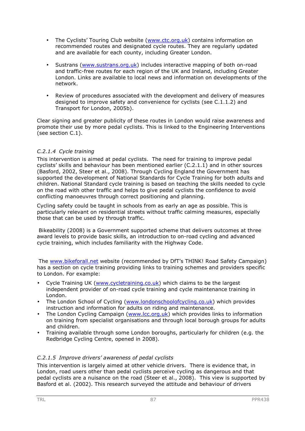- The Cyclists' Touring Club website (www.ctc.org.uk) contains information on recommended routes and designated cycle routes. They are regularly updated and are available for each county, including Greater London.
- Sustrans (www.sustrans.org.uk) includes interactive mapping of both on-road and traffic-free routes for each region of the UK and Ireland, including Greater London. Links are available to local news and information on developments of the network.
- Review of procedures associated with the development and delivery of measures designed to improve safety and convenience for cyclists (see C.1.1.2) and Transport for London, 2005b).

Clear signing and greater publicity of these routes in London would raise awareness and promote their use by more pedal cyclists. This is linked to the Engineering Interventions (see section C.1).

#### *C.2.1.4 Cycle training*

This intervention is aimed at pedal cyclists. The need for training to improve pedal cyclists' skills and behaviour has been mentioned earlier (C.2.1.1) and in other sources (Basford, 2002, Steer et al., 2008). Through Cycling England the Government has supported the development of National Standards for Cycle Training for both adults and children. National Standard cycle training is based on teaching the skills needed to cycle on the road with other traffic and helps to give pedal cyclists the confidence to avoid conflicting manoeuvres through correct positioning and planning.

Cycling safety could be taught in schools from as early an age as possible. This is particularly relevant on residential streets without traffic calming measures, especially those that can be used by through traffic.

Bikeability (2008) is a Government supported scheme that delivers outcomes at three award levels to provide basic skills, an introduction to on-road cycling and advanced cycle training, which includes familiarity with the Highway Code.

The www.bikeforall.net website (recommended by DfT's THINK! Road Safety Campaign) has a section on cycle training providing links to training schemes and providers specific to London. For example:

- Cycle Training UK (www.cycletraining.co.uk) which claims to be the largest independent provider of on-road cycle training and cycle maintenance training in London.
- The London School of Cycling (www.londonschoolofcycling.co.uk) which provides instruction and information for adults on riding and maintenance.
- The London Cycling Campaign (www.lcc.org.uk) which provides links to information on training from specialist organisations and through local borough groups for adults and children.
- Training available through some London boroughs, particularly for children (e.g. the Redbridge Cycling Centre, opened in 2008).

#### *C.2.1.5 Improve drivers' awareness of pedal cyclists*

This intervention is largely aimed at other vehicle drivers. There is evidence that, in London, road users other than pedal cyclists perceive cycling as dangerous and that pedal cyclists are a nuisance on the road (Steer et al., 2008). This view is supported by Basford et al. (2002). This research surveyed the attitude and behaviour of drivers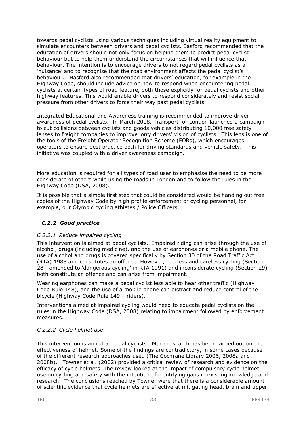towards pedal cyclists using various techniques including virtual reality equipment to simulate encounters between drivers and pedal cyclists. Basford recommended that the education of drivers should not only focus on helping them to predict pedal cyclist behaviour but to help them understand the circumstances that will influence that behaviour. The intention is to encourage drivers to not regard pedal cyclists as a 'nuisance' and to recognise that the road environment affects the pedal cyclist's behaviour. Basford also recommended that drivers' education, for example in the Highway Code, should include advice on how to respond when encountering pedal cyclists at certain types of road feature, both those explicitly for pedal cyclists and other highway features. This would enable drivers to respond considerately and resist social pressure from other drivers to force their way past pedal cyclists.

Integrated Educational and Awareness training is recommended to improve driver awareness of pedal cyclists. In March 2008, Transport for London launched a campaign to cut collisions between cyclists and goods vehicles distributing 10,000 free safety lenses to freight companies to improve lorry drivers' vision of cyclists. This lens is one of the tools of the Freight Operator Recognition Scheme (FORs), which encourages operators to ensure best practice both for driving standards and vehicle safety. This initiative was coupled with a driver awareness campaign.

More education is required for all types of road user to emphasise the need to be more considerate of others while using the roads in London and to follow the rules in the Highway Code (DSA, 2008).

It is possible that a simple first step that could be considered would be handing out free copies of the Highway Code by high profile enforcement or cycling personnel, for example, our Olympic cycling athletes / Police Officers.

## *C.2.2 Good practice*

## *C.2.2.1 Reduce impaired cycling*

This intervention is aimed at pedal cyclists. Impaired riding can arise through the use of alcohol, drugs (including medicine), and the use of earphones or a mobile phone. The use of alcohol and drugs is covered specifically by Section 30 of the Road Traffic Act (RTA) 1988 and constitutes an offence. However, reckless and careless cycling (Section 28 - amended to 'dangerous cycling' in RTA 1991) and inconsiderate cycling (Section 29) both constitute an offence and can arise from impairment.

Wearing earphones can make a pedal cyclist less able to hear other traffic (Highway Code Rule 148), and the use of a mobile phone can distract and reduce control of the bicycle (Highway Code Rule 149 – riders).

Interventions aimed at impaired cycling would need to educate pedal cyclists on the rules in the Highway Code (DSA, 2008) relating to impairment followed by enforcement measures.

## *C.2.2.2 Cycle helmet use*

This intervention is aimed at pedal cyclists. Much research has been carried out on the effectiveness of helmet. Some of the findings are contradictory, in some cases because of the different research approaches used (The Cochrane Library 2006, 2008a and 2008b). Towner et al. (2002) provided a critical review of research and evidence on the efficacy of cycle helmets. The review looked at the impact of compulsory cycle helmet use on cycling and safety with the intention of identifying gaps in existing knowledge and research. The conclusions reached by Towner were that there is a considerable amount of scientific evidence that cycle helmets are effective at mitigating head, brain and upper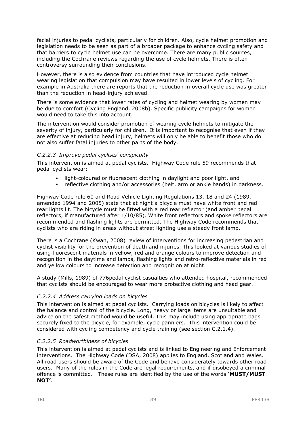facial injuries to pedal cyclists, particularly for children. Also, cycle helmet promotion and legislation needs to be seen as part of a broader package to enhance cycling safety and that barriers to cycle helmet use can be overcome. There are many public sources, including the Cochrane reviews regarding the use of cycle helmets. There is often controversy surrounding their conclusions.

However, there is also evidence from countries that have introduced cycle helmet wearing legislation that compulsion may have resulted in lower levels of cycling. For example in Australia there are reports that the reduction in overall cycle use was greater than the reduction in head-injury achieved.

There is some evidence that lower rates of cycling and helmet wearing by women may be due to comfort (Cycling England, 2008b). Specific publicity campaigns for women would need to take this into account.

The intervention would consider promotion of wearing cycle helmets to mitigate the severity of injury, particularly for children. It is important to recognise that even if they are effective at reducing head injury, helmets will only be able to benefit those who do not also suffer fatal injuries to other parts of the body.

#### *C.2.2.3 Improve pedal cyclists' conspicuity*

This intervention is aimed at pedal cyclists. Highway Code rule 59 recommends that pedal cyclists wear:

- light-coloured or fluorescent clothing in daylight and poor light, and
- reflective clothing and/or accessories (belt, arm or ankle bands) in darkness.

Highway Code rule 60 and Road Vehicle Lighting Regulations 13, 18 and 24 (1989, amended 1994 and 2005) state that at night a bicycle must have white front and red rear lights lit. The bicycle must be fitted with a red rear reflector (and amber pedal reflectors, if manufactured after 1/10/85). White front reflectors and spoke reflectors are recommended and flashing lights are permitted. The Highway Code recommends that cyclists who are riding in areas without street lighting use a steady front lamp.

There is a Cochrane (Kwan, 2008) review of interventions for increasing pedestrian and cyclist visibility for the prevention of death and injuries. This looked at various studies of using fluorescent materials in yellow, red and orange colours to improve detection and recognition in the daytime and lamps, flashing lights and retro-reflective materials in red and yellow colours to increase detection and recognition at night.

A study (Mills, 1989) of 776pedal cyclist casualties who attended hospital, recommended that cyclists should be encouraged to wear more protective clothing and head gear.

## *C.2.2.4 Address carrying loads on bicycles*

This intervention is aimed at pedal cyclists. Carrying loads on bicycles is likely to affect the balance and control of the bicycle. Long, heavy or large items are unsuitable and advice on the safest method would be useful. This may include using appropriate bags securely fixed to the bicycle, for example, cycle panniers. This intervention could be considered with cycling competency and cycle training (see section C.2.1.4).

#### *C.2.2.5 Roadworthiness of bicycles*

This intervention is aimed at pedal cyclists and is linked to Engineering and Enforcement interventions. The Highway Code (DSA, 2008) applies to England, Scotland and Wales. All road users should be aware of the Code and behave considerately towards other road users. Many of the rules in the Code are legal requirements, and if disobeyed a criminal offence is committed. These rules are identified by the use of the words **'MUST/MUST NOT'**.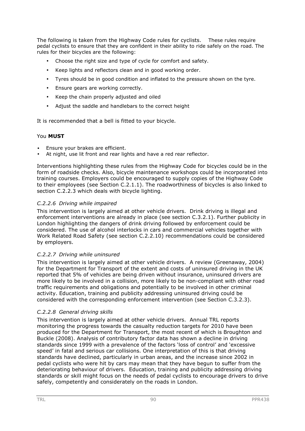The following is taken from the Highway Code rules for cyclists. These rules require pedal cyclists to ensure that they are confident in their ability to ride safely on the road. The rules for their bicycles are the following:

- Choose the right size and type of cycle for comfort and safety.
- Keep lights and reflectors clean and in good working order.
- Tyres should be in good condition and inflated to the pressure shown on the tyre.
- Ensure gears are working correctly.
- Keep the chain properly adjusted and oiled
- Adjust the saddle and handlebars to the correct height

It is recommended that a bell is fitted to your bicycle.

#### You **MUST**

- Ensure your brakes are efficient.
- At night, use lit front and rear lights and have a red rear reflector.

Interventions highlighting these rules from the Highway Code for bicycles could be in the form of roadside checks. Also, bicycle maintenance workshops could be incorporated into training courses. Employers could be encouraged to supply copies of the Highway Code to their employees (see Section C.2.1.1). The roadworthiness of bicycles is also linked to section C.2.2.3 which deals with bicycle lighting.

#### *C.2.2.6 Driving while impaired*

This intervention is largely aimed at other vehicle drivers. Drink driving is illegal and enforcement interventions are already in place (see section C.3.2.1). Further publicity in London highlighting the dangers of drink driving followed by enforcement could be considered. The use of alcohol interlocks in cars and commercial vehicles together with Work Related Road Safety (see section C.2.2.10) recommendations could be considered by employers.

#### *C.2.2.7 Driving while uninsured*

This intervention is largely aimed at other vehicle drivers. A review (Greenaway, 2004) for the Department for Transport of the extent and costs of uninsured driving in the UK reported that 5% of vehicles are being driven without insurance, uninsured drivers are more likely to be involved in a collision, more likely to be non-compliant with other road traffic requirements and obligations and potentially to be involved in other criminal activity. Education, training and publicity addressing uninsured driving could be considered with the corresponding enforcement intervention (see Section C.3.2.3).

#### *C.2.2.8 General driving skills*

This intervention is largely aimed at other vehicle drivers. Annual TRL reports monitoring the progress towards the casualty reduction targets for 2010 have been produced for the Department for Transport, the most recent of which is Broughton and Buckle (2008). Analysis of contributory factor data has shown a decline in driving standards since 1999 with a prevalence of the factors 'loss of control' and 'excessive speed' in fatal and serious car collisions. One interpretation of this is that driving standards have declined, particularly in urban areas, and the increase since 2002 in pedal cyclists who were hit by cars may mean that they have begun to suffer from the deteriorating behaviour of drivers. Education, training and publicity addressing driving standards or skill might focus on the needs of pedal cyclists to encourage drivers to drive safely, competently and considerately on the roads in London.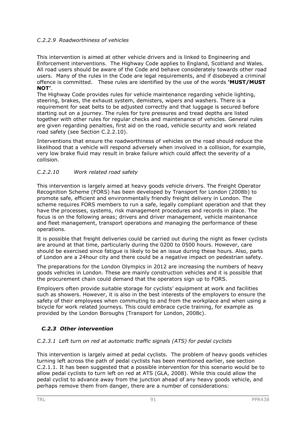## *C.2.2.9 Roadworthiness of vehicles*

This intervention is aimed at other vehicle drivers and is linked to Engineering and Enforcement interventions. The Highway Code applies to England, Scotland and Wales. All road users should be aware of the Code and behave considerately towards other road users. Many of the rules in the Code are legal requirements, and if disobeyed a criminal offence is committed. These rules are identified by the use of the words **'MUST/MUST NOT'**.

The Highway Code provides rules for vehicle maintenance regarding vehicle lighting, steering, brakes, the exhaust system, demisters, wipers and washers. There is a requirement for seat belts to be adjusted correctly and that luggage is secured before starting out on a journey. The rules for tyre pressures and tread depths are listed together with other rules for regular checks and maintenance of vehicles. General rules are given regarding penalties, first aid on the road, vehicle security and work related road safety (see Section C.2.2.10).

Interventions that ensure the roadworthiness of vehicles on the road should reduce the likelihood that a vehicle will respond adversely when involved in a collision, for example, very low brake fluid may result in brake failure which could affect the severity of a collision.

## *C.2.2.10 Work related road safety*

This intervention is largely aimed at heavy goods vehicle drivers. The Freight Operator Recognition Scheme (FORS) has been developed by Transport for London (2008b) to promote safe, efficient and environmentally friendly freight delivery in London. The scheme requires FORS members to run a safe, legally compliant operation and that they have the processes, systems, risk management procedures and records in place. The focus is on the following areas; drivers and driver management, vehicle maintenance and fleet management, transport operations and managing the performance of these operations.

It is possible that freight deliveries could be carried out during the night as fewer cyclists are around at that time, particularly during the 0200 to 0500 hours. However, care should be exercised since fatigue is likely to be an issue during these hours. Also, parts of London are a 24hour city and there could be a negative impact on pedestrian safety.

The preparations for the London Olympics in 2012 are increasing the numbers of heavy goods vehicles in London. These are mainly construction vehicles and it is possible that the procurement chain could demand that the operators sign up to FORS.

Employers often provide suitable storage for cyclists' equipment at work and facilities such as showers. However, it is also in the best interests of the employers to ensure the safety of their employees when commuting to and from the workplace and when using a bicycle for work related journeys. This could embrace cycle training, for example as provided by the London Boroughs (Transport for London, 2008c).

## *C.2.3 Other intervention*

## *C.2.3.1 Left turn on red at automatic traffic signals (ATS) for pedal cyclists*

This intervention is largely aimed at pedal cyclists. The problem of heavy goods vehicles turning left across the path of pedal cyclists has been mentioned earlier, see section C.2.1.1. It has been suggested that a possible intervention for this scenario would be to allow pedal cyclists to turn left on red at ATS (GLA, 2008). While this could allow the pedal cyclist to advance away from the junction ahead of any heavy goods vehicle, and perhaps remove them from danger, there are a number of considerations: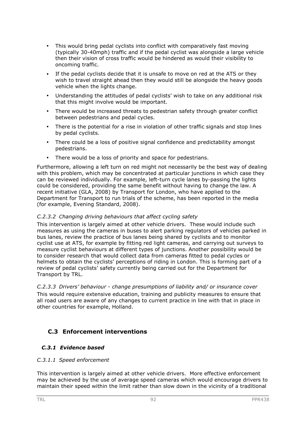- This would bring pedal cyclists into conflict with comparatively fast moving (typically 30-40mph) traffic and if the pedal cyclist was alongside a large vehicle then their vision of cross traffic would be hindered as would their visibility to oncoming traffic.
- If the pedal cyclists decide that it is unsafe to move on red at the ATS or they wish to travel straight ahead then they would still be alongside the heavy goods vehicle when the lights change.
- Understanding the attitudes of pedal cyclists' wish to take on any additional risk that this might involve would be important.
- There would be increased threats to pedestrian safety through greater conflict between pedestrians and pedal cycles.
- There is the potential for a rise in violation of other traffic signals and stop lines by pedal cyclists.
- There could be a loss of positive signal confidence and predictability amongst pedestrians.
- There would be a loss of priority and space for pedestrians.

Furthermore, allowing a left turn on red might not necessarily be the best way of dealing with this problem, which may be concentrated at particular junctions in which case they can be reviewed individually. For example, left-turn cycle lanes by-passing the lights could be considered, providing the same benefit without having to change the law. A recent initiative (GLA, 2008) by Transport for London, who have applied to the Department for Transport to run trials of the scheme, has been reported in the media (for example, Evening Standard, 2008).

#### *C.2.3.2 Changing driving behaviours that affect cycling safety*

This intervention is largely aimed at other vehicle drivers. These would include such measures as using the cameras in buses to alert parking regulators of vehicles parked in bus lanes, review the practice of bus lanes being shared by cyclists and to monitor cyclist use at ATS, for example by fitting red light cameras, and carrying out surveys to measure cyclist behaviours at different types of junctions. Another possibility would be to consider research that would collect data from cameras fitted to pedal cycles or helmets to obtain the cyclists' perceptions of riding in London. This is forming part of a review of pedal cyclists' safety currently being carried out for the Department for Transport by TRL.

*C.2.3.3 Drivers' behaviour - change presumptions of liability and/ or insurance cover*  This would require extensive education, training and publicity measures to ensure that all road users are aware of any changes to current practice in line with that in place in other countries for example, Holland.

## **C.3 Enforcement interventions**

## *C.3.1 Evidence based*

#### *C.3.1.1 Speed enforcement*

This intervention is largely aimed at other vehicle drivers. More effective enforcement may be achieved by the use of average speed cameras which would encourage drivers to maintain their speed within the limit rather than slow down in the vicinity of a traditional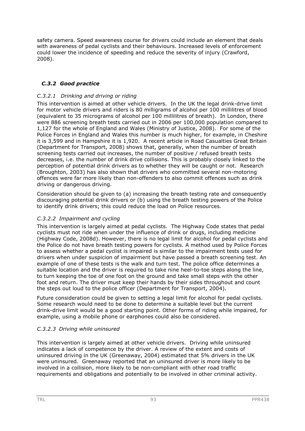safety camera. Speed awareness course for drivers could include an element that deals with awareness of pedal cyclists and their behaviours. Increased levels of enforcement could lower the incidence of speeding and reduce the severity of injury (Crawford, 2008).

## *C.3.2 Good practice*

## *C.3.2.1 Drinking and driving or riding*

This intervention is aimed at other vehicle drivers. In the UK the legal drink-drive limit for motor vehicle drivers and riders is 80 milligrams of alcohol per 100 millilitres of blood (equivalent to 35 micrograms of alcohol per 100 millilitres of breath). In London, there were 886 screening breath tests carried out in 2006 per 100,000 population compared to 1,127 for the whole of England and Wales (Ministry of Justice, 2008). For some of the Police Forces in England and Wales this number is much higher, for example, in Cheshire it is 3,599 and in Hampshire it is 1,920. A recent article in Road Casualties Great Britain (Department for Transport, 2008) shows that, generally, when the number of breath screening tests carried out increases, the number of positive / refused breath tests decreases, i.e. the number of drink drive collisions. This is probably closely linked to the perception of potential drink drivers as to whether they will be caught or not. Research (Broughton, 2003) has also shown that drivers who committed several non-motoring offences were far more likely than non-offenders to also commit offences such as drink driving or dangerous driving.

Consideration should be given to (a) increasing the breath testing rate and consequently discouraging potential drink drivers or (b) using the breath testing powers of the Police to identify drink drivers; this could reduce the load on Police resources.

#### *C.3.2.2 Impairment and cycling*

This intervention is largely aimed at pedal cyclists. The Highway Code states that pedal cyclists must not ride when under the influence of drink or drugs, including medicine (Highway Code, 2008d). However, there is no legal limit for alcohol for pedal cyclists and the Police do not have breath testing powers for cyclists. A method used by Police Forces to assess whether a pedal cyclist is impaired is similar to the impairment tests used for drivers when under suspicion of impairment but have passed a breath screening test. An example of one of these tests is the walk and turn test. The police office determines a suitable location and the driver is required to take nine heel-to-toe steps along the line, to turn keeping the toe of one foot on the ground and take small steps with the other foot and return. The driver must keep their hands by their sides throughout and count the steps out loud to the police officer (Department for Transport, 2004).

Future consideration could be given to setting a legal limit for alcohol for pedal cyclists. Some research would need to be done to determine a suitable level but the current drink-drive limit would be a good starting point. Other forms of riding while impaired, for example, using a mobile phone or earphones could also be considered.

## *C.3.2.3 Driving while uninsured*

This intervention is largely aimed at other vehicle drivers. Driving while uninsured indicates a lack of competence by the driver. A review of the extent and costs of uninsured driving in the UK (Greenaway, 2004) estimated that 5% drivers in the UK were uninsured. Greenaway reported that an uninsured driver is more likely to be involved in a collision, more likely to be non-compliant with other road traffic requirements and obligations and potentially to be involved in other criminal activity.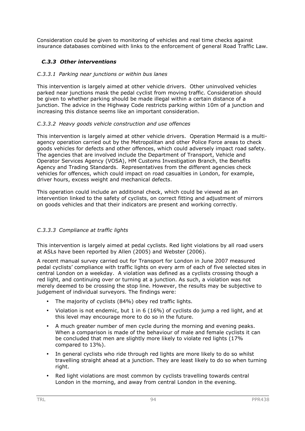Consideration could be given to monitoring of vehicles and real time checks against insurance databases combined with links to the enforcement of general Road Traffic Law.

## *C.3.3 Other interventions*

#### *C.3.3.1 Parking near junctions or within bus lanes*

This intervention is largely aimed at other vehicle drivers. Other uninvolved vehicles parked near junctions mask the pedal cyclist from moving traffic. Consideration should be given to whether parking should be made illegal within a certain distance of a junction. The advice in the Highway Code restricts parking within 10m of a junction and increasing this distance seems like an important consideration.

#### *C.3.3.2 Heavy goods vehicle construction and use offences*

This intervention is largely aimed at other vehicle drivers. Operation Mermaid is a multiagency operation carried out by the Metropolitan and other Police Force areas to check goods vehicles for defects and other offences, which could adversely impact road safety. The agencies that are involved include the Department of Transport, Vehicle and Operator Services Agency (VOSA), HM Customs Investigation Branch, the Benefits Agency and Trading Standards. Representatives from the different agencies check vehicles for offences, which could impact on road casualties in London, for example, driver hours, excess weight and mechanical defects.

This operation could include an additional check, which could be viewed as an intervention linked to the safety of cyclists, on correct fitting and adjustment of mirrors on goods vehicles and that their indicators are present and working correctly.

## *C.3.3.3 Compliance at traffic lights*

This intervention is largely aimed at pedal cyclists. Red light violations by all road users at ASLs have been reported by Allen (2005) and Webster (2006).

A recent manual survey carried out for Transport for London in June 2007 measured pedal cyclists' compliance with traffic lights on every arm of each of five selected sites in central London on a weekday. A violation was defined as a cyclists crossing though a red light, and continuing over or turning at a junction. As such, a violation was not merely deemed to be crossing the stop line. However, the results may be subjective to judgement of individual surveyors. The findings were:

- The majority of cyclists (84%) obey red traffic lights.
- Violation is not endemic, but 1 in 6 (16%) of cyclists do jump a red light, and at this level may encourage more to do so in the future.
- A much greater number of men cycle during the morning and evening peaks. When a comparison is made of the behaviour of male and female cyclists it can be concluded that men are slightly more likely to violate red lights (17% compared to 13%).
- In general cyclists who ride through red lights are more likely to do so whilst travelling straight ahead at a junction. They are least likely to do so when turning right.
- Red light violations are most common by cyclists travelling towards central London in the morning, and away from central London in the evening.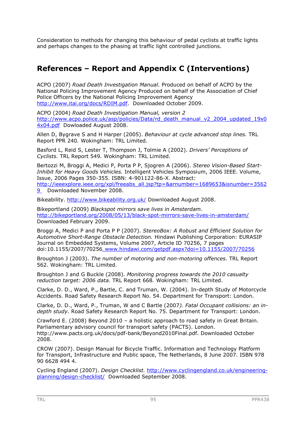Consideration to methods for changing this behaviour of pedal cyclists at traffic lights and perhaps changes to the phasing at traffic light controlled junctions.

# **References – Report and Appendix C (Interventions)**

ACPO (2007) *Road Death Investigation Manual*. Produced on behalf of ACPO by the National Policing Improvement Agency Produced on behalf of the Association of Chief Police Officers by the National Policing Improvement Agency http://www.itai.org/docs/RDIM.pdf. Downloaded October 2009.

ACPO (2004) *Road Death Investigation Manual, version 2* http://www.acpo.police.uk/asp/policies/Data/rd\_death\_manual\_v2\_2004\_updated\_19x0 4x04.pdf Dowloaded August 2008.

Allen D, Bygrave S and H Harper (2005). *Behaviour at cycle advanced stop lines.* TRL Report PPR 240*.* Wokingham: TRL Limited.

Basford L, Reid S, Lester T, Thompson J, Tolmie A (2002). *Drivers' Perceptions of Cyclists.* TRL Report 549*.* Wokingham: TRL Limited.

Bertozzi M, Broggi A, Medici P, Porta P P, Sjogren A (2006). *Stereo Vision-Based Start-Inhibit for Heavy Goods Vehicles.* Intelligent Vehicles Symposium, 2006 IEEE. Volume, Issue, 2006 Pages 350-355. ISBN: 4-901122-86-X. Abstract: http://ieeexplore.ieee.org/xpl/freeabs\_all.jsp?tp=&arnumber=1689653&isnumber=3562

9 Downloaded November 2008.

Bikeability. http://www.bikeability.org.uk/ Downloaded August 2008.

Bikeportland (2009) *Blackspot mirrors save lives in Amsterdam*. http://bikeportland.org/2008/05/13/black-spot-mirrors-save-lives-in-amsterdam/ Downloaded February 2009.

Broggi A, Medici P and Porta P P (2007). *StereoBox: A Robust and Efficient Solution for Automotive Short-Range Obstacle Detection.* Hindawi Publishing Corporation: EURASIP Journal on Embedded Systems, Volume 2007, Article ID 70256, 7 pages doi:10.1155/2007/70256. www.hindawi.com/getpdf.aspx?doi=10.1155/2007/70256

Broughton J (2003). *The number of motoring and non-motoring offences*. TRL Report 562. Wokingham: TRL Limited.

Broughton J and G Buckle (2008). *Monitoring progress towards the 2010 casualty reduction target: 2006 data.* TRL Report 668*.* Wokingham: TRL Limited.

Clarke, D. D., Ward, P., Bartle, C. and Truman, W. (2004). In-depth Study of Motorcycle Accidents. Road Safety Research Report No. 54. Department for Transport: London.

Clarke, D. D., Ward, P., Truman, W and C Bartle (2007*). Fatal Occupant collisions: an indepth study.* Road Safety Research Report No. 75. Department for Transport: London.

Crawford E. (2008) Beyond 2010 – a holistic approach to road safety in Great Britain. Parliamentary advisory council for transport safety (PACTS). London. http://www.pacts.org.uk/docs/pdf-bank/Beyond2010Final.pdf. Downloaded October 2008.

CROW (2007). Design Manual for Bicycle Traffic. Information and Technology Platform for Transport, Infrastructure and Public space, The Netherlands, 8 June 2007. ISBN 978 90 6628 494 4.

Cycling England (2007). *Design Checklist.* http://www.cyclingengland.co.uk/engineeringplanning/design-checklist/ Downloaded September 2008.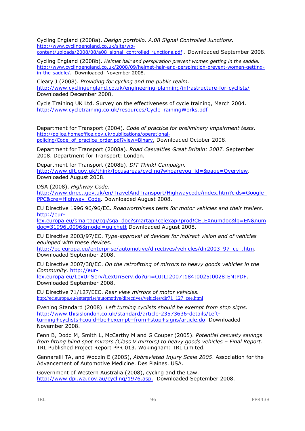Cycling England (2008a). *Design portfolio. A.08 Signal Controlled Junctions.*  http://www.cyclingengland.co.uk/site/wpcontent/uploads/2008/08/a08\_signal\_controlled\_junctions.pdf . Downloaded September 2008.

Cycling England (2008b). *Helmet hair and perspiration prevent women getting in the saddle.*  http://www.cyclingengland.co.uk/2008/09/helmet-hair-and-perspiration-prevent-women-gettingin-the-saddle/. Downloaded November 2008.

Cleary J (2008). *Providing for cycling and the public realm.* http://www.cyclingengland.co.uk/engineering-planning/infrastructure-for-cyclists/ Downloaded December 2008.

Cycle Training UK Ltd. Survey on the effectiveness of cycle training, March 2004. http://www.cycletraining.co.uk/resources/CycleTrainingWorks.pdf

Department for Transport (2004). *Code of practice for preliminary impairment tests.*  http://police.homeoffice.gov.uk/publications/operationalpolicing/Code\_of\_practice\_order.pdf?view=Binary, Downloaded October 2008.

Department for Transport (2008a). *Road Casualties Great Britain: 2007.* September 2008. Department for Transport: London.

Department for Transport (2008b). *DfT Think! Campaign.*  http://www.dft.gov.uk/think/focusareas/cycling?whoareyou\_id=&page=Overview. Downloaded August 2008.

DSA (2008). *Highway Code.*

http://www.direct.gov.uk/en/TravelAndTransport/Highwaycode/index.htm?cids=Google\_ PPC&cre=Highway\_Code. Downloaded August 2008.

EU Directive 1996 96/96/EC. *Roadworthiness tests for motor vehicles and their trailers.*  http://eur-

lex.europa.eu/smartapi/cgi/sga\_doc?smartapi!celexapi!prod!CELEXnumdoc&lg=EN&num doc=31996L0096&model=guichett Downloaded August 2008.

EU Directive 2003/97/EC. *Type-approval of devices for indirect vision and of vehicles equipped with these devices.*

http://ec.europa.eu/enterprise/automotive/directives/vehicles/dir2003\_97\_ce\_.htm. Downloaded September 2008.

EU Directive 2007/38/EC. *On the retrofitting of mirrors to heavy goods vehicles in the Community.* http://eur-

lex.europa.eu/LexUriServ/LexUriServ.do?uri=OJ:L:2007:184:0025:0028:EN:PDF. Downloaded September 2008.

EU Directive 71/127/EEC. *Rear view mirrors of motor vehicles.* http://ec.europa.eu/enterprise/automotive/directives/vehicles/dir71\_127\_cee.html

Evening Standard (2008). *Left turning cyclists should be exempt from stop signs.* http://www.thisislondon.co.uk/standard/article-23573636-details/Leftturning+cyclists+could+be+exempt+from+stop+signs/article.do. Downloaded November 2008.

Fenn B, Dodd M, Smith L, McCarthy M and G Couper (2005). *Potential casualty savings from fitting blind spot mirrors (Class V mirrors) to heavy goods vehicles – Final Report.* TRL Published Project Report PPR 013. Wokingham: TRL Limited.

Gennarelli TA, and Wodzin E (2005), *Abbreviated Injury Scale 2005*. Association for the Advancement of Automotive Medicine. Des Plaines. USA.

Government of Western Australia (2008), cycling and the Law. http://www.dpi.wa.gov.au/cycling/1976.asp. Downloaded September 2008.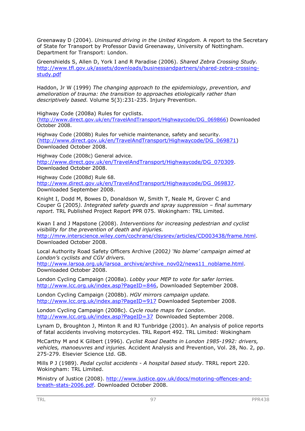Greenaway D (2004). *Uninsured driving in the United Kingdom.* A report to the Secretary of State for Transport by Professor David Greenaway, University of Nottingham. Department for Transport: London.

Greenshields S, Allen D, York I and R Paradise (2006). *Shared Zebra Crossing Study.*  http://www.tfl.gov.uk/assets/downloads/businessandpartners/shared-zebra-crossingstudy.pdf

Haddon, Jr W (1999) *The changing approach to the epidemiology, prevention, and amelioration of trauma: the transition to approaches etiologically rather than descriptively based.* Volume 5(3):231-235. Injury Prevention.

Highway Code (2008a) Rules for cyclists.

(http://www.direct.gov.uk/en/TravelAndTransport/Highwaycode/DG\_069866) Downloaded October 2008.

Highway Code (2008b) Rules for vehicle maintenance, safety and security. (http://www.direct.gov.uk/en/TravelAndTransport/Highwaycode/DG\_069871) Downloaded October 2008.

Highway Code (2008c) General advice. http://www.direct.gov.uk/en/TravelAndTransport/Highwaycode/DG\_070309. Downloaded October 2008.

Highway Code (2008d) Rule 68. http://www.direct.gov.uk/en/TravelAndTransport/Highwaycode/DG\_069837. Downloaded September 2008.

Knight I, Dodd M, Bowes D, Donaldson W, Smith T, Neale M, Grover C and Couper G (2005*). Integrated safety guards and spray suppression – final summary report.* TRL Published Project Report PPR 075. Wokingham: TRL Limited.

Kwan I and J Mapstone (2008). *Interventions for increasing pedestrian and cyclist visibility for the prevention of death and injuries.*  http://mrw.interscience.wiley.com/cochrane/clsysrev/articles/CD003438/frame.html. Downloaded October 2008.

Local Authority Road Safety Officers Archive (2002*) 'No blame' campaign aimed at London's cyclists and CGV drivers.*

http://www.larsoa.org.uk/larsoa\_archive/archive\_nov02/news11\_noblame.html. Downloaded October 2008.

London Cycling Campaign (2008a). *Lobby your MEP to vote for safer lorries.*  http://www.lcc.org.uk/index.asp?PageID=846, Downloaded September 2008.

London Cycling Campaign (2008b). *HGV mirrors campaign update.*  http://www.lcc.org.uk/index.asp?PageID=917 Downloaded September 2008.

London Cycling Campaign (2008c). *Cycle route maps for London*. http://www.lcc.org.uk/index.asp?PageID=37 Downloaded September 2008.

Lynam D, Broughton J, Minton R and RJ Tunbridge (2001). An analysis of police reports of fatal accidents involving motorcycles. TRL Report 492. TRL Limited: Wokingham

McCarthy M and K Gilbert (1996). *Cyclist Road Deaths in London 1985-1992: drivers, vehicles, manoeuvres and injuries.* Accident Analysis and Prevention, Vol. 28, No. 2, pp. 275-279. Elsevier Science Ltd. GB.

Mills P J (1989). *Pedal cyclist accidents - A hospital based study*. TRRL report 220. Wokingham: TRL Limited.

Ministry of Justice (2008). http://www.justice.gov.uk/docs/motoring-offences-andbreath-stats-2006.pdf. Downloaded October 2008.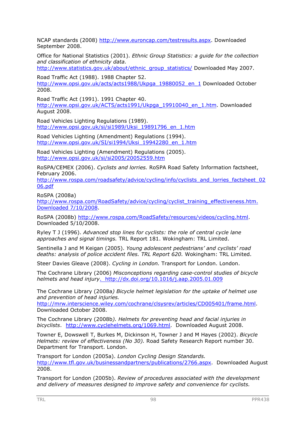NCAP standards (2008) http://www.euroncap.com/testresults.aspx. Downloaded September 2008.

Office for National Statistics (2001). *Ethnic Group Statistics: a guide for the collection and classification of ethnicity data.*

http://www.statistics.gov.uk/about/ethnic\_group\_statistics/ Downloaded May 2007.

Road Traffic Act (1988). 1988 Chapter 52. http://www.opsi.gov.uk/acts/acts1988/Ukpga\_19880052\_en\_1 Downloaded October 2008.

Road Traffic Act (1991). 1991 Chapter 40. http://www.opsi.gov.uk/ACTS/acts1991/Ukpga\_19910040\_en\_1.htm. Downloaded August 2008.

Road Vehicles Lighting Regulations (1989). http://www.opsi.gov.uk/si/si1989/Uksi\_19891796\_en\_1.htm

Road Vehicles Lighting (Amendment) Regulations (1994). http://www.opsi.gov.uk/SI/si1994/Uksi\_19942280\_en\_1.htm

Road Vehicles Lighting (Amendment) Regulations (2005). http://www.opsi.gov.uk/si/si2005/20052559.htm

RoSPA/CEMEX (2006). *Cyclists and lorries.* RoSPA Road Safety Information factsheet, February 2006.

http://www.rospa.com/roadsafety/advice/cycling/info/cyclists\_and\_lorries\_factsheet\_02 06.pdf

RoSPA (2008a)

http://www.rospa.com/RoadSafety/advice/cycling/cyclist\_training\_effectiveness.htm. Downloaded 7/10/2008.

RoSPA (2008b) http://www.rospa.com/RoadSafety/resources/videos/cycling.html. Downloaded 5/10/2008.

Ryley T J (1996). *Advanced stop lines for cyclists: the role of central cycle lane approaches and signal timings.* TRL Report 181. Wokingham: TRL Limited.

Sentinella J and M Keigan (2005). *Young adolescent pedestrians' and cyclists' road deaths: analysis of police accident files. TRL Report 620.* Wokingham: TRL Limited.

Steer Davies Gleave (2008). *Cycling in London.* Transport for London. London.

The Cochrane Library (2006) *Misconceptions regarding case-control studies of bicycle helmets and head injury*. http://dx.doi.org/10.1016/j.aap.2005.01.009

The Cochrane Library (2008a*) Bicycle helmet legislation for the uptake of helmet use and prevention of head injuries.* 

http://mrw.interscience.wiley.com/cochrane/clsysrev/articles/CD005401/frame.html. Downloaded October 2008.

The Cochrane Library (2008b*). Helmets for preventing head and facial injuries in bicyclists*. http://www.cyclehelmets.org/1069.html. Downloaded August 2008.

Towner E, Dowswell T, Burkes M, Dickinson H, Towner J and M Hayes (2002). *Bicycle Helmets: review of effectiveness (No 30).* Road Safety Research Report number 30. Department for Transport. London.

Transport for London (2005a). *London Cycling Design Standards.*  http://www.tfl.gov.uk/businessandpartners/publications/2766.aspx. Downloaded August 2008.

Transport for London (2005b). *Review of procedures associated with the development and delivery of measures designed to improve safety and convenience for cyclists.*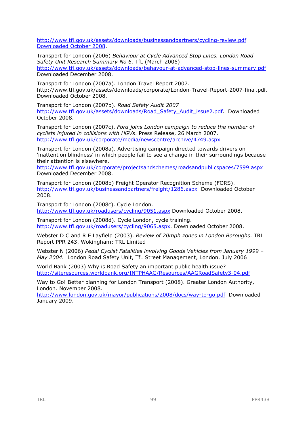http://www.tfl.gov.uk/assets/downloads/businessandpartners/cycling-review.pdf Downloaded October 2008.

Transport for London (2006) *Behaviour at Cycle Advanced Stop Lines. London Road Safety Unit Research Summary No 6.* TfL (March 2006) http://www.tfl.gov.uk/assets/downloads/behavour-at-advanced-stop-lines-summary.pdf Downloaded December 2008.

Transport for London (2007a). London Travel Report 2007. http://www.tfl.gov.uk/assets/downloads/corporate/London-Travel-Report-2007-final.pdf. Downloaded October 2008.

Transport for London (2007b). *Road Safety Audit 2007*  http://www.tfl.gov.uk/assets/downloads/Road\_Safety\_Audit\_issue2.pdf. Downloaded October 2008.

Transport for London (2007c). *Ford joins London campaign to reduce the number of cyclists injured in collisions with HGVs*. Press Release, 26 March 2007. http://www.tfl.gov.uk/corporate/media/newscentre/archive/4749.aspx

Transport for London (2008a). Advertising campaign directed towards drivers on 'inattention blindness' in which people fail to see a change in their surroundings because their attention is elsewhere.

http://www.tfl.gov.uk/corporate/projectsandschemes/roadsandpublicspaces/7599.aspx Downloaded December 2008.

Transport for London (2008b) Freight Operator Recognition Scheme (FORS). http://www.tfl.gov.uk/businessandpartners/freight/1286.aspx Downloaded October 2008.

Transport for London (2008c). Cycle London. http://www.tfl.gov.uk/roadusers/cycling/9051.aspx Downloaded October 2008.

Transport for London (2008d). Cycle London, cycle training. http://www.tfl.gov.uk/roadusers/cycling/9065.aspx. Downloaded October 2008.

Webster D C and R E Layfield (2003). *Review of 20mph zones in London Boroughs*. TRL Report PPR 243. Wokingham: TRL Limited

Webster N (2006) *Pedal Cyclist Fatalities involving Goods Vehicles from January 1999 – May 2004.* London Road Safety Unit, TfL Street Management, London. July 2006

World Bank (2003) Why is Road Safety an important public health issue? http://siteresources.worldbank.org/INTPHAAG/Resources/AAGRoadSafety3-04.pdf

Way to Go! Better planning for London Transport (2008). Greater London Authority, London. November 2008.

http://www.london.gov.uk/mayor/publications/2008/docs/way-to-go.pdf Downloaded January 2009.